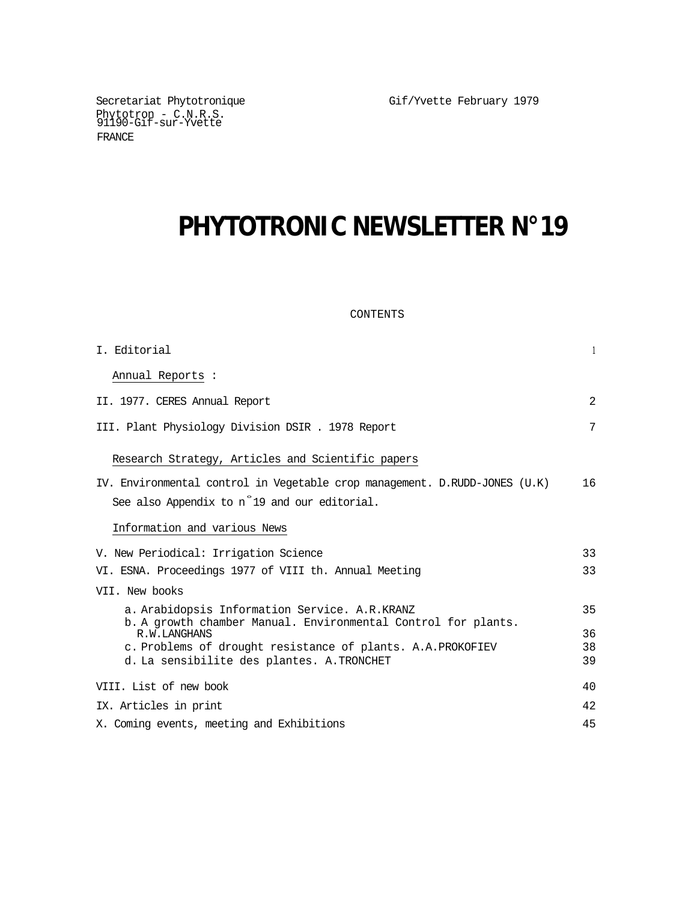Gif/Yvette February 1979

Secretariat Phytotronique Phytotron - C.N.R.S. 91190-Gif-sur-Yvette FRANCE

# **PHYTOTRONIC NEWSLETTER N°19**

# CONTENTS

| I. Editorial                                                                  | $\mathbf{1}$ |
|-------------------------------------------------------------------------------|--------------|
| Annual Reports :                                                              |              |
| II. 1977. CERES Annual Report                                                 | 2            |
| III. Plant Physiology Division DSIR . 1978 Report                             | 7            |
| Research Strategy, Articles and Scientific papers                             |              |
| IV. Environmental control in Vegetable crop management. D.RUDD-JONES (U.K)    | 16           |
| See also Appendix to n <sup>o</sup> 19 and our editorial.                     |              |
| Information and various News                                                  |              |
| V. New Periodical: Irrigation Science                                         | 33           |
| VI. ESNA. Proceedings 1977 of VIII th. Annual Meeting                         | 33           |
| VII. New books                                                                |              |
| a. Arabidopsis Information Service. A.R.KRANZ                                 | 35           |
| b. A growth chamber Manual. Environmental Control for plants.<br>R.W.LANGHANS | 36           |
| c. Problems of drought resistance of plants. A.A. PROKOFIEV                   | 38           |
| d. La sensibilite des plantes. A.TRONCHET                                     | 39           |
| VIII. List of new book                                                        | 40           |
| IX. Articles in print                                                         | 42           |
| X. Coming events, meeting and Exhibitions                                     | 45           |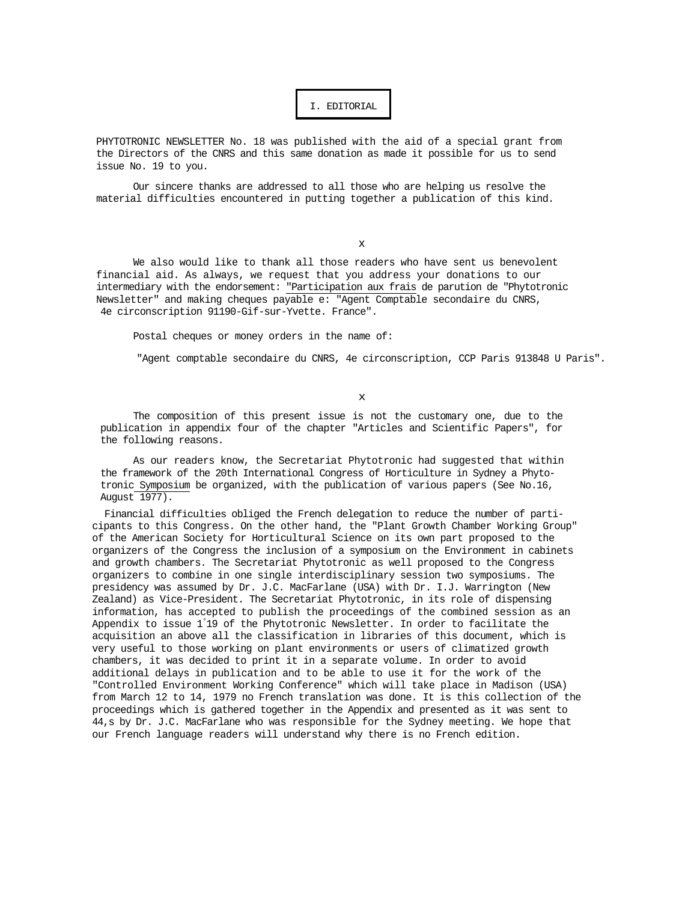## I. EDITORIAL

PHYTOTRONIC NEWSLETTER No. 18 was published with the aid of a special grant from the Directors of the CNRS and this same donation as made it possible for us to send issue No. 19 to you.

Our sincere thanks are addressed to all those who are helping us resolve the material difficulties encountered in putting together a publication of this kind.

x

We also would like to thank all those readers who have sent us benevolent financial aid. As always, we request that you address your donations to our intermediary with the endorsement: "Participation aux frais de parution de "Phytotronic Newsletter" and making cheques payable e: "Agent Comptable secondaire du CNRS, 4e circonscription 91190-Gif-sur-Yvette. France".

Postal cheques or money orders in the name of:

"Agent comptable secondaire du CNRS, 4e circonscription, CCP Paris 913848 U Paris".

x

The composition of this present issue is not the customary one, due to the publication in appendix four of the chapter "Articles and Scientific Papers", for the following reasons.

As our readers know, the Secretariat Phytotronic had suggested that within the framework of the 20th International Congress of Horticulture in Sydney a Phytotronic Symposium be organized, with the publication of various papers (See No.16, August 1977).

Financial difficulties obliged the French delegation to reduce the number of participants to this Congress. On the other hand, the "Plant Growth Chamber Working Group" of the American Society for Horticultural Science on its own part proposed to the organizers of the Congress the inclusion of a symposium on the Environment in cabinets and growth chambers. The Secretariat Phytotronic as well proposed to the Congress organizers to combine in one single interdisciplinary session two symposiums. The presidency was assumed by Dr. J.C. MacFarlane (USA) with Dr. I.J. Warrington (New Zealand) as Vice-President. The Secretariat Phytotronic, in its role of dispensing information, has accepted to publish the proceedings of the combined session as an Appendix to issue 1° 19 of the Phytotronic Newsletter. In order to facilitate the acquisition an above all the classification in libraries of this document, which is very useful to those working on plant environments or users of climatized growth chambers, it was decided to print it in a separate volume. In order to avoid additional delays in publication and to be able to use it for the work of the "Controlled Environment Working Conference" which will take place in Madison (USA) from March 12 to 14, 1979 no French translation was done. It is this collection of the proceedings which is gathered together in the Appendix and presented as it was sent to 44,s by Dr. J.C. MacFarlane who was responsible for the Sydney meeting. We hope that our French language readers will understand why there is no French edition.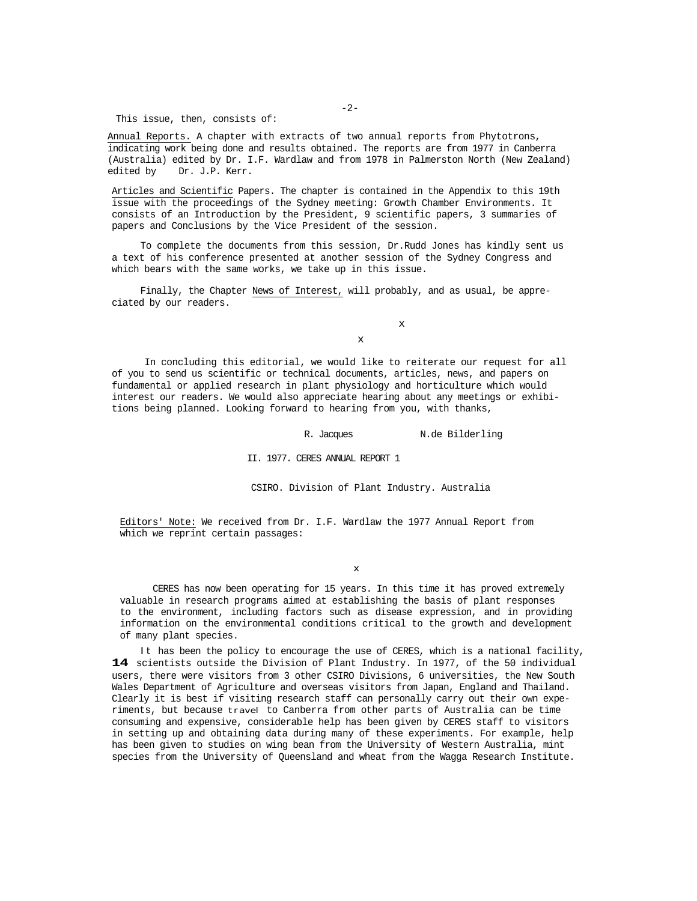This issue, then, consists of:

Annual Reports. A chapter with extracts of two annual reports from Phytotrons, indicating work being done and results obtained. The reports are from 1977 in Canberra (Australia) edited by Dr. I.F. Wardlaw and from 1978 in Palmerston North (New Zealand) edited by Dr. J.P. Kerr.

Articles and Scientific Papers. The chapter is contained in the Appendix to this 19th issue with the proceedings of the Sydney meeting: Growth Chamber Environments. It consists of an Introduction by the President, 9 scientific papers, 3 summaries of papers and Conclusions by the Vice President of the session.

To complete the documents from this session, Dr.Rudd Jones has kindly sent us a text of his conference presented at another session of the Sydney Congress and which bears with the same works, we take up in this issue.

Finally, the Chapter News of Interest, will probably, and as usual, be appreciated by our readers.

x

x

In concluding this editorial, we would like to reiterate our request for all of you to send us scientific or technical documents, articles, news, and papers on fundamental or applied research in plant physiology and horticulture which would interest our readers. We would also appreciate hearing about any meetings or exhibitions being planned. Looking forward to hearing from you, with thanks,

R. Jacques N.de Bilderling

II. 1977. CERES ANNUAL REPORT 1

CSIRO. Division of Plant Industry. Australia

Editors' Note: We received from Dr. I.F. Wardlaw the 1977 Annual Report from which we reprint certain passages:

x

CERES has now been operating for 15 years. In this time it has proved extremely valuable in research programs aimed at establishing the basis of plant responses to the environment, including factors such as disease expression, and in providing information on the environmental conditions critical to the growth and development of many plant species.

It has been the policy to encourage the use of CERES, which is a national facility, **14** scientists outside the Division of Plant Industry. In 1977, of the 50 individual users, there were visitors from 3 other CSIRO Divisions, 6 universities, the New South Wales Department of Agriculture and overseas visitors from Japan, England and Thailand. Clearly it is best if visiting research staff can personally carry out their own experiments, but because travel to Canberra from other parts of Australia can be time consuming and expensive, considerable help has been given by CERES staff to visitors in setting up and obtaining data during many of these experiments. For example, help has been given to studies on wing bean from the University of Western Australia, mint species from the University of Queensland and wheat from the Wagga Research Institute.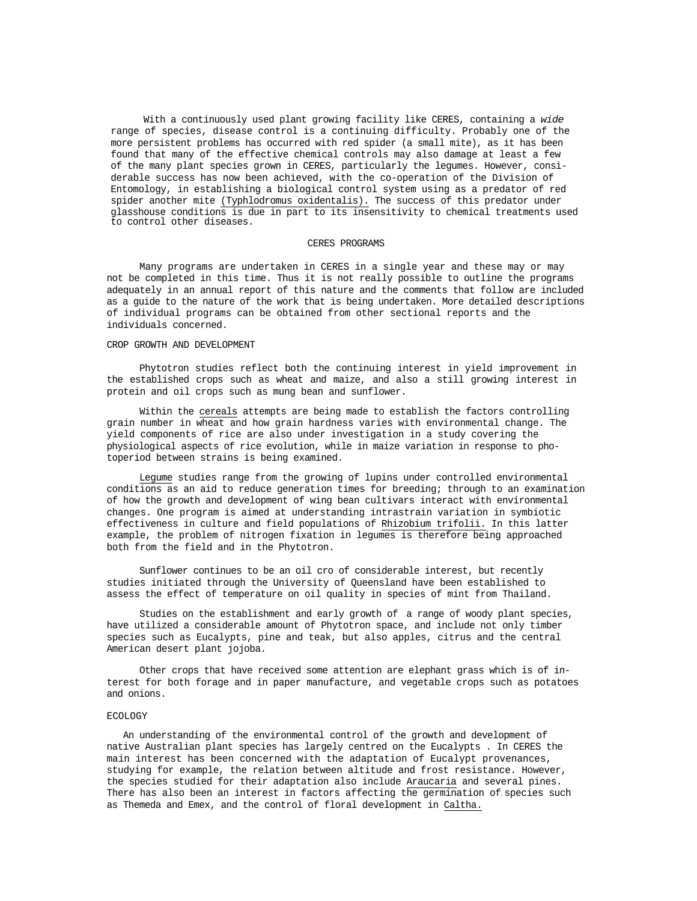With a continuously used plant growing facility like CERES, containing a *wide*  range of species, disease control is a continuing difficulty. Probably one of the more persistent problems has occurred with red spider (a small mite), as it has been found that many of the effective chemical controls may also damage at least a few of the many plant species grown in CERES, particularly the legumes. However, considerable success has now been achieved, with the co-operation of the Division of Entomology, in establishing a biological control system using as a predator of red spider another mite (Typhlodromus oxidentalis). The success of this predator under glasshouse conditions is due in part to its insensitivity to chemical treatments used to control other diseases.

#### CERES PROGRAMS

Many programs are undertaken in CERES in a single year and these may or may not be completed in this time. Thus it is not really possible to outline the programs adequately in an annual report of this nature and the comments that follow are included as a guide to the nature of the work that is being undertaken. More detailed descriptions of individual programs can be obtained from other sectional reports and the individuals concerned.

### CROP GROWTH AND DEVELOPMENT

Phytotron studies reflect both the continuing interest in yield improvement in the established crops such as wheat and maize, and also a still growing interest in protein and oil crops such as mung bean and sunflower.

Within the cereals attempts are being made to establish the factors controlling grain number in wheat and how grain hardness varies with environmental change. The yield components of rice are also under investigation in a study covering the physiological aspects of rice evolution, while in maize variation in response to photoperiod between strains is being examined.

Legume studies range from the growing of lupins under controlled environmental conditions as an aid to reduce generation times for breeding; through to an examination of how the growth and development of wing bean cultivars interact with environmental changes. One program is aimed at understanding intrastrain variation in symbiotic effectiveness in culture and field populations of Rhizobium trifolii. In this latter example, the problem of nitrogen fixation in legumes is therefore being approached both from the field and in the Phytotron.

Sunflower continues to be an oil cro of considerable interest, but recently studies initiated through the University of Queensland have been established to assess the effect of temperature on oil quality in species of mint from Thailand.

Studies on the establishment and early growth of . a range of woody plant species, have utilized a considerable amount of Phytotron space, and include not only timber species such as Eucalypts, pine and teak, but also apples, citrus and the central American desert plant jojoba.

Other crops that have received some attention are elephant grass which is of interest for both forage and in paper manufacture, and vegetable crops such as potatoes and onions.

#### ECOLOGY

An understanding of the environmental control of the growth and development of native Australian plant species has largely centred on the Eucalypts . In CERES the main interest has been concerned with the adaptation of Eucalypt provenances, studying for example, the relation between altitude and frost resistance. However, the species studied for their adaptation also include Araucaria and several pines. There has also been an interest in factors affecting the germination of, species such as Themeda and Emex, and the control of floral development in Caltha.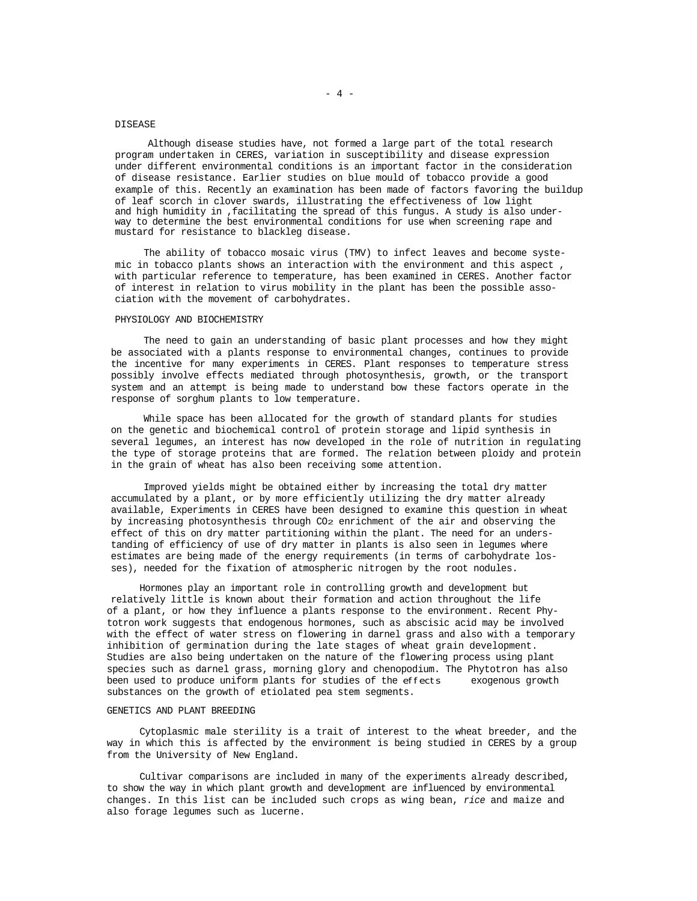## DISEASE

Although disease studies have, not formed a large part of the total research program undertaken in CERES, variation in susceptibility and disease expression under different environmental conditions is an important factor in the consideration of disease resistance. Earlier studies on blue mould of tobacco provide a good example of this. Recently an examination has been made of factors favoring the buildup of leaf scorch in clover swards, illustrating the effectiveness of low light and high humidity in ,facilitating the spread of this fungus. A study is also underway to determine the best environmental conditions for use when screening rape and mustard for resistance to blackleg disease.

The ability of tobacco mosaic virus (TMV) to infect leaves and become systemic in tobacco plants shows an interaction with the environment and this aspect , with particular reference to temperature, has been examined in CERES. Another factor of interest in relation to virus mobility in the plant has been the possible association with the movement of carbohydrates.

## PHYSIOLOGY AND BIOCHEMISTRY

The need to gain an understanding of basic plant processes and how they might be associated with a plants response to environmental changes, continues to provide the incentive for many experiments in CERES. Plant responses to temperature stress possibly involve effects mediated through photosynthesis, growth, or the transport system and an attempt is being made to understand bow these factors operate in the response of sorghum plants to low temperature.

While space has been allocated for the growth of standard plants for studies on the genetic and biochemical control of protein storage and lipid synthesis in several legumes, an interest has now developed in the role of nutrition in regulating the type of storage proteins that are formed. The relation between ploidy and protein in the grain of wheat has also been receiving some attention.

Improved yields might be obtained either by increasing the total dry matter accumulated by a plant, or by more efficiently utilizing the dry matter already available, Experiments in CERES have been designed to examine this question in wheat by increasing photosynthesis through CO2 enrichment of the air and observing the effect of this on dry matter partitioning within the plant. The need for an understanding of efficiency of use of dry matter in plants is also seen in legumes where estimates are being made of the energy requirements (in terms of carbohydrate losses), needed for the fixation of atmospheric nitrogen by the root nodules.

Hormones play an important role in controlling growth and development but relatively little is known about their formation and action throughout the life of a plant, or how they influence a plants response to the environment. Recent Phytotron work suggests that endogenous hormones, such as abscisic acid may be involved with the effect of water stress on flowering in darnel grass and also with a temporary inhibition of germination during the late stages of wheat grain development. Studies are also being undertaken on the nature of the flowering process using plant species such as darnel grass, morning glory and chenopodium. The Phytotron has also been used to produce uniform plants for studies of the effects exogenous growth substances on the growth of etiolated pea stem segments.

#### GENETICS AND PLANT BREEDING

Cytoplasmic male sterility is a trait of interest to the wheat breeder, and the way in which this is affected by the environment is being studied in CERES by a group from the University of New England.

Cultivar comparisons are included in many of the experiments already described, to show the way in which plant growth and development are influenced by environmental changes. In this list can be included such crops as wing bean, *rice* and maize and also forage legumes such as lucerne.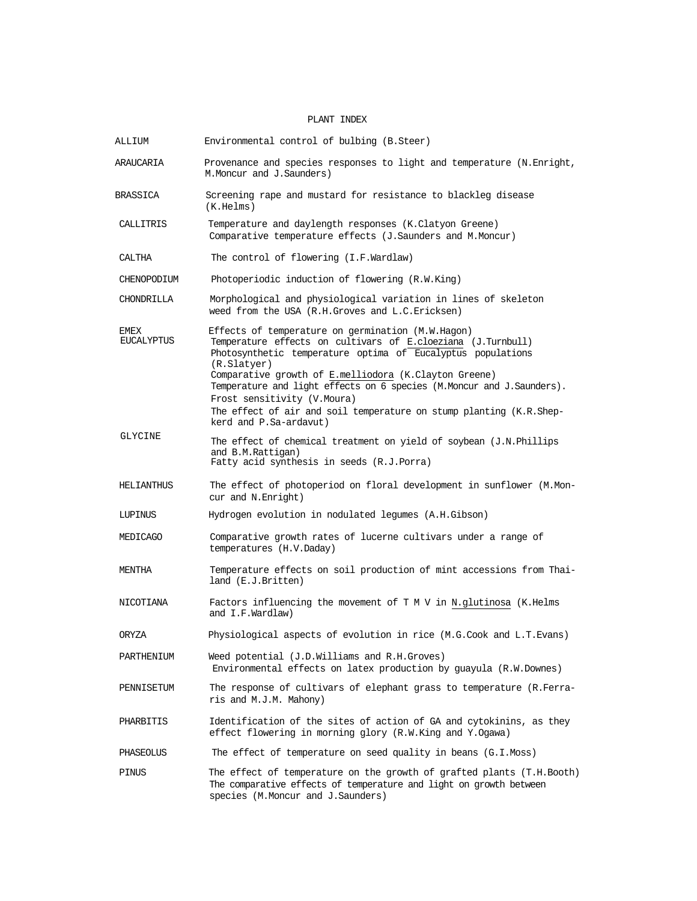# PLANT INDEX

| ALLIUM                    | Environmental control of bulbing (B.Steer)                                                                                                                                                                                                                                                                                                                                                                                                                        |
|---------------------------|-------------------------------------------------------------------------------------------------------------------------------------------------------------------------------------------------------------------------------------------------------------------------------------------------------------------------------------------------------------------------------------------------------------------------------------------------------------------|
| ARAUCARIA                 | Provenance and species responses to light and temperature (N.Enright,<br>M. Moncur and J. Saunders)                                                                                                                                                                                                                                                                                                                                                               |
| BRASSICA                  | Screening rape and mustard for resistance to blackleg disease<br>(K.Helms)                                                                                                                                                                                                                                                                                                                                                                                        |
| CALLITRIS                 | Temperature and daylength responses (K.Clatyon Greene)<br>Comparative temperature effects (J.Saunders and M.Moncur)                                                                                                                                                                                                                                                                                                                                               |
| CALTHA                    | The control of flowering (I.F.Wardlaw)                                                                                                                                                                                                                                                                                                                                                                                                                            |
| CHENOPODIUM               | Photoperiodic induction of flowering (R.W.King)                                                                                                                                                                                                                                                                                                                                                                                                                   |
| <b>CHONDRILLA</b>         | Morphological and physiological variation in lines of skeleton<br>weed from the USA (R.H.Groves and L.C.Ericksen)                                                                                                                                                                                                                                                                                                                                                 |
| EMEX<br><b>EUCALYPTUS</b> | Effects of temperature on germination (M.W.Hagon)<br>Temperature effects on cultivars of E.cloeziana (J.Turnbull)<br>Photosynthetic temperature optima of Eucalyptus populations<br>(R.Slatyer)<br>Comparative growth of E.melliodora (K.Clayton Greene)<br>Temperature and light effects on 6 species (M.Moncur and J.Saunders).<br>Frost sensitivity (V.Moura)<br>The effect of air and soil temperature on stump planting (K.R.Shep-<br>kerd and P.Sa-ardavut) |
| GLYCINE                   | The effect of chemical treatment on yield of soybean (J.N.Phillips<br>and B.M.Rattigan)<br>Fatty acid synthesis in seeds (R.J.Porra)                                                                                                                                                                                                                                                                                                                              |
| HELIANTHUS                | The effect of photoperiod on floral development in sunflower (M.Mon-<br>cur and N.Enright)                                                                                                                                                                                                                                                                                                                                                                        |
| LUPINUS                   | Hydrogen evolution in nodulated legumes (A.H.Gibson)                                                                                                                                                                                                                                                                                                                                                                                                              |
| MEDICAGO                  | Comparative growth rates of lucerne cultivars under a range of<br>temperatures (H.V.Daday)                                                                                                                                                                                                                                                                                                                                                                        |
| MENTHA                    | Temperature effects on soil production of mint accessions from Thai-<br>land (E.J.Britten)                                                                                                                                                                                                                                                                                                                                                                        |
| NICOTIANA                 | Factors influencing the movement of $T$ M V in N.glutinosa (K.Helms)<br>and I.F.Wardlaw)                                                                                                                                                                                                                                                                                                                                                                          |
| ORYZA                     | Physiological aspects of evolution in rice (M.G.Cook and L.T.Evans)                                                                                                                                                                                                                                                                                                                                                                                               |
| PARTHENIUM                | Weed potential (J.D.Williams and R.H.Groves)<br>Environmental effects on latex production by guayula (R.W.Downes)                                                                                                                                                                                                                                                                                                                                                 |
| PENNISETUM                | The response of cultivars of elephant grass to temperature (R.Ferra-<br>ris and M.J.M. Mahony)                                                                                                                                                                                                                                                                                                                                                                    |
| PHARBITIS                 | Identification of the sites of action of GA and cytokinins, as they<br>effect flowering in morning glory (R.W.King and Y.Ogawa)                                                                                                                                                                                                                                                                                                                                   |
| PHASEOLUS                 | The effect of temperature on seed quality in beans (G.I.Moss)                                                                                                                                                                                                                                                                                                                                                                                                     |
| PINUS                     | The effect of temperature on the growth of grafted plants (T.H.Booth)<br>The comparative effects of temperature and light on growth between<br>species (M.Moncur and J.Saunders)                                                                                                                                                                                                                                                                                  |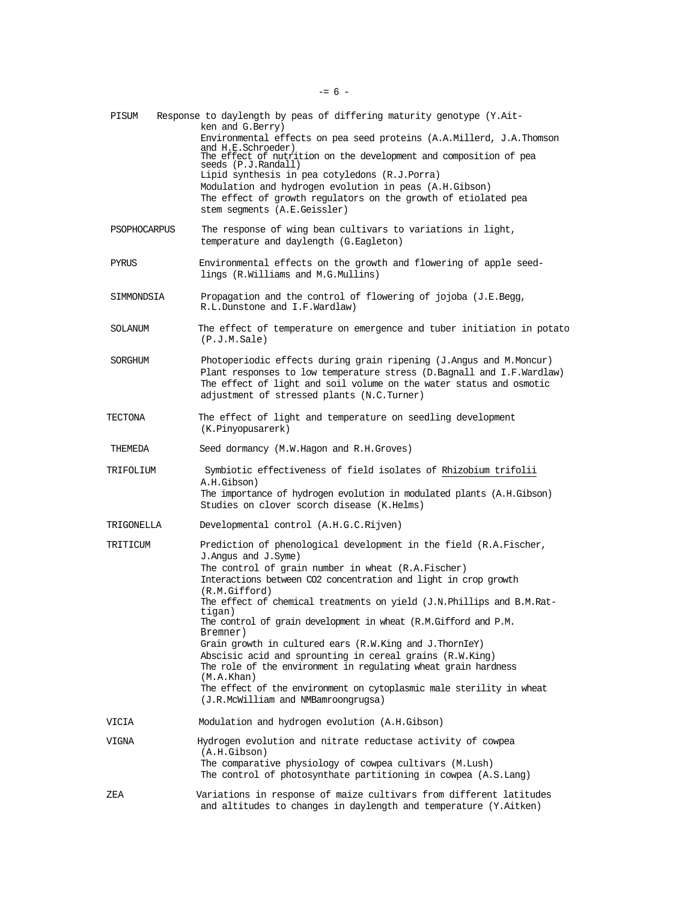| PISUM        | Response to daylength by peas of differing maturity genotype (Y.Ait-<br>ken and G.Berry)<br>Environmental effects on pea seed proteins (A.A.Millerd, J.A.Thomson<br>and H.E.Schroeder)<br>The effect of nutrition on the development and composition of pea<br>seeds (P.J.Randall)<br>Lipid synthesis in pea cotyledons (R.J.Porra)<br>Modulation and hydrogen evolution in peas (A.H.Gibson)<br>The effect of growth regulators on the growth of etiolated pea<br>stem segments (A.E.Geissler)                                                                                                                                                                                                                              |
|--------------|------------------------------------------------------------------------------------------------------------------------------------------------------------------------------------------------------------------------------------------------------------------------------------------------------------------------------------------------------------------------------------------------------------------------------------------------------------------------------------------------------------------------------------------------------------------------------------------------------------------------------------------------------------------------------------------------------------------------------|
| PSOPHOCARPUS | The response of wing bean cultivars to variations in light,<br>temperature and daylength (G.Eagleton)                                                                                                                                                                                                                                                                                                                                                                                                                                                                                                                                                                                                                        |
| PYRUS        | Environmental effects on the growth and flowering of apple seed-<br>lings (R.Williams and M.G.Mullins)                                                                                                                                                                                                                                                                                                                                                                                                                                                                                                                                                                                                                       |
| SIMMONDSIA   | Propagation and the control of flowering of jojoba (J.E.Begg,<br>R.L.Dunstone and I.F.Wardlaw)                                                                                                                                                                                                                                                                                                                                                                                                                                                                                                                                                                                                                               |
| SOLANUM      | The effect of temperature on emergence and tuber initiation in potato<br>(P.J.M.Sale)                                                                                                                                                                                                                                                                                                                                                                                                                                                                                                                                                                                                                                        |
| SORGHUM      | Photoperiodic effects during grain ripening (J.Angus and M.Moncur)<br>Plant responses to low temperature stress (D.Bagnall and I.F.Wardlaw)<br>The effect of light and soil volume on the water status and osmotic<br>adjustment of stressed plants (N.C.Turner)                                                                                                                                                                                                                                                                                                                                                                                                                                                             |
| TECTONA      | The effect of light and temperature on seedling development<br>(K.Pinyopusarerk)                                                                                                                                                                                                                                                                                                                                                                                                                                                                                                                                                                                                                                             |
| THEMEDA      | Seed dormancy (M.W.Hagon and R.H.Groves)                                                                                                                                                                                                                                                                                                                                                                                                                                                                                                                                                                                                                                                                                     |
| TRIFOLIUM    | Symbiotic effectiveness of field isolates of Rhizobium trifolii<br>A.H.Gibson)<br>The importance of hydrogen evolution in modulated plants (A.H.Gibson)<br>Studies on clover scorch disease (K.Helms)                                                                                                                                                                                                                                                                                                                                                                                                                                                                                                                        |
| TRIGONELLA   | Developmental control (A.H.G.C.Rijven)                                                                                                                                                                                                                                                                                                                                                                                                                                                                                                                                                                                                                                                                                       |
| TRITICUM     | Prediction of phenological development in the field (R.A.Fischer,<br>J. Angus and J. Syme)<br>The control of grain number in wheat (R.A.Fischer)<br>Interactions between CO2 concentration and light in crop growth<br>(R.M.Gifford)<br>The effect of chemical treatments on yield (J.N.Phillips and B.M.Rat-<br>tigan)<br>The control of grain development in wheat (R.M.Gifford and P.M.<br>Bremner)<br>Grain growth in cultured ears (R.W.King and J.ThornIeY)<br>Abscisic acid and sprounting in cereal grains (R.W.King)<br>The role of the environment in regulating wheat grain hardness<br>(M.A.Khan)<br>The effect of the environment on cytoplasmic male sterility in wheat<br>(J.R.McWilliam and NMBamroongrugsa) |
| VICIA        | Modulation and hydrogen evolution (A.H.Gibson)                                                                                                                                                                                                                                                                                                                                                                                                                                                                                                                                                                                                                                                                               |
| VIGNA        | Hydrogen evolution and nitrate reductase activity of cowpea<br>(A.H.Gibson)<br>The comparative physiology of cowpea cultivars (M.Lush)<br>The control of photosynthate partitioning in cowpea (A.S.Lang)                                                                                                                                                                                                                                                                                                                                                                                                                                                                                                                     |
| ZEA          | Variations in response of maize cultivars from different latitudes<br>and altitudes to changes in daylength and temperature (Y.Aitken)                                                                                                                                                                                                                                                                                                                                                                                                                                                                                                                                                                                       |

 $- = 6 -$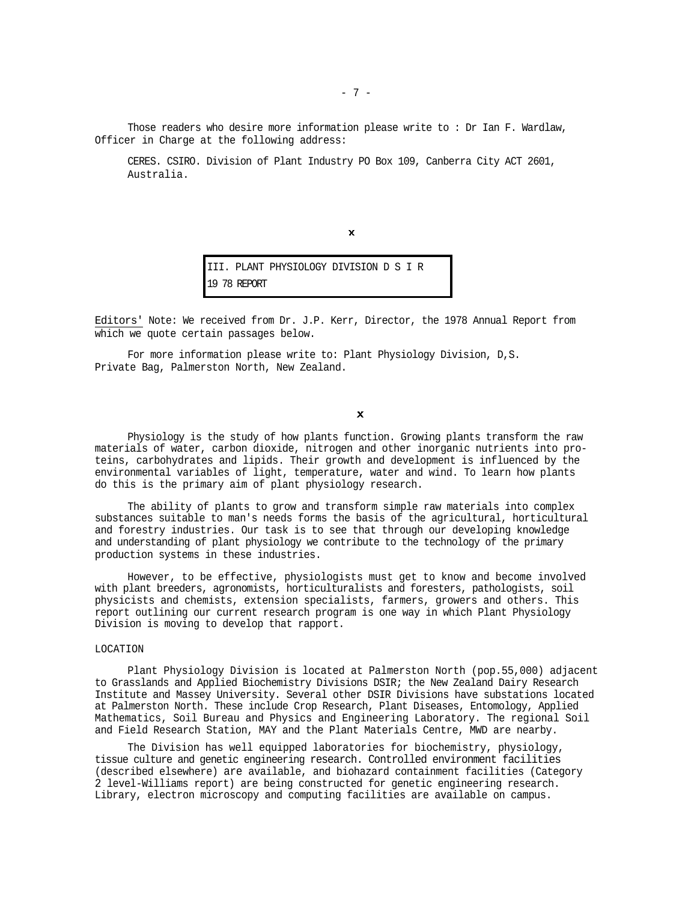Those readers who desire more information please write to : Dr Ian F. Wardlaw, Officer in Charge at the following address:

CERES. CSIRO. Division of Plant Industry PO Box 109, Canberra City ACT 2601, Australia.

 $\mathbf{x}$ 

III. PLANT PHYSIOLOGY DIVISION D S I R 19 78 REPORT

Editors' Note: We received from Dr. J.P. Kerr, Director, the 1978 Annual Report from which we quote certain passages below.

For more information please write to: Plant Physiology Division, D,S. Private Bag, Palmerston North, New Zealand.

 $\pmb{\times}$ 

Physiology is the study of how plants function. Growing plants transform the raw materials of water, carbon dioxide, nitrogen and other inorganic nutrients into proteins, carbohydrates and lipids. Their growth and development is influenced by the environmental variables of light, temperature, water and wind. To learn how plants do this is the primary aim of plant physiology research.

The ability of plants to grow and transform simple raw materials into complex substances suitable to man's needs forms the basis of the agricultural, horticultural and forestry industries. Our task is to see that through our developing knowledge and understanding of plant physiology we contribute to the technology of the primary production systems in these industries.

However, to be effective, physiologists must get to know and become involved with plant breeders, agronomists, horticulturalists and foresters, pathologists, soil physicists and chemists, extension specialists, farmers, growers and others. This report outlining our current research program is one way in which Plant Physiology Division is moving to develop that rapport.

## LOCATION

Plant Physiology Division is located at Palmerston North (pop.55,000) adjacent to Grasslands and Applied Biochemistry Divisions DSIR; the New Zealand Dairy Research Institute and Massey University. Several other DSIR Divisions have substations located at Palmerston North. These include Crop Research, Plant Diseases, Entomology, Applied Mathematics, Soil Bureau and Physics and Engineering Laboratory. The regional Soil and Field Research Station, MAY and the Plant Materials Centre, MWD are nearby.

The Division has well equipped laboratories for biochemistry, physiology, tissue culture and genetic engineering research. Controlled environment facilities (described elsewhere) are available, and biohazard containment facilities (Category 2 level-Williams report) are being constructed for genetic engineering research. Library, electron microscopy and computing facilities are available on campus.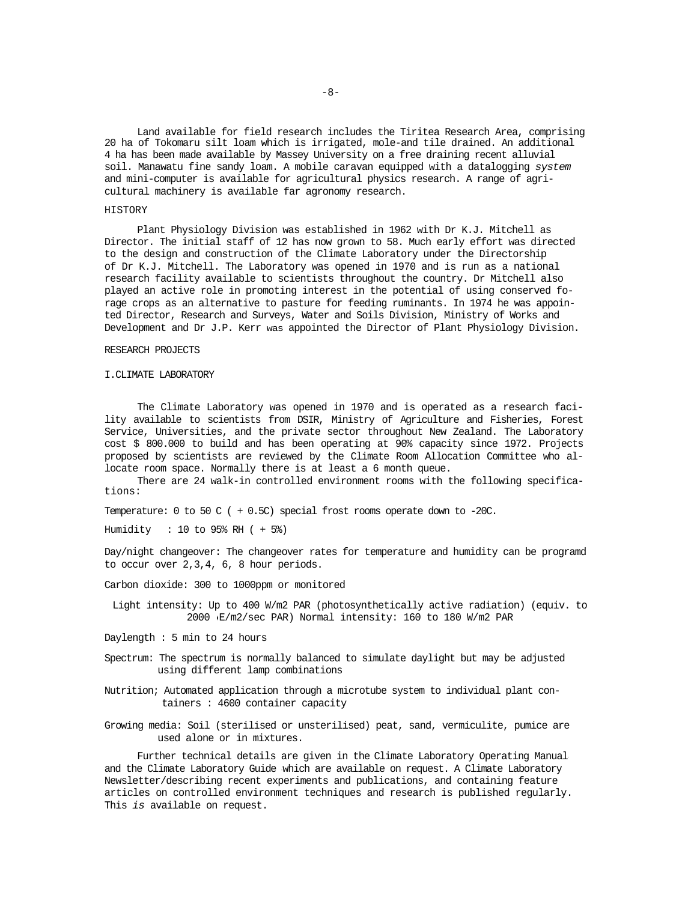Land available for field research includes the Tiritea Research Area, comprising 20 ha of Tokomaru silt loam which is irrigated, mole-and tile drained. An additional 4 ha has been made available by Massey University on a free draining recent alluvial soil. Manawatu fine sandy loam. A mobile caravan equipped with a datalogging *system*  and mini-computer is available for agricultural physics research. A range of agricultural machinery is available far agronomy research.

## HISTORY

Plant Physiology Division was established in 1962 with Dr K.J. Mitchell as Director. The initial staff of 12 has now grown to 58. Much early effort was directed to the design and construction of the Climate Laboratory under the Directorship of Dr K.J. Mitchell. The Laboratory was opened in 1970 and is run as a national research facility available to scientists throughout the country. Dr Mitchell also played an active role in promoting interest in the potential of using conserved forage crops as an alternative to pasture for feeding ruminants. In 1974 he was appointed Director, Research and Surveys, Water and Soils Division, Ministry of Works and Development and Dr J.P. Kerr was appointed the Director of Plant Physiology Division.

#### RESEARCH PROJECTS

#### I.CLIMATE LABORATORY

The Climate Laboratory was opened in 1970 and is operated as a research facility available to scientists from DSIR, Ministry of Agriculture and Fisheries, Forest Service, Universities, and the private sector throughout New Zealand. The Laboratory cost \$ 800.000 to build and has been operating at 90% capacity since 1972. Projects proposed by scientists are reviewed by the Climate Room Allocation Committee who allocate room space. Normally there is at least a 6 month queue.

There are 24 walk-in controlled environment rooms with the following specifications:

Temperature: 0 to 50 C ( + 0.5C) special frost rooms operate down to -20C.

Humidity : 10 to 95% RH ( + 5%)

Day/night changeover: The changeover rates for temperature and humidity can be programd to occur over 2,3,4, 6, 8 hour periods.

Carbon dioxide: 300 to 1000ppm or monitored

Light intensity: Up to 400 W/m2 PAR (photosynthetically active radiation) (equiv. to 2000 E/m2/sec PAR) Normal intensity: 160 to 180 W/m2 PAR

- Daylength : 5 min to 24 hours
- Spectrum: The spectrum is normally balanced to simulate daylight but may be adjusted using different lamp combinations
- Nutrition; Automated application through a microtube system to individual plant containers : 4600 container capacity
- Growing media: Soil (sterilised or unsterilised) peat, sand, vermiculite, pumice are used alone or in mixtures.

Further technical details are given in the Climate Laboratory Operating Manual' and the Climate Laboratory Guide 'which are available on request. A Climate Laboratory Newsletter/describing recent experiments and publications, and containing feature articles on controlled environment techniques and research is published regularly. This *is* available on request.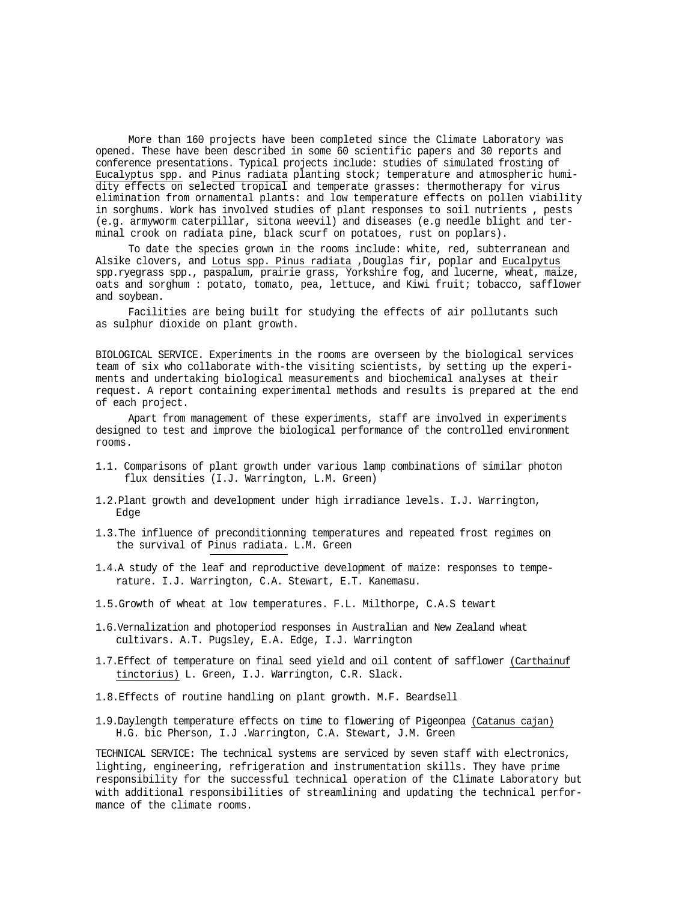More than 160 projects have been completed since the Climate Laboratory was opened. These have been described in some 60 scientific papers and 30 reports and conference presentations. Typical projects include: studies of simulated frosting of Eucalyptus spp. and Pinus radiata planting stock; temperature and atmospheric humidity effects on selected tropical and temperate grasses: thermotherapy for virus elimination from ornamental plants: and low temperature effects on pollen viability in sorghums. Work has involved studies of plant responses to soil nutrients , pests (e.g. armyworm caterpillar, sitona weevil) and diseases (e.g needle blight and terminal crook on radiata pine, black scurf on potatoes, rust on poplars).

To date the species grown in the rooms include: white, red, subterranean and Alsike clovers, and Lotus spp. Pinus radiata ,Douglas fir, poplar and Eucalpytus spp.ryegrass spp., paspalum, prairie grass, Yorkshire fog, and lucerne, wheat, maize, oats and sorghum : potato, tomato, pea, lettuce, and Kiwi fruit; tobacco, safflower and soybean.

Facilities are being built for studying the effects of air pollutants such as sulphur dioxide on plant growth.

BIOLOGICAL SERVICE. Experiments in the rooms are overseen by the biological services team of six who collaborate with-the visiting scientists, by setting up the experiments and undertaking biological measurements and biochemical analyses at their request. A report containing experimental methods and results is prepared at the end of each project.

Apart from management of these experiments, staff are involved in experiments designed to test and improve the biological performance of the controlled environment rooms.

- 1.1. Comparisons of plant growth under various lamp combinations of similar photon flux densities (I.J. Warrington, L.M. Green)
- 1.2.Plant growth and development under high irradiance levels. I.J. Warrington, Edge
- 1.3.The influence of preconditionning temperatures and repeated frost regimes on the survival of Pinus radiata. L.M. Green
- 1.4.A study of the leaf and reproductive development of maize: responses to temperature. I.J. Warrington, C.A. Stewart, E.T. Kanemasu.
- 1.5.Growth of wheat at low temperatures. F.L. Milthorpe, C.A.S tewart
- 1.6.Vernalization and photoperiod responses in Australian and New Zealand wheat cultivars. A.T. Pugsley, E.A. Edge, I.J. Warrington
- 1.7.Effect of temperature on final seed yield and oil content of safflower (Carthainuf tinctorius) L. Green, I.J. Warrington, C.R. Slack.
- 1.8.Effects of routine handling on plant growth. M.F. Beardsell
- 1.9.Daylength temperature effects on time to flowering of Pigeonpea (Catanus cajan) H.G. bic Pherson, I.J .Warrington, C.A. Stewart, J.M. Green

TECHNICAL SERVICE: The technical systems are serviced by seven staff with electronics, lighting, engineering, refrigeration and instrumentation skills. They have prime responsibility for the successful technical operation of the Climate Laboratory but with additional responsibilities of streamlining and updating the technical performance of the climate rooms.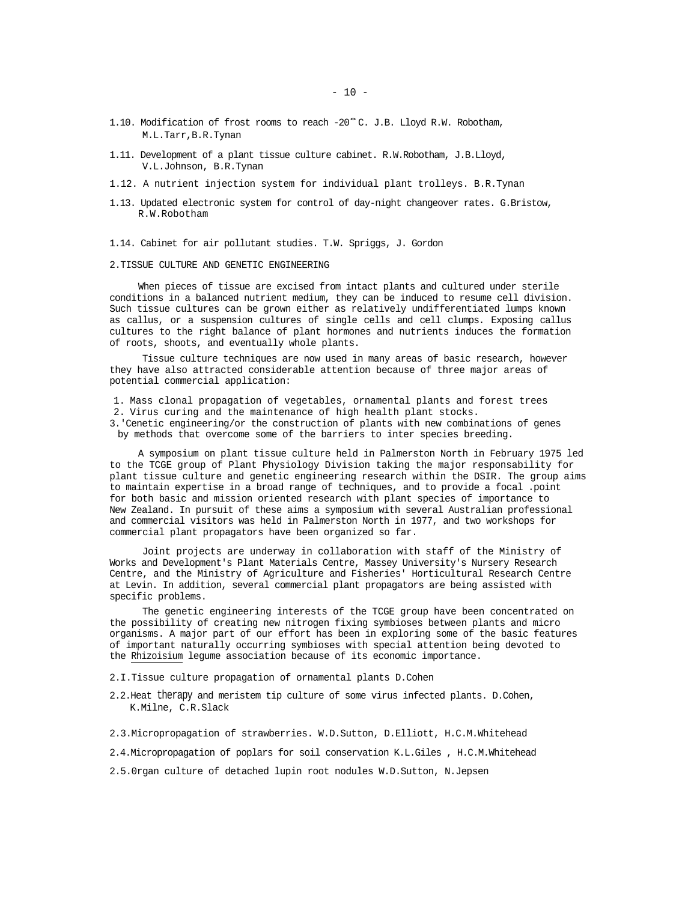- 1.10. Modification of frost rooms to reach -20°C. J.B. Lloyd R.W. Robotham, M.L.Tarr,B.R.Tynan
- 1.11. Development of a plant tissue culture cabinet. R.W.Robotham, J.B.Lloyd, V.L.Johnson, B.R.Tynan
- 1.12. A nutrient injection system for individual plant trolleys. B.R.Tynan
- 1.13. Updated electronic system for control of day-night changeover rates. G.Bristow, R.W.Robotham
- 1.14. Cabinet for air pollutant studies. T.W. Spriggs, J. Gordon
- 2.TISSUE CULTURE AND GENETIC ENGINEERING

When pieces of tissue are excised from intact plants and cultured under sterile conditions in a balanced nutrient medium, they can be induced to resume cell division. Such tissue cultures can be grown either as relatively undifferentiated lumps known as callus, or a suspension cultures of single cells and cell clumps. Exposing callus cultures to the right balance of plant hormones and nutrients induces the formation of roots, shoots, and eventually whole plants.

Tissue culture techniques are now used in many areas of basic research, however they have also attracted considerable attention because of three major areas of potential commercial application:

1. Mass clonal propagation of vegetables, ornamental plants and forest trees 2. Virus curing and the maintenance of high health plant stocks.

3.'Cenetic engineering/or the construction of plants with new combinations of genes by methods that overcome some of the barriers to inter species breeding.

A symposium on plant tissue culture held in Palmerston North in February 1975 led to the TCGE group of Plant Physiology Division taking the major responsability for plant tissue culture and genetic engineering research within the DSIR. The group aims to maintain expertise in a broad range of techniques, and to provide a focal .point for both basic and mission oriented research with plant species of importance to New Zealand. In pursuit of these aims a symposium with several Australian professional and commercial visitors was held in Palmerston North in 1977, and two workshops for commercial plant propagators have been organized so far.

Joint projects are underway in collaboration with staff of the Ministry of Works and Development's Plant Materials Centre, Massey University's Nursery Research Centre, and the Ministry of Agriculture and Fisheries' Horticultural Research Centre at Levin. In addition, several commercial plant propagators are being assisted with specific problems.

The genetic engineering interests of the TCGE group have been concentrated on the possibility of creating new nitrogen fixing symbioses between plants and micro organisms. A major part of our effort has been in exploring some of the basic features of important naturally occurring symbioses with special attention being devoted to the Rhizoisium legume association because of its economic importance.

- 2.I.Tissue culture propagation of ornamental plants D.Cohen
- 2.2.Heat therapy and meristem tip culture of some virus infected plants. D.Cohen, K.Milne, C.R.Slack

2.3.Micropropagation of strawberries. W.D.Sutton, D.Elliott, H.C.M.Whitehead

2.4.Micropropagation of poplars for soil conservation K.L.Giles , H.C.M.Whitehead

2.5.0rgan culture of detached lupin root nodules W.D.Sutton, N.Jepsen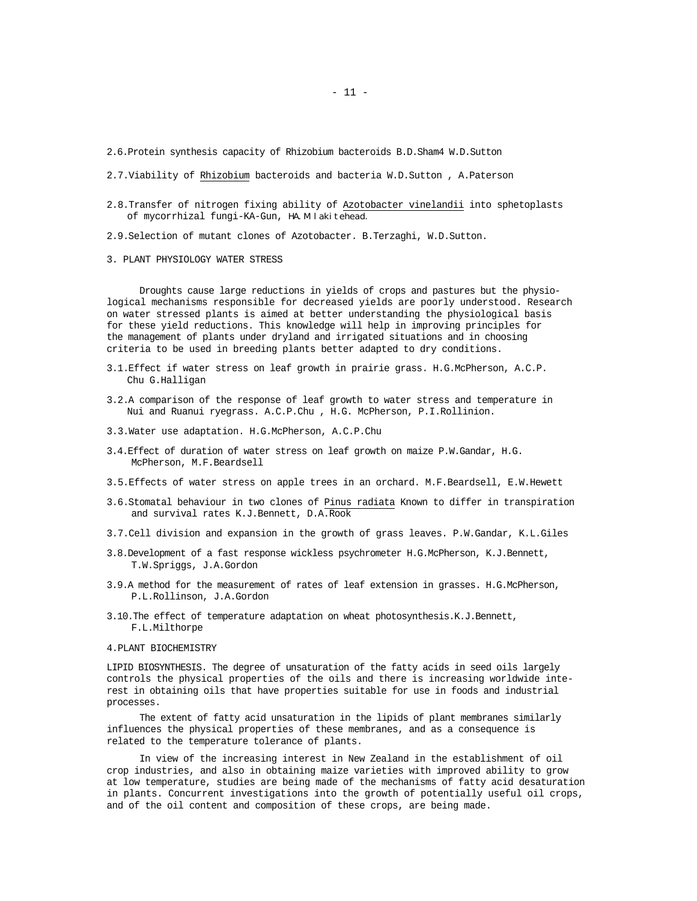2.6.Protein synthesis capacity of Rhizobium bacteroids B.D.Sham4 W.D.Sutton

2.7.Viability of Rhizobium bacteroids and bacteria W.D.Sutton , A.Paterson

2.8.Transfer of nitrogen fixing ability of Azotobacter vinelandii into sphetoplasts of mycorrhizal fungi-KA-Gun, HA.M lakitehead.

2.9.Selection of mutant clones of Azotobacter. B.Terzaghi, W.D.Sutton.

3. PLANT PHYSIOLOGY WATER STRESS

Droughts cause large reductions in yields of crops and pastures but the physiological mechanisms responsible for decreased yields are poorly understood. Research on water stressed plants is aimed at better understanding the physiological basis for these yield reductions. This knowledge will help in improving principles for the management of plants under dryland and irrigated situations and in choosing criteria to be used in breeding plants better adapted to dry conditions.

- 3.1.Effect if water stress on leaf growth in prairie grass. H.G.McPherson, A.C.P. Chu G.Halligan
- 3.2.A comparison of the response of leaf growth to water stress and temperature in Nui and Ruanui ryegrass. A.C.P.Chu , H.G. McPherson, P.I.Rollinion.
- 3.3.Water use adaptation. H.G.McPherson, A.C.P.Chu
- 3.4.Effect of duration of water stress on leaf growth on maize P.W.Gandar, H.G. McPherson, M.F.Beardsell
- 3.5.Effects of water stress on apple trees in an orchard. M.F.Beardsell, E.W.Hewett
- 3.6.Stomatal behaviour in two clones of Pinus radiata Known to differ in transpiration and survival rates K.J.Bennett, D.A.Rook
- 3.7.Cell division and expansion in the growth of grass leaves. P.W.Gandar, K.L.Giles
- 3.8.Development of a fast response wickless psychrometer H.G.McPherson, K.J.Bennett, T.W.Spriggs, J.A.Gordon
- 3.9.A method for the measurement of rates of leaf extension in grasses. H.G.McPherson, P.L.Rollinson, J.A.Gordon
- 3.10.The effect of temperature adaptation on wheat photosynthesis.K.J.Bennett, F.L.Milthorpe

#### 4.PLANT BIOCHEMISTRY

LIPID BIOSYNTHESIS. The degree of unsaturation of the fatty acids in seed oils largely controls the physical properties of the oils and there is increasing worldwide interest in obtaining oils that have properties suitable for use in foods and industrial processes.

The extent of fatty acid unsaturation in the lipids of plant membranes similarly influences the physical properties of these membranes, and as a consequence is related to the temperature tolerance of plants.

In view of the increasing interest in New Zealand in the establishment of oil crop industries, and also in obtaining maize varieties with improved ability to grow at low temperature, studies are being made of the mechanisms of fatty acid desaturation in plants. Concurrent investigations into the growth of potentially useful oil crops, and of the oil content and composition of these crops, are being made.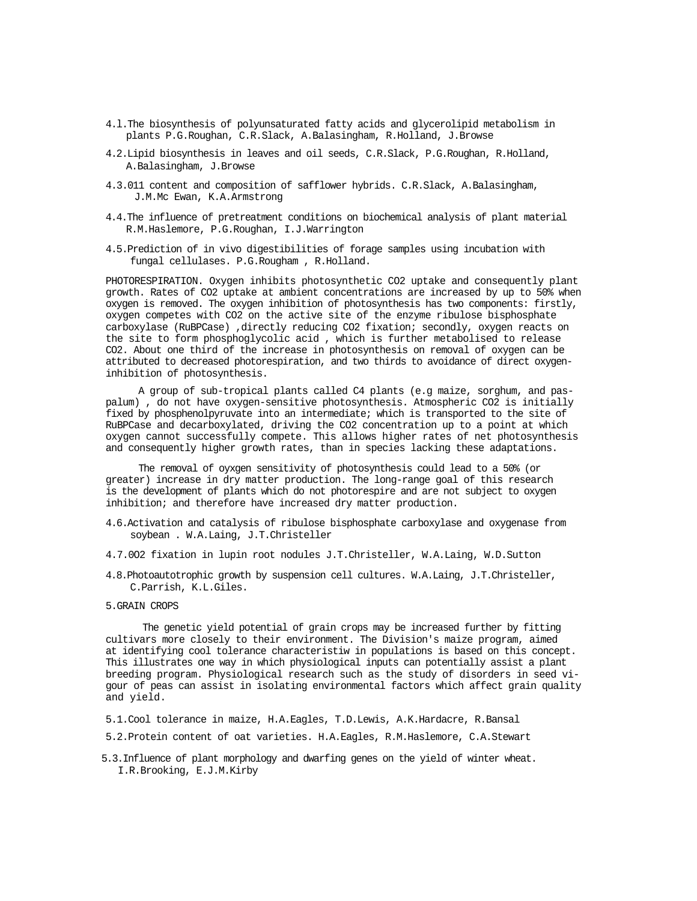- 4.l.The biosynthesis of polyunsaturated fatty acids and glycerolipid metabolism in plants P.G.Roughan, C.R.Slack, A.Balasingham, R.Holland, J.Browse
- 4.2.Lipid biosynthesis in leaves and oil seeds, C.R.Slack, P.G.Roughan, R.Holland, A.Balasingham, J.Browse
- 4.3.011 content and composition of safflower hybrids. C.R.Slack, A.Balasingham, J.M.Mc Ewan, K.A.Armstrong
- 4.4.The influence of pretreatment conditions on biochemical analysis of plant material R.M.Haslemore, P.G.Roughan, I.J.Warrington
- 4.5.Prediction of in vivo digestibilities of forage samples using incubation with fungal cellulases. P.G.Rougham , R.Holland.

PHOTORESPIRATION. Oxygen inhibits photosynthetic CO2 uptake and consequently plant growth. Rates of CO2 uptake at ambient concentrations are increased by up to 50% when oxygen is removed. The oxygen inhibition of photosynthesis has two components: firstly, oxygen competes with CO2 on the active site of the enzyme ribulose bisphosphate carboxylase (RuBPCase) ,directly reducing CO2 fixation; secondly, oxygen reacts on the site to form phosphoglycolic acid , which is further metabolised to release CO2. About one third of the increase in photosynthesis on removal of oxygen can be attributed to decreased photorespiration, and two thirds to avoidance of direct oxygeninhibition of photosynthesis.

A group of sub-tropical plants called C4 plants (e.g maize, sorghum, and paspalum) , do not have oxygen-sensitive photosynthesis. Atmospheric CO2 is initially fixed by phosphenolpyruvate into an intermediate; which is transported to the site of RuBPCase and decarboxylated, driving the CO2 concentration up to a point at which oxygen cannot successfully compete. This allows higher rates of net photosynthesis and consequently higher growth rates, than in species lacking these adaptations.

The removal of oyxgen sensitivity of photosynthesis could lead to a 50% (or greater) increase in dry matter production. The long-range goal of this research is the development of plants which do not photorespire and are not subject to oxygen inhibition; and therefore have increased dry matter production.

- 4.6.Activation and catalysis of ribulose bisphosphate carboxylase and oxygenase from soybean . W.A.Laing, J.T.Christeller
- 4.7.0O2 fixation in lupin root nodules J.T.Christeller, W.A.Laing, W.D.Sutton
- 4.8.Photoautotrophic growth by suspension cell cultures. W.A.Laing, J.T.Christeller, C.Parrish, K.L.Giles.
- 5.GRAIN CROPS

The genetic yield potential of grain crops may be increased further by fitting cultivars more closely to their environment. The Division's maize program, aimed at identifying cool tolerance characteristiw in populations is based on this concept. This illustrates one way in which physiological inputs can potentially assist a plant breeding program. Physiological research such as the study of disorders in seed vigour of peas can assist in isolating environmental factors which affect grain quality and yield.

5.1.Cool tolerance in maize, H.A.Eagles, T.D.Lewis, A.K.Hardacre, R.Bansal

5.2.Protein content of oat varieties. H.A.Eagles, R.M.Haslemore, C.A.Stewart

5.3.Influence of plant morphology and dwarfing genes on the yield of winter wheat. I.R.Brooking, E.J.M.Kirby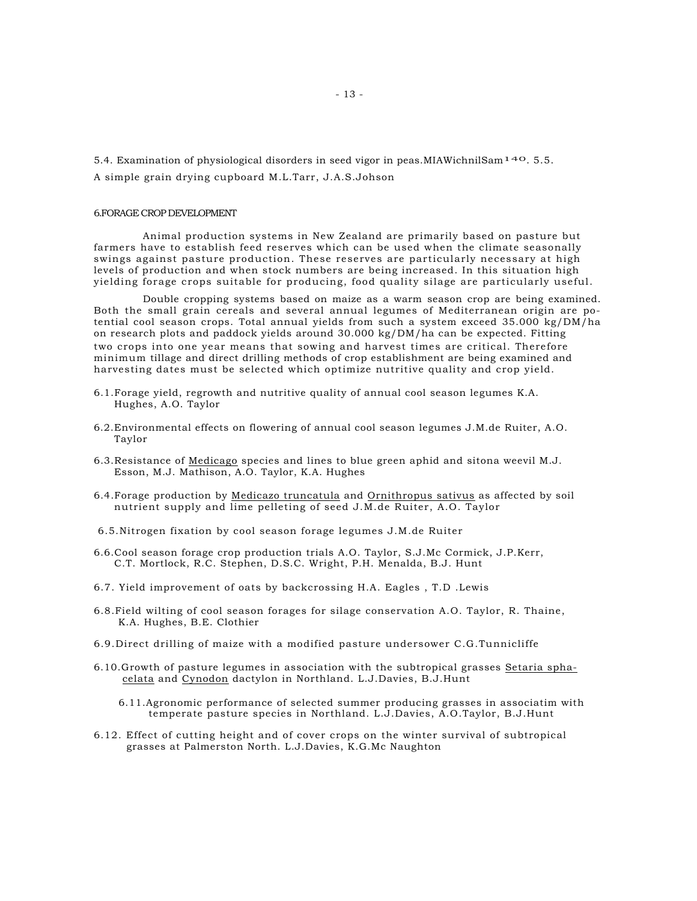5.4. Examination of physiological disorders in seed vigor in peas.MIAWichnilSam140. 5.5.

A simple grain drying cupboard M.L.Tarr, J.A.S.Johson

## 6.FORAGE CROP DEVELOPMENT

Animal production systems in New Zealand are primarily based on pasture but farmers have to establish feed reserves which can be used when the climate seasonally swings against pasture production. These reserves are particularly necessary at high levels of production and when stock numbers are being increased. In this situation high yielding forage crops suitable for producing, food quality silage are particularly useful.

Double cropping systems based on maize as a warm season crop are being examined. Both the small grain cereals and several annual legumes of Mediterranean origin are potential cool season crops. Total annual yields from such a system exceed 35.000 kg/DM/ha on research plots and paddock yields around 30.000 kg/DM/ha can be expected. Fitting two crops into one year means that sowing and harvest times are critical. Therefore minimum tillage and direct drilling methods of crop establishment are being examined and harvesting dates must be selected which optimize nutritive quality and crop yield.

- 6.1.Forage yield, regrowth and nutritive quality of annual cool season legumes K.A. Hughes, A.O. Taylor
- 6.2.Environmental effects on flowering of annual cool season legumes J.M.de Ruiter, A.O. Taylor
- 6.3.Resistance of Medicago species and lines to blue green aphid and sitona weevil M.J. Esson, M.J. Mathison, A.O. Taylor, K.A. Hughes
- 6.4.Forage production by Medicazo truncatula and Ornithropus sativus as affected by soil nutrient supply and lime pelleting of seed J.M.de Ruiter, A.O. Taylor
- 6.5.Nitrogen fixation by cool season forage legumes J.M.de Ruiter
- 6.6.Cool season forage crop production trials A.O. Taylor, S.J.Mc Cormick, J.P.Kerr, C.T. Mortlock, R.C. Stephen, D.S.C. Wright, P.H. Menalda, B.J. Hunt
- 6.7. Yield improvement of oats by backcrossing H.A. Eagles , T.D .Lewis
- 6.8.Field wilting of cool season forages for silage conservation A.O. Taylor, R. Thaine, K.A. Hughes, B.E. Clothier
- 6.9.Direct drilling of maize with a modified pasture undersower C.G.Tunnicliffe
- 6.10.Growth of pasture legumes in association with the subtropical grasses Setaria sphacelata and Cynodon dactylon in Northland. L.J.Davies, B.J.Hunt
	- 6.11.Agronomic performance of selected summer producing grasses in associatim with temperate pasture species in Northland. L.J.Davies, A.O.Taylor, B.J.Hunt
- 6.12. Effect of cutting height and of cover crops on the winter survival of subtropical grasses at Palmerston North. L.J.Davies, K.G.Mc Naughton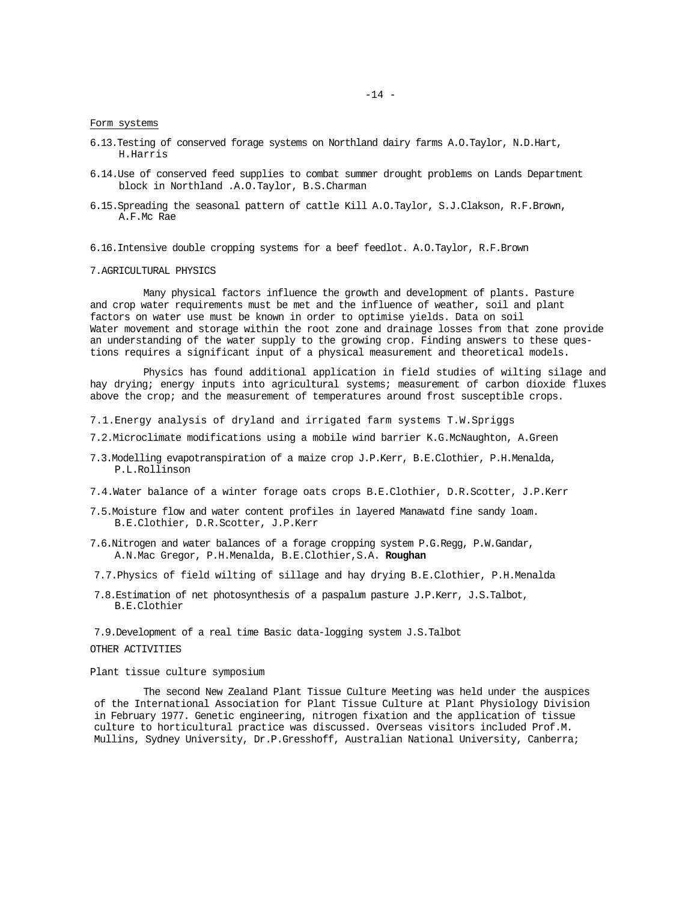Form systems

- 6.13.Testing of conserved forage systems on Northland dairy farms A.O.Taylor, N.D.Hart, H.Harris
- 6.14.Use of conserved feed supplies to combat summer drought problems on Lands Department block in Northland .A.O.Taylor, B.S.Charman
- 6.15.Spreading the seasonal pattern of cattle Kill A.O.Taylor, S.J.Clakson, R.F.Brown, A.F.Mc Rae
- 6.16.Intensive double cropping systems for a beef feedlot. A.O.Taylor, R.F.Brown
- 7.AGRICULTURAL PHYSICS

Many physical factors influence the growth and development of plants. Pasture and crop water requirements must be met and the influence of weather, soil and plant factors on water use must be known in order to optimise yields. Data on soil Water movement and storage within the root zone and drainage losses from that zone provide an understanding of the water supply to the growing crop. Finding answers to these questions requires a significant input of a physical measurement and theoretical models.

Physics has found additional application in field studies of wilting silage and hay drying; energy inputs into agricultural systems; measurement of carbon dioxide fluxes above the crop; and the measurement of temperatures around frost susceptible crops.

- 7.1.Energy analysis of dryland and irrigated farm systems T.W.Spriggs
- 7.2.Microclimate modifications using a mobile wind barrier K.G.McNaughton, A.Green
- 7.3.Modelling evapotranspiration of a maize crop J.P.Kerr, B.E.Clothier, P.H.Menalda, P.L.Rollinson
- 7.4.Water balance of a winter forage oats crops B.E.Clothier, D.R.Scotter, J.P.Kerr
- 7.5.Moisture flow and water content profiles in layered Manawatd fine sandy loam. B.E.Clothier, D.R.Scotter, J.P.Kerr
- 7.6.Nitrogen and water balances of a forage cropping system P.G.Regg, P.W.Gandar, A.N.Mac Gregor, P.H.Menalda, B.E.Clothier,S.A. **Roughan**
- 7.7.Physics of field wilting of sillage and hay drying B.E.Clothier, P.H.Menalda
- 7.8.Estimation of net photosynthesis of a paspalum pasture J.P.Kerr, J.S.Talbot, B.E.Clothier

7.9.Development of a real time Basic data-logging system J.S.Talbot

## OTHER ACTIVITIES

Plant tissue culture symposium

The second New Zealand Plant Tissue Culture Meeting was held under the auspices of the International Association for Plant Tissue Culture at Plant Physiology Division in February 1977. Genetic engineering, nitrogen fixation and the application of tissue culture to horticultural practice was discussed. Overseas visitors included Prof.M. Mullins, Sydney University, Dr.P.Gresshoff, Australian National University, Canberra;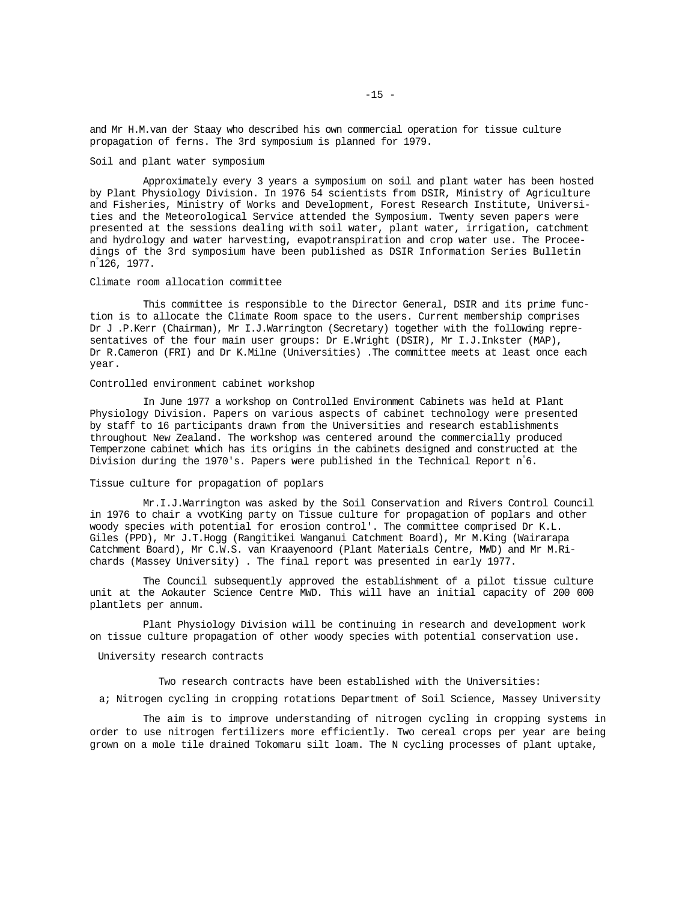and Mr H.M.van der Staay who described his own commercial operation for tissue culture propagation of ferns. The 3rd symposium is planned for 1979.

#### Soil and plant water symposium

Approximately every 3 years a symposium on soil and plant water has been hosted by Plant Physiology Division. In 1976 54 scientists from DSIR, Ministry of Agriculture and Fisheries, Ministry of Works and Development, Forest Research Institute, Universities and the Meteorological Service attended the Symposium. Twenty seven papers were presented at the sessions dealing with soil water, plant water, irrigation, catchment and hydrology and water harvesting, evapotranspiration and crop water use. The Proceedings of the 3rd symposium have been published as DSIR Information Series Bulletin n° 126, 1977.

## Climate room allocation committee

This committee is responsible to the Director General, DSIR and its prime function is to allocate the Climate Room space to the users. Current membership comprises Dr J .P.Kerr (Chairman), Mr I.J.Warrington (Secretary) together with the following representatives of the four main user groups: Dr E.Wright (DSIR), Mr I.J.Inkster (MAP), Dr R.Cameron (FRI) and Dr K.Milne (Universities) .The committee meets at least once each year.

#### Controlled environment cabinet workshop

In June 1977 a workshop on Controlled Environment Cabinets was held at Plant Physiology Division. Papers on various aspects of cabinet technology were presented by staff to 16 participants drawn from the Universities and research establishments throughout New Zealand. The workshop was centered around the commercially produced Temperzone cabinet which has its origins in the cabinets designed and constructed at the Division during the 1970's. Papers were published in the Technical Report n° 6.

#### Tissue culture for propagation of poplars

Mr.I.J.Warrington was asked by the Soil Conservation and Rivers Control Council in 1976 to chair a vvotKing party on Tissue culture for propagation of poplars and other woody species with potential for erosion control'. The committee comprised Dr K.L. Giles (PPD), Mr J.T.Hogg (Rangitikei Wanganui Catchment Board), Mr M.King (Wairarapa Catchment Board), Mr C.W.S. van Kraayenoord (Plant Materials Centre, MWD) and Mr M.Richards (Massey University) . The final report was presented in early 1977.

The Council subsequently approved the establishment of a pilot tissue culture unit at the Aokauter Science Centre MWD. This will have an initial capacity of 200 000 plantlets per annum.

Plant Physiology Division will be continuing in research and development work on tissue culture propagation of other woody species with potential conservation use.

#### University research contracts

Two research contracts have been established with the Universities:

a; Nitrogen cycling in cropping rotations Department of Soil Science, Massey University

The aim is to improve understanding of nitrogen cycling in cropping systems in order to use nitrogen fertilizers more efficiently. Two cereal crops per year are being grown on a mole tile drained Tokomaru silt loam. The N cycling processes of plant uptake,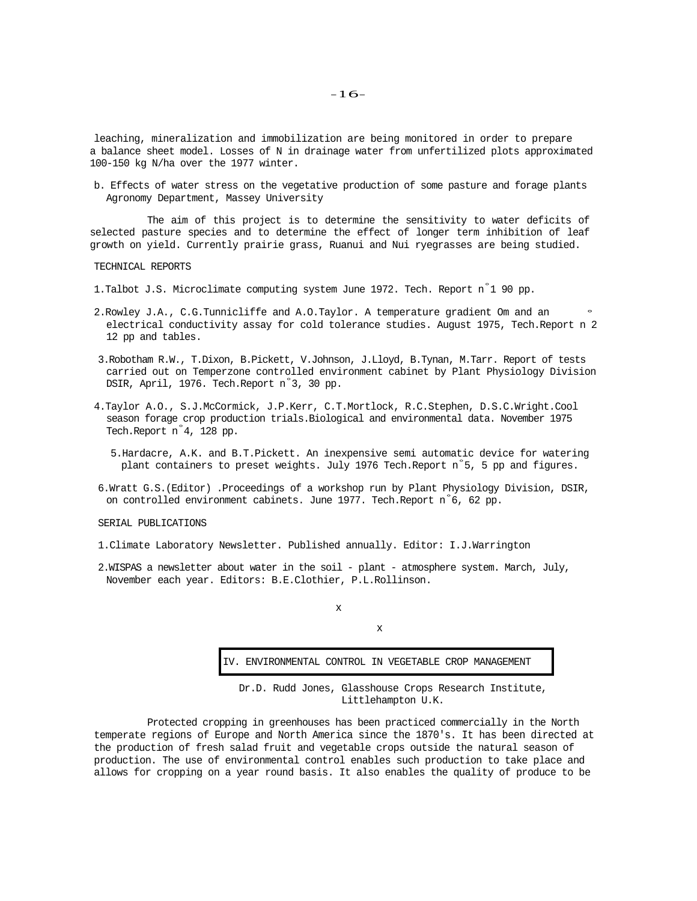leaching, mineralization and immobilization are being monitored in order to prepare a balance sheet model. Losses of N in drainage water from unfertilized plots approximated 100-150 kg N/ha over the 1977 winter.

b. Effects of water stress on the vegetative production of some pasture and forage plants Agronomy Department, Massey University

The aim of this project is to determine the sensitivity to water deficits of selected pasture species and to determine the effect of longer term inhibition of leaf growth on yield. Currently prairie grass, Ruanui and Nui ryegrasses are being studied.

TECHNICAL REPORTS

1.Talbot J.S. Microclimate computing system June 1972. Tech. Report n° 1 90 pp.

- 2.Rowley J.A., C.G.Tunnicliffe and A.O.Taylor. A temperature gradient Om and an ° electrical conductivity assay for cold tolerance studies. August 1975, Tech.Report n 2 12 pp and tables.
- 3.Robotham R.W., T.Dixon, B.Pickett, V.Johnson, J.Lloyd, B.Tynan, M.Tarr. Report of tests carried out on Temperzone controlled environment cabinet by Plant Physiology Division DSIR, April, 1976. Tech.Report n° 3, 30 pp.
- 4.Taylor A.O., S.J.McCormick, J.P.Kerr, C.T.Mortlock, R.C.Stephen, D.S.C.Wright.Cool season forage crop production trials.Biological and environmental data. November 1975 Tech.Report n° 4, 128 pp.
	- 5.Hardacre, A.K. and B.T.Pickett. An inexpensive semi automatic device for watering plant containers to preset weights. July 1976 Tech.Report n° 5, 5 pp and figures.
- 6.Wratt G.S.(Editor) .Proceedings of a workshop run by Plant Physiology Division, DSIR, on controlled environment cabinets. June 1977. Tech.Report n°6, 62 pp.

SERIAL PUBLICATIONS

- 1.Climate Laboratory Newsletter. Published annually. Editor: I.J.Warrington
- 2.WISPAS a newsletter about water in the soil plant atmosphere system. March, July, November each year. Editors: B.E.Clothier, P.L.Rollinson.

x

IV. ENVIRONMENTAL CONTROL IN VEGETABLE CROP MANAGEMENT

x

Dr.D. Rudd Jones, Glasshouse Crops Research Institute, Littlehampton U.K.

Protected cropping in greenhouses has been practiced commercially in the North temperate regions of Europe and North America since the 1870's. It has been directed at the production of fresh salad fruit and vegetable crops outside the natural season of production. The use of environmental control enables such production to take place and allows for cropping on a year round basis. It also enables the quality of produce to be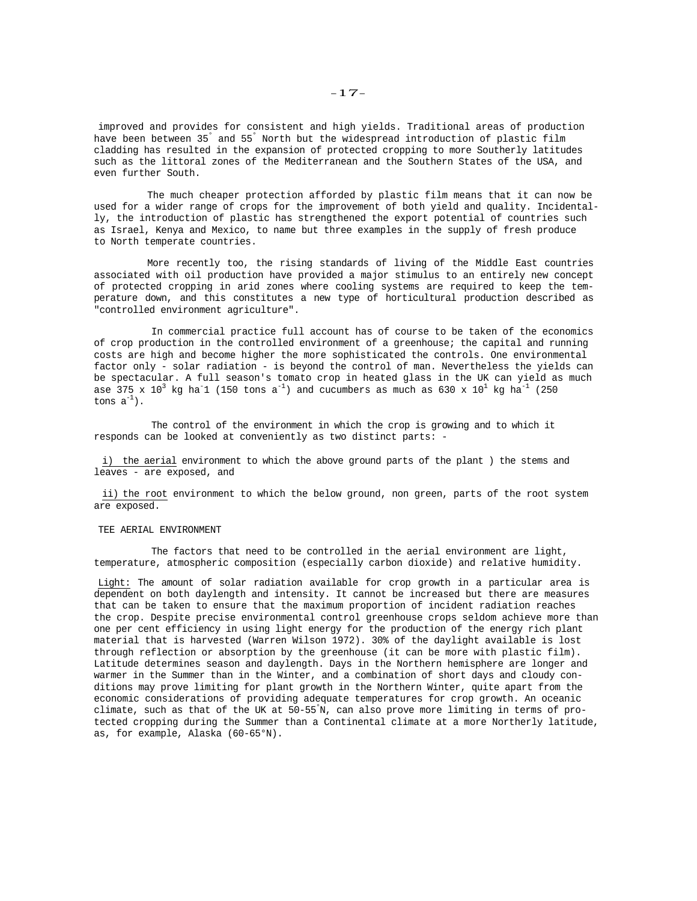improved and provides for consistent and high yields. Traditional areas of production have been between 35° and 55° North but the widespread introduction of plastic film cladding has resulted in the expansion of protected cropping to more Southerly latitudes such as the littoral zones of the Mediterranean and the Southern States of the USA, and even further South.

The much cheaper protection afforded by plastic film means that it can now be used for a wider range of crops for the improvement of both yield and quality. Incidentally, the introduction of plastic has strengthened the export potential of countries such as Israel, Kenya and Mexico, to name but three examples in the supply of fresh produce to North temperate countries.

More recently too, the rising standards of living of the Middle East countries associated with oil production have provided a major stimulus to an entirely new concept of protected cropping in arid zones where cooling systems are required to keep the temperature down, and this constitutes a new type of horticultural production described as "controlled environment agriculture".

In commercial practice full account has of course to be taken of the economics of crop production in the controlled environment of a greenhouse; the capital and running costs are high and become higher the more sophisticated the controls. One environmental factor only - solar radiation - is beyond the control of man. Nevertheless the yields can be spectacular. A full season's tomato crop in heated glass in the UK can yield as much ase 375 x  $10^3$  kg ha<sup>-1</sup> (150 tons a<sup>-1</sup>) and cucumbers as much as 630 x  $10^1$  kg ha<sup>-1</sup> (250 tons  $a^{-1}$ ).

The control of the environment in which the crop is growing and to which it responds can be looked at conveniently as two distinct parts: -

i) the aerial environment to which the above ground parts of the plant ) the stems and leaves - are exposed, and

ii) the root environment to which the below ground, non green, parts of the root system are exposed.

#### TEE AERIAL ENVIRONMENT

The factors that need to be controlled in the aerial environment are light, temperature, atmospheric composition (especially carbon dioxide) and relative humidity.

Light: The amount of solar radiation available for crop growth in a particular area is dependent on both daylength and intensity. It cannot be increased but there are measures that can be taken to ensure that the maximum proportion of incident radiation reaches the crop. Despite precise environmental control greenhouse crops seldom achieve more than one per cent efficiency in using light energy for the production of the energy rich plant material that is harvested (Warren Wilson 1972). 30% of the daylight available is lost through reflection or absorption by the greenhouse (it can be more with plastic film). Latitude determines season and daylength. Days in the Northern hemisphere are longer and warmer in the Summer than in the Winter, and a combination of short days and cloudy conditions may prove limiting for plant growth in the Northern Winter, quite apart from the economic considerations of providing adequate temperatures for crop growth. An oceanic climate, such as that of the UK at 50-55° N, can also prove more limiting in terms of protected cropping during the Summer than a Continental climate at a more Northerly latitude, as, for example, Alaska (60-65°N).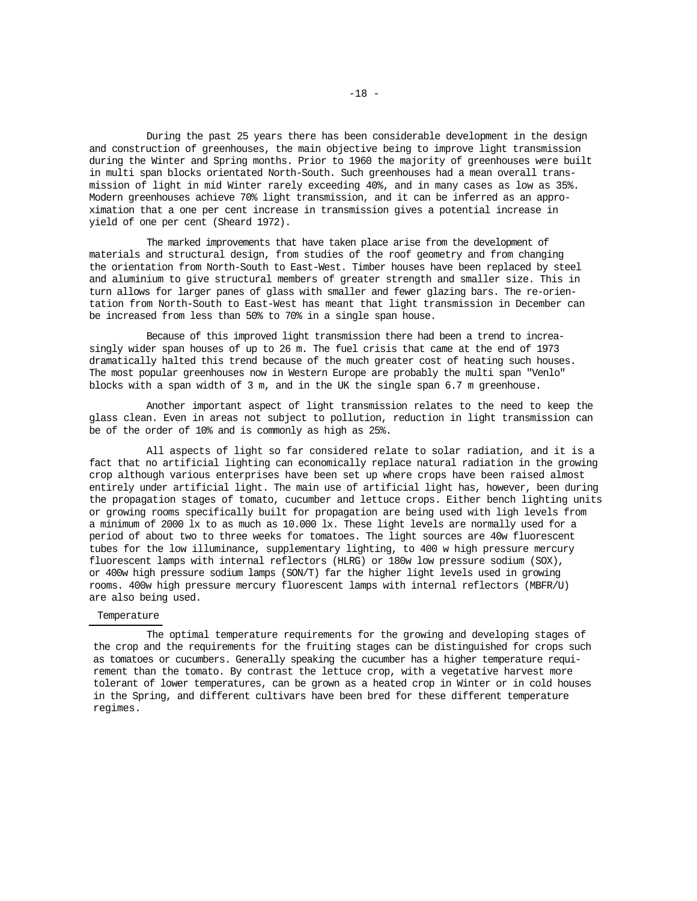During the past 25 years there has been considerable development in the design and construction of greenhouses, the main objective being to improve light transmission during the Winter and Spring months. Prior to 1960 the majority of greenhouses were built in multi span blocks orientated North-South. Such greenhouses had a mean overall transmission of light in mid Winter rarely exceeding 40%, and in many cases as low as 35%. Modern greenhouses achieve 70% light transmission, and it can be inferred as an approximation that a one per cent increase in transmission gives a potential increase in yield of one per cent (Sheard 1972).

The marked improvements that have taken place arise from the development of materials and structural design, from studies of the roof geometry and from changing the orientation from North-South to East-West. Timber houses have been replaced by steel and aluminium to give structural members of greater strength and smaller size. This in turn allows for larger panes of glass with smaller and fewer glazing bars. The re-orientation from North-South to East-West has meant that light transmission in December can be increased from less than 50% to 70% in a single span house.

Because of this improved light transmission there had been a trend to increasingly wider span houses of up to 26 m. The fuel crisis that came at the end of 1973 dramatically halted this trend because of the much greater cost of heating such houses. The most popular greenhouses now in Western Europe are probably the multi span "Venlo" blocks with a span width of 3 m, and in the UK the single span 6.7 m greenhouse.

Another important aspect of light transmission relates to the need to keep the glass clean. Even in areas not subject to pollution, reduction in light transmission can be of the order of 10% and is commonly as high as 25%.

All aspects of light so far considered relate to solar radiation, and it is a fact that no artificial lighting can economically replace natural radiation in the growing crop although various enterprises have been set up where crops have been raised almost entirely under artificial light. The main use of artificial light has, however, been during the propagation stages of tomato, cucumber and lettuce crops. Either bench lighting units or growing rooms specifically built for propagation are being used with ligh levels from a minimum of 2000 lx to as much as 10.000 lx. These light levels are normally used for a period of about two to three weeks for tomatoes. The light sources are 40w fluorescent tubes for the low illuminance, supplementary lighting, to 400 w high pressure mercury fluorescent lamps with internal reflectors (HLRG) or 180w low pressure sodium (SOX), or 400w high pressure sodium lamps (SON/T) far the higher light levels used in growing rooms. 400w high pressure mercury fluorescent lamps with internal reflectors (MBFR/U) are also being used.

## Temperature

The optimal temperature requirements for the growing and developing stages of the crop and the requirements for the fruiting stages can be distinguished for crops such as tomatoes or cucumbers. Generally speaking the cucumber has a higher temperature requirement than the tomato. By contrast the lettuce crop, with a vegetative harvest more tolerant of lower temperatures, can be grown as a heated crop in Winter or in cold houses in the Spring, and different cultivars have been bred for these different temperature regimes.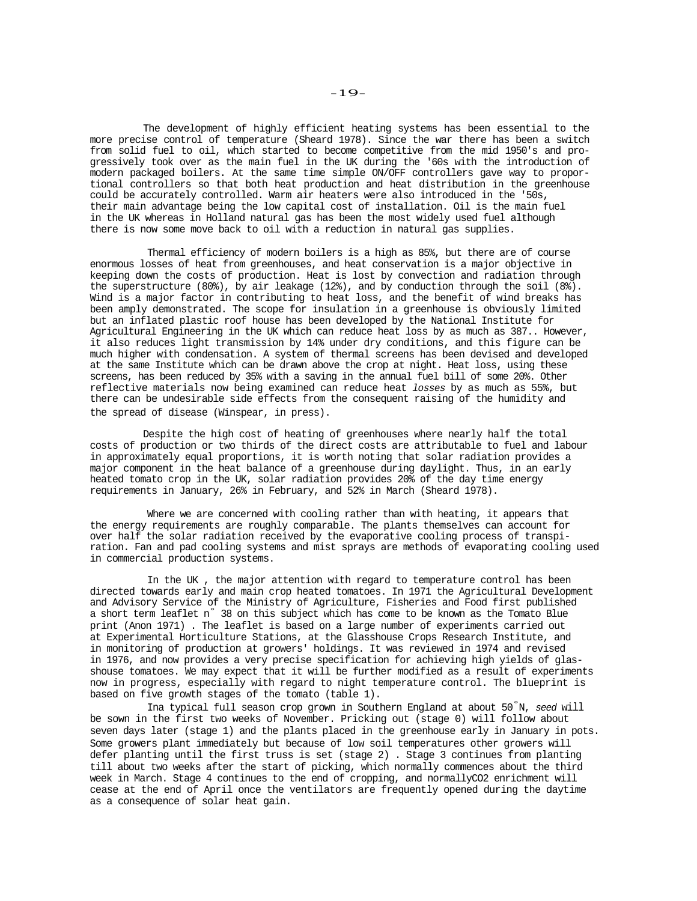The development of highly efficient heating systems has been essential to the more precise control of temperature (Sheard 1978). Since the war there has been a switch from solid fuel to oil, which started to become competitive from the mid 1950's and progressively took over as the main fuel in the UK during the '60s with the introduction of modern packaged boilers. At the same time simple ON/OFF controllers gave way to proportional controllers so that both heat production and heat distribution in the greenhouse could be accurately controlled. Warm air heaters were also introduced in the '50s, their main advantage being the low capital cost of installation. Oil is the main fuel in the UK whereas in Holland natural gas has been the most widely used fuel although there is now some move back to oil with a reduction in natural gas supplies.

Thermal efficiency of modern boilers is a high as 85%, but there are of course enormous losses of heat from greenhouses, and heat conservation is a major objective in keeping down the costs of production. Heat is lost by convection and radiation through the superstructure (80%), by air leakage (12%), and by conduction through the soil (8%). Wind is a major factor in contributing to heat loss, and the benefit of wind breaks has been amply demonstrated. The scope for insulation in a greenhouse is obviously limited but an inflated plastic roof house has been developed by the National Institute for Agricultural Engineering in the UK which can reduce heat loss by as much as 387.. However, it also reduces light transmission by 14% under dry conditions, and this figure can be much higher with condensation. A system of thermal screens has been devised and developed at the same Institute which can be drawn above the crop at night. Heat loss, using these screens, has been reduced by 35% with a saving in the annual fuel bill of some 20%. Other reflective materials now being examined can reduce heat *losses* by as much as 55%, but there can be undesirable side effects from the consequent raising of the humidity and the spread of disease (Winspear, in press).

Despite the high cost of heating of greenhouses where nearly half the total costs of production or two thirds of the direct costs are attributable to fuel and labour in approximately equal proportions, it is worth noting that solar radiation provides a major component in the heat balance of a greenhouse during daylight. Thus, in an early heated tomato crop in the UK, solar radiation provides 20% of the day time energy requirements in January, 26% in February, and 52% in March (Sheard 1978).

Where we are concerned with cooling rather than with heating, it appears that the energy requirements are roughly comparable. The plants themselves can account for over half the solar radiation received by the evaporative cooling process of transpiration. Fan and pad cooling systems and mist sprays are methods of evaporating cooling used in commercial production systems.

In the UK , the major attention with regard to temperature control has been directed towards early and main crop heated tomatoes. In 1971 the Agricultural Development and Advisory Service of the Ministry of Agriculture, Fisheries and Food first published a short term leaflet n° 38 on this subject which has come to be known as the Tomato Blue print (Anon 1971) . The leaflet is based on a large number of experiments carried out at Experimental Horticulture Stations, at the Glasshouse Crops Research Institute, and in monitoring of production at growers' holdings. It was reviewed in 1974 and revised in 1976, and now provides a very precise specification for achieving high yields of glasshouse tomatoes. We may expect that it will be further modified as a result of experiments now in progress, especially with regard to night temperature control. The blueprint is based on five growth stages of the tomato (table 1).

Ina typical full season crop grown in Southern England at about 50° N, *seed* will be sown in the first two weeks of November. Pricking out (stage 0) will follow about seven days later (stage 1) and the plants placed in the greenhouse early in January in pots. Some growers plant immediately but because of low soil temperatures other growers will defer planting until the first truss is set (stage 2) . Stage 3 continues from planting till about two weeks after the start of picking, which normally commences about the third week in March. Stage 4 continues to the end of cropping, and normallyCO2 enrichment will cease at the end of April once the ventilators are frequently opened during the daytime as a consequence of solar heat gain.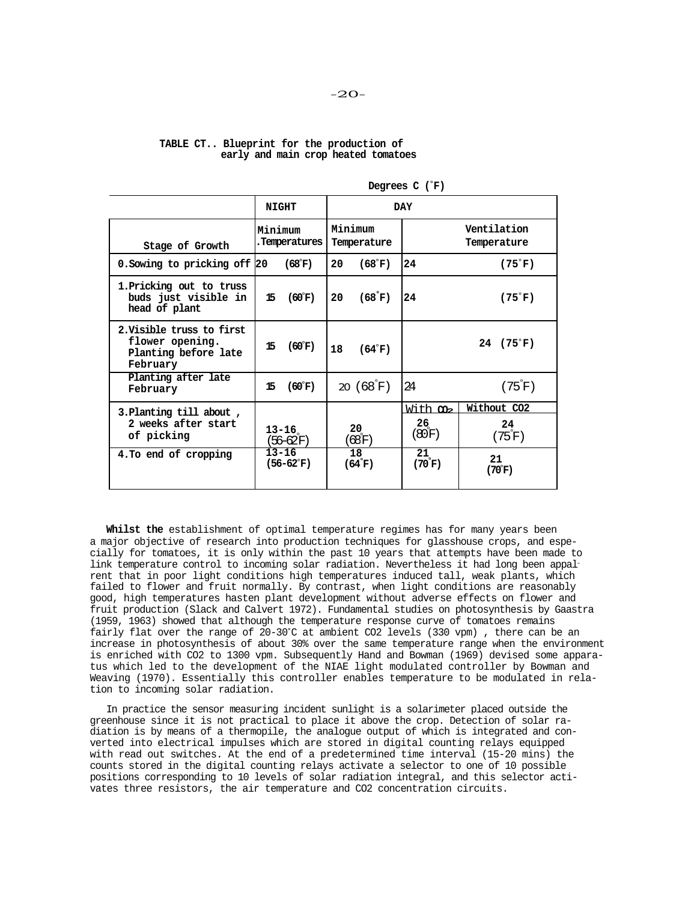## **TABLE CT.. Blueprint for the production of early and main crop heated tomatoes**

|                                                                                  | <b>NIGHT</b>             |                 | DAY                    |                       |                                 |                                     |
|----------------------------------------------------------------------------------|--------------------------|-----------------|------------------------|-----------------------|---------------------------------|-------------------------------------|
| Stage of Growth                                                                  | Minimum<br>.Temperatures |                 | Minimum<br>Temperature |                       |                                 | Ventilation<br>Temperature          |
| 0. Sowing to pricking off 20                                                     | (68°F)                   |                 | 20                     | (68 <sup>°</sup> F)   | 24                              | $(75^{\circ}F)$                     |
| 1. Pricking out to truss<br>buds just visible in<br>head of plant                | 15                       | $(60^{\circ}F)$ | 20                     | (68°F)                | 24                              | $(75^{\circ}F)$                     |
| 2. Visible truss to first<br>flower opening.<br>Planting before late<br>February | 15                       | $(60^{\circ}F)$ | 18                     | $(64^{\circ}F)$       |                                 | $24$ (75°F)                         |
| Planting after late<br>February                                                  | 15                       | $(60^{\circ}F)$ |                        | 20 $(68^{\circ}F)$    | 24                              | $(75^\circ F)$                      |
| 3. Planting till about,<br>2 weeks after start<br>of picking                     | 13–16<br>(56–62F)        |                 | 20<br>$(68)$ F)        |                       | With m<br>$26_{\circ}$<br>(80F) | Without CO2<br>24<br>$(75^\circ F)$ |
| 4. To end of cropping                                                            | $13 - 16$<br>(56–62°F)   |                 |                        | 18<br>$(64^{\circ}F)$ | 21<br>$(70^{\circ}$ F)          | 21<br>(70°F)                        |

**Degrees C (**°**F)** 

**Whilst the** establishment of optimal temperature regimes has for many years been a major objective of research into production techniques for glasshouse crops, and especially for tomatoes, it is only within the past 10 years that attempts have been made to link temperature control to incoming solar radiation. Nevertheless it had long been appalrent that in poor light conditions high temperatures induced tall, weak plants, which failed to flower and fruit normally. By contrast, when light conditions are reasonably good, high temperatures hasten plant development without adverse effects on flower and fruit production (Slack and Calvert 1972). Fundamental studies on photosynthesis by Gaastra (1959, 1963) showed that although the temperature response curve of tomatoes remains fairly flat over the range of 20-30°C at ambient CO2 levels (330 vpm) , there can be an increase in photosynthesis of about 30% over the same temperature range when the environment is enriched with CO2 to 1300 vpm. Subsequently Hand and Bowman (1969) devised some apparatus which led to the development of the NIAE light modulated controller by Bowman and Weaving (1970). Essentially this controller enables temperature to be modulated in relation to incoming solar radiation.

In practice the sensor measuring incident sunlight is a solarimeter placed outside the greenhouse since it is not practical to place it above the crop. Detection of solar radiation is by means of a thermopile, the analogue output of which is integrated and converted into electrical impulses which are stored in digital counting relays equipped with read out switches. At the end of a predetermined time interval (15-20 mins) the counts stored in the digital counting relays activate a selector to one of 10 possible positions corresponding to 10 levels of solar radiation integral, and this selector activates three resistors, the air temperature and CO2 concentration circuits.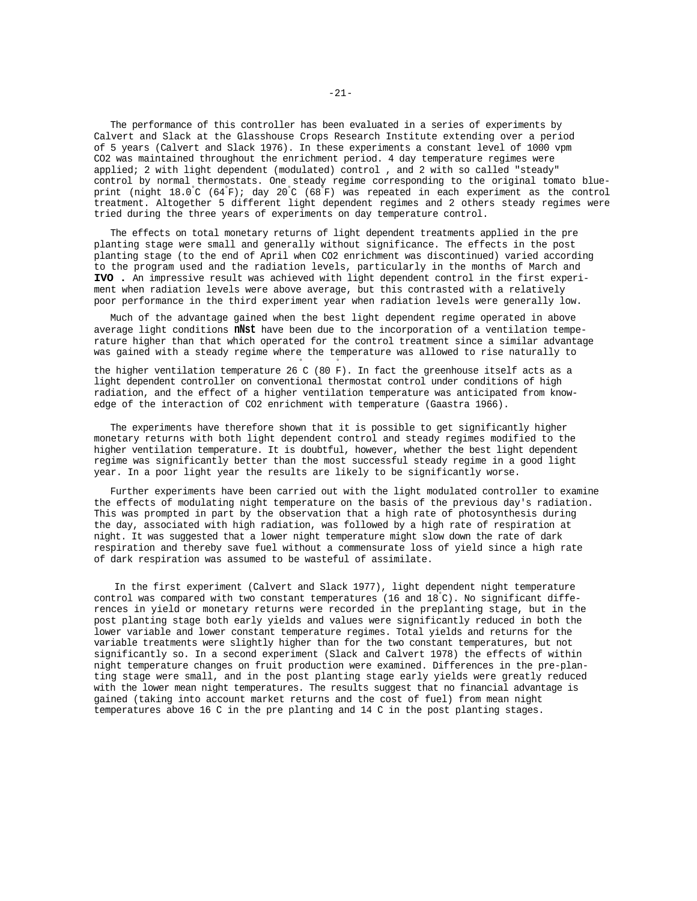The performance of this controller has been evaluated in a series of experiments by Calvert and Slack at the Glasshouse Crops Research Institute extending over a period of 5 years (Calvert and Slack 1976). In these experiments a constant level of 1000 vpm CO2 was maintained throughout the enrichment period. 4 day temperature regimes were applied; 2 with light dependent (modulated) control , and 2 with so called "steady" control by normal thermostats. One steady regime corresponding to the original tomato blueprint (night 18.0° C (64° F); day 20° C (68° F) was repeated in each experiment as the control treatment. Altogether 5 different light dependent regimes and 2 others steady regimes were tried during the three years of experiments on day temperature control.

The effects on total monetary returns of light dependent treatments applied in the pre planting stage were small and generally without significance. The effects in the post planting stage (to the end of April when CO2 enrichment was discontinued) varied according to the program used and the radiation levels, particularly in the months of March and **IVO .** An impressive result was achieved with light dependent control in the first experiment when radiation levels were above average, but this contrasted with a relatively poor performance in the third experiment year when radiation levels were generally low.

Much of the advantage gained when the best light dependent regime operated in above average light conditions **nNst** have been due to the incorporation of a ventilation temperature higher than that which operated for the control treatment since a similar advantage was gained with a steady regime where the temperature was allowed to rise naturally to

the higher ventilation temperature 26 C (80 F). In fact the greenhouse itself acts as a light dependent controller on conventional thermostat control under conditions of high radiation, and the effect of a higher ventilation temperature was anticipated from knowedge of the interaction of CO2 enrichment with temperature (Gaastra 1966).

The experiments have therefore shown that it is possible to get significantly higher monetary returns with both light dependent control and steady regimes modified to the higher ventilation temperature. It is doubtful, however, whether the best light dependent regime was significantly better than the most successful steady regime in a good light year. In a poor light year the results are likely to be significantly worse.

Further experiments have been carried out with the light modulated controller to examine the effects of modulating night temperature on the basis of the previous day's radiation. This was prompted in part by the observation that a high rate of photosynthesis during the day, associated with high radiation, was followed by a high rate of respiration at night. It was suggested that a lower night temperature might slow down the rate of dark respiration and thereby save fuel without a commensurate loss of yield since a high rate of dark respiration was assumed to be wasteful of assimilate.

In the first experiment (Calvert and Slack 1977), light dependent night temperature control was compared with two constant temperatures (16 and 18° C). No significant differences in yield or monetary returns were recorded in the preplanting stage, but in the post planting stage both early yields and values were significantly reduced in both the lower variable and lower constant temperature regimes. Total yields and returns for the variable treatments were slightly higher than for the two constant temperatures, but not significantly so. In a second experiment (Slack and Calvert 1978) the effects of within night temperature changes on fruit production were examined. Differences in the pre-planting stage were small, and in the post planting stage early yields were greatly reduced with the lower mean night temperatures. The results suggest that no financial advantage is gained (taking into account market returns and the cost of fuel) from mean night temperatures above 16 C in the pre planting and 14 C in the post planting stages.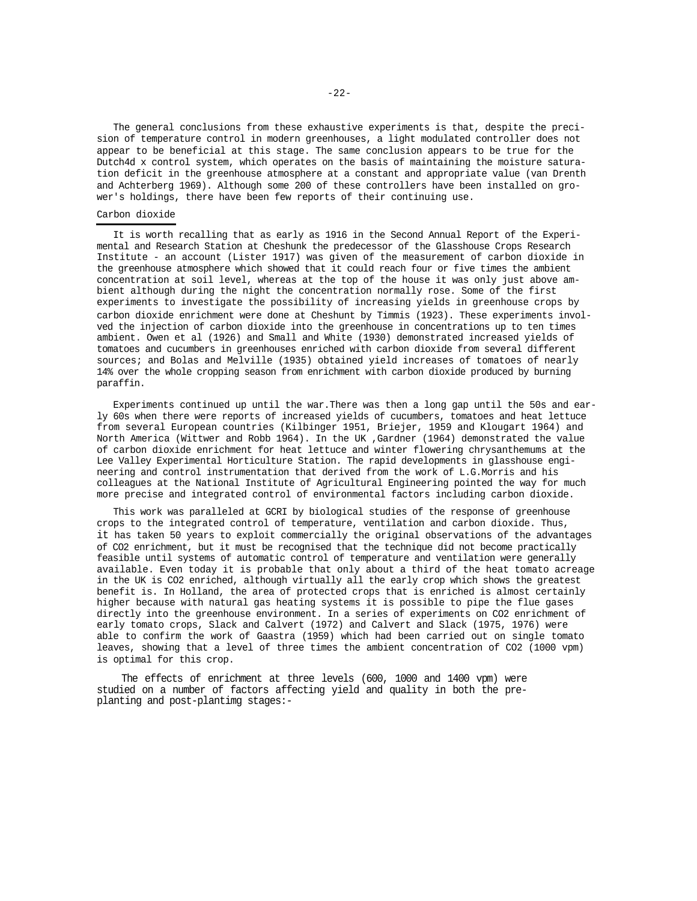The general conclusions from these exhaustive experiments is that, despite the precision of temperature control in modern greenhouses, a light modulated controller does not appear to be beneficial at this stage. The same conclusion appears to be true for the Dutch4d x control system, which operates on the basis of maintaining the moisture saturation deficit in the greenhouse atmosphere at a constant and appropriate value (van Drenth and Achterberg 1969). Although some 200 of these controllers have been installed on grower's holdings, there have been few reports of their continuing use.

## Carbon dioxide

It is worth recalling that as early as 1916 in the Second Annual Report of the Experimental and Research Station at Cheshunk the predecessor of the Glasshouse Crops Research Institute - an account (Lister 1917) was given of the measurement of carbon dioxide in the greenhouse atmosphere which showed that it could reach four or five times the ambient concentration at soil level, whereas at the top of the house it was only just above ambient although during the night the concentration normally rose. Some of the first experiments to investigate the possibility of increasing yields in greenhouse crops by carbon dioxide enrichment were done at Cheshunt by Timmis (1923). These experiments involved the injection of carbon dioxide into the greenhouse in concentrations up to ten times ambient. Owen et al (1926) and Small and White (1930) demonstrated increased yields of tomatoes and cucumbers in greenhouses enriched with carbon dioxide from several different sources; and Bolas and Melville (1935) obtained yield increases of tomatoes of nearly 14% over the whole cropping season from enrichment with carbon dioxide produced by burning paraffin.

Experiments continued up until the war.There was then a long gap until the 50s and early 60s when there were reports of increased yields of cucumbers, tomatoes and heat lettuce from several European countries (Kilbinger 1951, Briejer, 1959 and Klougart 1964) and North America (Wittwer and Robb 1964). In the UK ,Gardner (1964) demonstrated the value of carbon dioxide enrichment for heat lettuce and winter flowering chrysanthemums at the Lee Valley Experimental Horticulture Station. The rapid developments in glasshouse engineering and control instrumentation that derived from the work of L.G.Morris and his colleagues at the National Institute of Agricultural Engineering pointed the way for much more precise and integrated control of environmental factors including carbon dioxide.

This work was paralleled at GCRI by biological studies of the response of greenhouse crops to the integrated control of temperature, ventilation and carbon dioxide. Thus, it has taken 50 years to exploit commercially the original observations of the advantages of CO2 enrichment, but it must be recognised that the technique did not become practically feasible until systems of automatic control of temperature and ventilation were generally available. Even today it is probable that only about a third of the heat tomato acreage in the UK is CO2 enriched, although virtually all the early crop which shows the greatest benefit is. In Holland, the area of protected crops that is enriched is almost certainly higher because with natural gas heating systems it is possible to pipe the flue gases directly into the greenhouse environment. In a series of experiments on CO2 enrichment of early tomato crops, Slack and Calvert (1972) and Calvert and Slack (1975, 1976) were able to confirm the work of Gaastra (1959) which had been carried out on single tomato leaves, showing that a level of three times the ambient concentration of CO2 (1000 vpm) is optimal for this crop.

The effects of enrichment at three levels (600, 1000 and 1400 vpm) were studied on a number of factors affecting yield and quality in both the preplanting and post-plantimg stages:-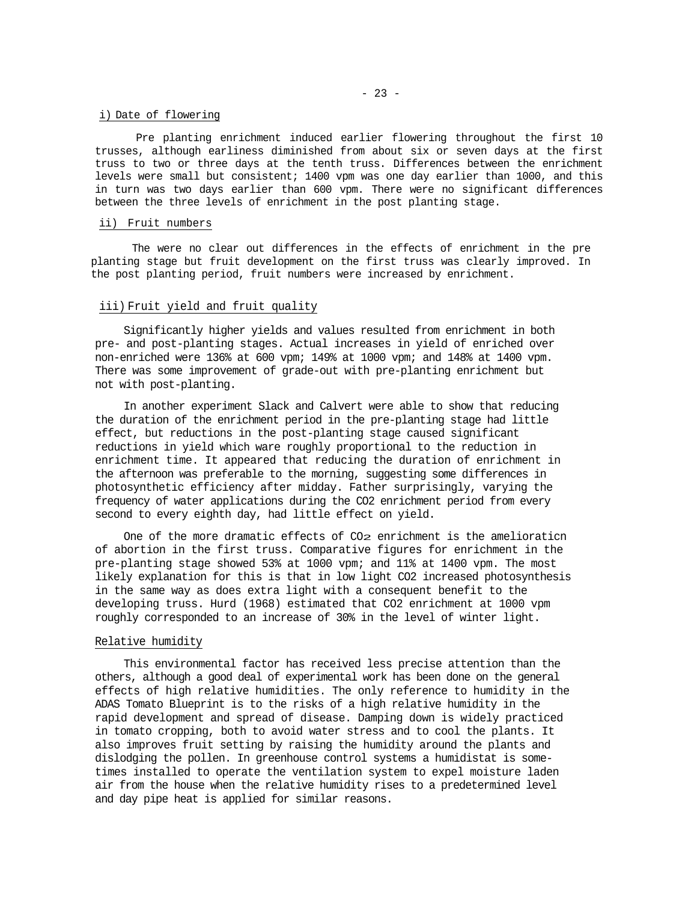## i) Date of flowering

Pre planting enrichment induced earlier flowering throughout the first 10 trusses, although earliness diminished from about six or seven days at the first truss to two or three days at the tenth truss. Differences between the enrichment levels were small but consistent; 1400 vpm was one day earlier than 1000, and this in turn was two days earlier than 600 vpm. There were no significant differences between the three levels of enrichment in the post planting stage.

## ii) Fruit numbers

The were no clear out differences in the effects of enrichment in the pre planting stage but fruit development on the first truss was clearly improved. In the post planting period, fruit numbers were increased by enrichment.

# iii) Fruit yield and fruit quality

Significantly higher yields and values resulted from enrichment in both pre- and post-planting stages. Actual increases in yield of enriched over non-enriched were 136% at 600 vpm; 149% at 1000 vpm; and 148% at 1400 vpm. There was some improvement of grade-out with pre-planting enrichment but not with post-planting.

In another experiment Slack and Calvert were able to show that reducing the duration of the enrichment period in the pre-planting stage had little effect, but reductions in the post-planting stage caused significant reductions in yield which ware roughly proportional to the reduction in enrichment time. It appeared that reducing the duration of enrichment in the afternoon was preferable to the morning, suggesting some differences in photosynthetic efficiency after midday. Father surprisingly, varying the frequency of water applications during the CO2 enrichment period from every second to every eighth day, had little effect on yield.

One of the more dramatic effects of CO2 enrichment is the amelioraticn of abortion in the first truss. Comparative figures for enrichment in the pre-planting stage showed 53% at 1000 vpm; and 11% at 1400 vpm. The most likely explanation for this is that in low light CO2 increased photosynthesis in the same way as does extra light with a consequent benefit to the developing truss. Hurd (1968) estimated that CO2 enrichment at 1000 vpm roughly corresponded to an increase of 30% in the level of winter light.

#### Relative humidity

This environmental factor has received less precise attention than the others, although a good deal of experimental work has been done on the general effects of high relative humidities. The only reference to humidity in the ADAS Tomato Blueprint is to the risks of a high relative humidity in the rapid development and spread of disease. Damping down is widely practiced in tomato cropping, both to avoid water stress and to cool the plants. It also improves fruit setting by raising the humidity around the plants and dislodging the pollen. In greenhouse control systems a humidistat is sometimes installed to operate the ventilation system to expel moisture laden air from the house when the relative humidity rises to a predetermined level and day pipe heat is applied for similar reasons.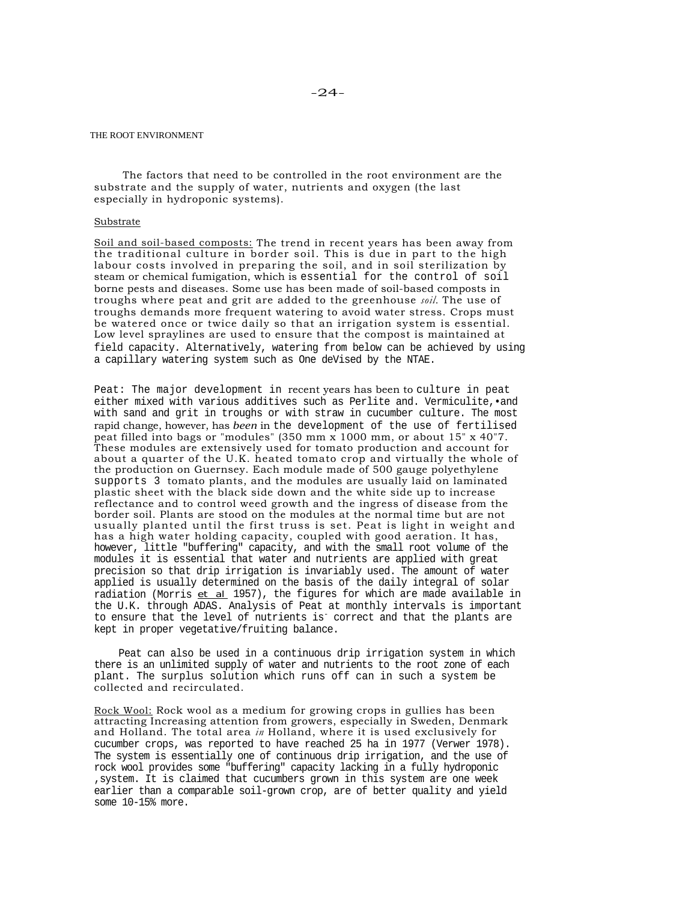THE ROOT ENVIRONMENT

The factors that need to be controlled in the root environment are the substrate and the supply of water, nutrients and oxygen (the last especially in hydroponic systems).

## Substrate

Soil and soil-based composts: The trend in recent years has been away from the traditional culture in border soil. This is due in part to the high labour costs involved in preparing the soil, and in soil sterilization by steam or chemical fumigation, which is essential for the control of soil borne pests and diseases. Some use has been made of soil-based composts in troughs where peat and grit are added to the greenhouse *soil.* The use of troughs demands more frequent watering to avoid water stress. Crops must be watered once or twice daily so that an irrigation system is essential. Low level spraylines are used to ensure that the compost is maintained at field capacity. Alternatively, watering from below can be achieved by using a capillary watering system such as One deVised by the NTAE.

Peat: The major development in recent years has been to culture in peat either mixed with various additives such as Perlite and. Vermiculite,•and with sand and grit in troughs or with straw in cucumber culture. The most rapid change, however, has *been* in the development of the use of fertilised peat filled into bags or "modules" (350 mm x 1000 mm, or about 15" x 40"7. These modules are extensively used for tomato production and account for about a quarter of the U.K. heated tomato crop and virtually the whole of the production on Guernsey. Each module made of 500 gauge polyethylene supports 3 tomato plants, and the modules are usually laid on laminated plastic sheet with the black side down and the white side up to increase reflectance and to control weed growth and the ingress of disease from the border soil. Plants are stood on the modules at the normal time but are not usually planted until the first truss is set. Peat is light in weight and has a high water holding capacity, coupled with good aeration. It has, however, little "buffering" capacity, and with the small root volume of the modules it is essential that water and nutrients are applied with great precision so that drip irrigation is invariably used. The amount of water applied is usually determined on the basis of the daily integral of solar radiation (Morris et al 1957), the figures for which are made available in the U.K. through ADAS. Analysis of Peat at monthly intervals is important to ensure that the level of nutrients is<sup>-</sup> correct and that the plants are kept in proper vegetative/fruiting balance.

Peat can also be used in a continuous drip irrigation system in which there is an unlimited supply of water and nutrients to the root zone of each plant. The surplus solution which runs off can in such a system be collected and recirculated.

Rock Wool: Rock wool as a medium for growing crops in gullies has been attracting Increasing attention from growers, especially in Sweden, Denmark and Holland. The total area *in* Holland, where it is used exclusively for cucumber crops, was reported to have reached 25 ha in 1977 (Verwer 1978). The system is essentially one of continuous drip irrigation, and the use of rock wool provides some "buffering" capacity lacking in a fully hydroponic ,system. It is claimed that cucumbers grown in this system are one week earlier than a comparable soil-grown crop, are of better quality and yield some 10-15% more.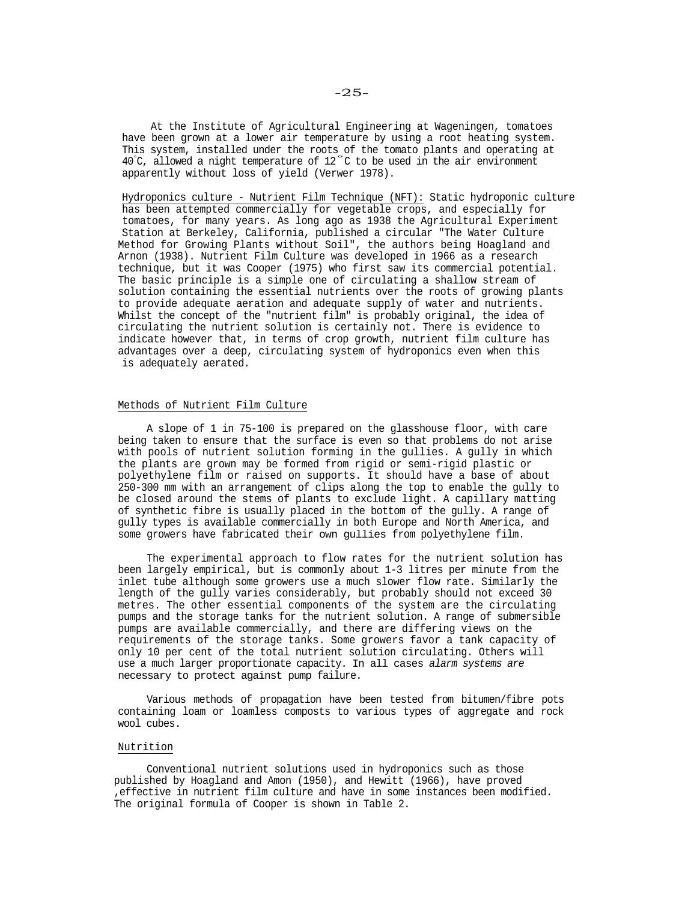At the Institute of Agricultural Engineering at Wageningen, tomatoes have been grown at a lower air temperature by using a root heating system. This system, installed under the roots of the tomato plants and operating at 40° C, allowed a night temperature of 12° C to be used in the air environment apparently without loss of yield (Verwer 1978).

Hydroponics culture - Nutrient Film Technique (NFT): Static hydroponic culture has been attempted commercially for vegetable crops, and especially for tomatoes, for many years. As long ago as 1938 the Agricultural Experiment Station at Berkeley, California, published a circular "The Water Culture Method for Growing Plants without Soil", the authors being Hoagland and Arnon (1938). Nutrient Film Culture was developed in 1966 as a research technique, but it was Cooper (1975) who first saw its commercial potential. The basic principle is a simple one of circulating a shallow stream of solution containing the essential nutrients over the roots of growing plants to provide adequate aeration and adequate supply of water and nutrients. Whilst the concept of the "nutrient film" is probably original, the idea of circulating the nutrient solution is certainly not. There is evidence to indicate however that, in terms of crop growth, nutrient film culture has advantages over a deep, circulating system of hydroponics even when this is adequately aerated.

## Methods of Nutrient Film Culture

A slope of 1 in 75-100 is prepared on the glasshouse floor, with care being taken to ensure that the surface is even so that problems do not arise with pools of nutrient solution forming in the gullies. A gully in which the plants are grown may be formed from rigid or semi-rigid plastic or polyethylene film or raised on supports. It should have a base of about 250-300 mm with an arrangement of clips along the top to enable the gully to be closed around the stems of plants to exclude light. A capillary matting of synthetic fibre is usually placed in the bottom of the gully. A range of gully types is available commercially in both Europe and North America, and some growers have fabricated their own gullies from polyethylene film.

The experimental approach to flow rates for the nutrient solution has been largely empirical, but is commonly about 1-3 litres per minute from the inlet tube although some growers use a much slower flow rate. Similarly the length of the gully varies considerably, but probably should not exceed 30 metres. The other essential components of the system are the circulating pumps and the storage tanks for the nutrient solution. A range of submersible pumps are available commercially, and there are differing views on the requirements of the storage tanks. Some growers favor a tank capacity of only 10 per cent of the total nutrient solution circulating. Others will use a much larger proportionate capacity. In all cases *alarm systems are*  necessary to protect against pump failure.

Various methods of propagation have been tested from bitumen/fibre pots containing loam or loamless composts to various types of aggregate and rock wool cubes.

#### Nutrition

Conventional nutrient solutions used in hydroponics such as those published by Hoagland and Amon (1950), and Hewitt (1966), have proved ,effective in nutrient film culture and have in some instances been modified. The original formula of Cooper is shown in Table 2.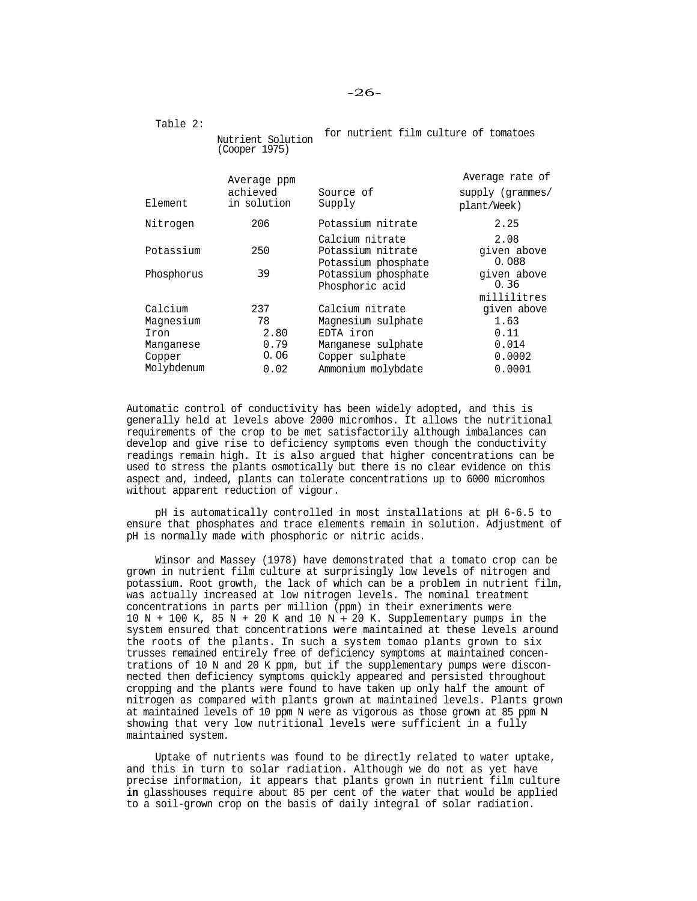Table 2:

Nutrient Solution (Cooper 1975) for nutrient film culture of tomatoes

|            | Average ppm |                                                             | Average rate of                    |
|------------|-------------|-------------------------------------------------------------|------------------------------------|
|            | achieved    | Source of                                                   | supply (grammes/                   |
| Element    | in solution | Supply                                                      | plant/Week)                        |
| Nitrogen   | 206         | Potassium nitrate                                           | 2.25                               |
| Potassium  | 250         | Calcium nitrate<br>Potassium nitrate<br>Potassium phosphate | 2.08<br>given above<br>0.088       |
| Phosphorus | 39          | Potassium phosphate<br>Phosphoric acid                      | given above<br>0.36<br>millilitres |
| Calcium    | 237         | Calcium nitrate                                             | given above                        |
| Magnesium  | 78          | Magnesium sulphate                                          | 1.63                               |
| Iron       | 2.80        | EDTA iron                                                   | 0.11                               |
| Manganese  | 0.79        | Manganese sulphate                                          | 0.014                              |
| Copper     | 0.06        | Copper sulphate                                             | 0.0002                             |
| Molybdenum | 0.02        | Ammonium molybdate                                          | 0.0001                             |

Automatic control of conductivity has been widely adopted, and this is generally held at levels above 2000 micromhos. It allows the nutritional requirements of the crop to be met satisfactorily although imbalances can develop and give rise to deficiency symptoms even though the conductivity readings remain high. It is also argued that higher concentrations can be used to stress the plants osmotically but there is no clear evidence on this aspect and, indeed, plants can tolerate concentrations up to 6000 micromhos without apparent reduction of vigour.

pH is automatically controlled in most installations at pH 6-6.5 to ensure that phosphates and trace elements remain in solution. Adjustment of pH is normally made with phosphoric or nitric acids.

Winsor and Massey (1978) have demonstrated that a tomato crop can be grown in nutrient film culture at surprisingly low levels of nitrogen and potassium. Root growth, the lack of which can be a problem in nutrient film, was actually increased at low nitrogen levels. The nominal treatment concentrations in parts per million (ppm) in their exneriments were  $10 N + 100 K$ ,  $85 N + 20 K$  and  $10 N + 20 K$ . Supplementary pumps in the system ensured that concentrations were maintained at these levels around the roots of the plants. In such a system tomao plants grown to six trusses remained entirely free of deficiency symptoms at maintained concentrations of 10 N and 20 K ppm, but if the supplementary pumps were disconnected then deficiency symptoms quickly appeared and persisted throughout cropping and the plants were found to have taken up only half the amount of nitrogen as compared with plants grown at maintained levels. Plants grown at maintained levels of 10 ppm N were as vigorous as those grown at 85 ppm N showing that very low nutritional levels were sufficient in a fully maintained system.

Uptake of nutrients was found to be directly related to water uptake, and this in turn to solar radiation. Although we do not as yet have precise information, it appears that plants grown in nutrient film culture **in** glasshouses require about 85 per cent of the water that would be applied to a soil-grown crop on the basis of daily integral of solar radiation.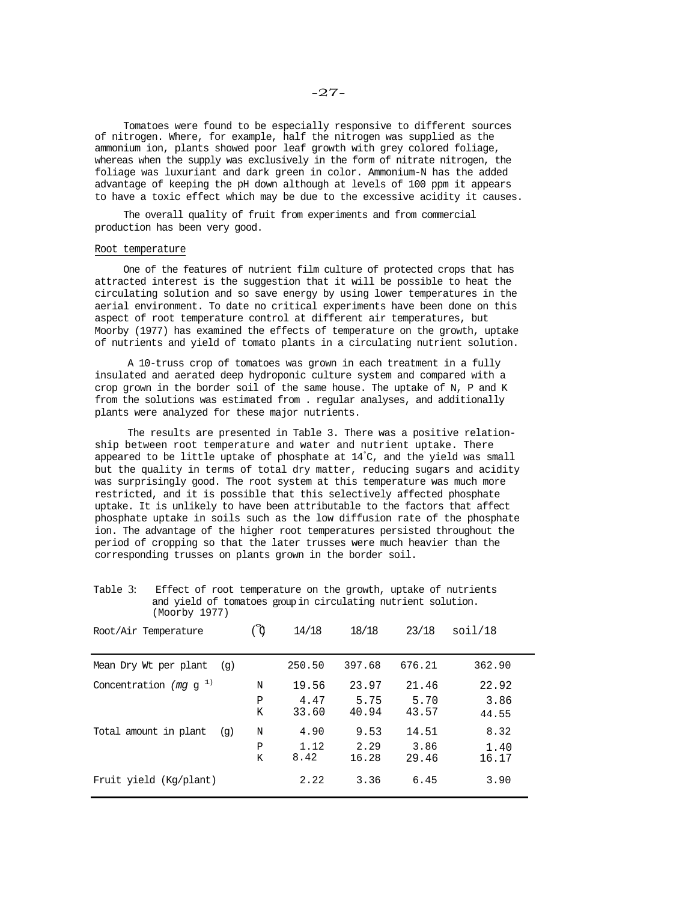Tomatoes were found to be especially responsive to different sources of nitrogen. Where, for example, half the nitrogen was supplied as the ammonium ion, plants showed poor leaf growth with grey colored foliage, whereas when the supply was exclusively in the form of nitrate nitrogen, the foliage was luxuriant and dark green in color. Ammonium-N has the added advantage of keeping the pH down although at levels of 100 ppm it appears to have a toxic effect which may be due to the excessive acidity it causes.

The overall quality of fruit from experiments and from commercial production has been very good.

## Root temperature

One of the features of nutrient film culture of protected crops that has attracted interest is the suggestion that it will be possible to heat the circulating solution and so save energy by using lower temperatures in the aerial environment. To date no critical experiments have been done on this aspect of root temperature control at different air temperatures, but Moorby (1977) has examined the effects of temperature on the growth, uptake of nutrients and yield of tomato plants in a circulating nutrient solution.

A 10-truss crop of tomatoes was grown in each treatment in a fully insulated and aerated deep hydroponic culture system and compared with a crop grown in the border soil of the same house. The uptake of N, P and K from the solutions was estimated from . regular analyses, and additionally plants were analyzed for these major nutrients.

The results are presented in Table 3. There was a positive relationship between root temperature and water and nutrient uptake. There appeared to be little uptake of phosphate at 14° C, and the yield was small but the quality in terms of total dry matter, reducing sugars and acidity was surprisingly good. The root system at this temperature was much more restricted, and it is possible that this selectively affected phosphate uptake. It is unlikely to have been attributable to the factors that affect phosphate uptake in soils such as the low diffusion rate of the phosphate ion. The advantage of the higher root temperatures persisted throughout the period of cropping so that the later trusses were much heavier than the corresponding trusses on plants grown in the border soil.

| Table 3: | Effect of root temperature on the growth, uptake of nutrients |  |
|----------|---------------------------------------------------------------|--|
|          | and yield of tomatoes group in circulating nutrient solution. |  |
|          | (Moorby 1977)                                                 |  |

| Root/Air Temperature         | ്റ          | 14/18                  | 18/18                  | 23/18                  | soi1/18                |
|------------------------------|-------------|------------------------|------------------------|------------------------|------------------------|
| Mean Dry Wt per plant<br>(q) |             | 250.50                 | 397.68                 | 676.21                 | 362.90                 |
| Concentration (mg $q^{-1}$ ) | N<br>Ρ<br>Κ | 19.56<br>4.47<br>33.60 | 23.97<br>5.75<br>40.94 | 21.46<br>5.70<br>43.57 | 22.92<br>3.86<br>44.55 |
| Total amount in plant<br>(q) | N<br>Ρ<br>K | 4.90<br>1.12<br>8.42   | 9.53<br>2.29<br>16.28  | 14.51<br>3.86<br>29.46 | 8.32<br>1.40<br>16.17  |
| Fruit yield (Kq/plant)       |             | 2.22                   | 3.36                   | 6.45                   | 3.90                   |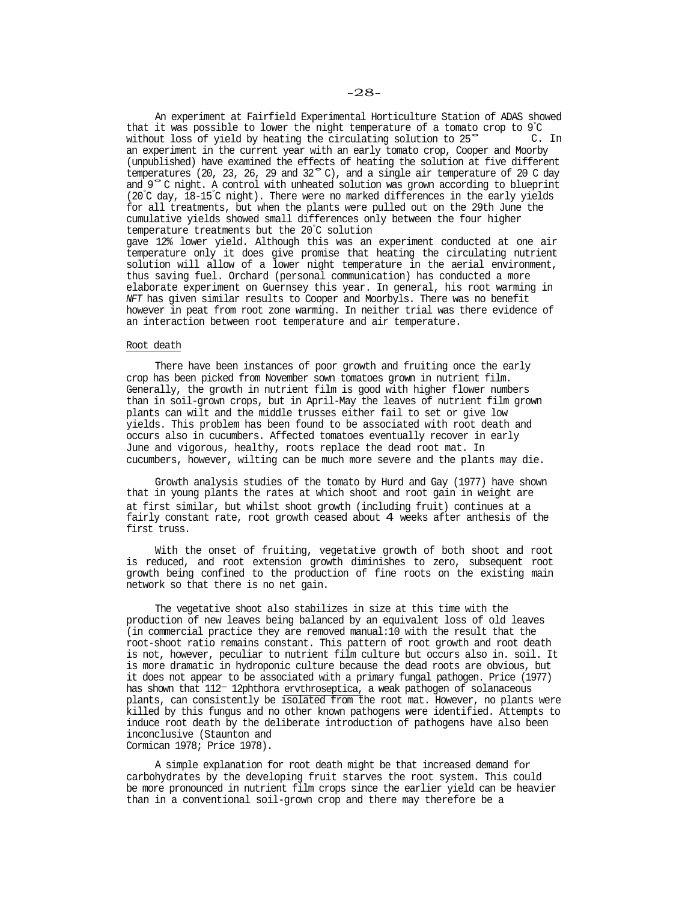An experiment at Fairfield Experimental Horticulture Station of ADAS showed that it was possible to lower the night temperature of a tomato crop to 9° C without loss of yield by heating the circulating solution to 25° an experiment in the current year with an early tomato crop, Cooper and Moorby (unpublished) have examined the effects of heating the solution at five different temperatures (20, 23, 26, 29 and 32°C), and a single air temperature of 20 C day and 9°C night. A control with unheated solution was grown according to blueprint (20° C day, 18-15° C night). There were no marked differences in the early yields for all treatments, but when the plants were pulled out on the 29th June the cumulative yields showed small differences only between the four higher temperature treatments but the 20° C solution gave 12% lower yield. Although this was an experiment conducted at one air temperature only it does give promise that heating the circulating nutrient solution will allow of a lower night temperature in the aerial environment, thus saving fuel. Orchard (personal communication) has conducted a more elaborate experiment on Guernsey this year. In general, his root warming in *NFT* has given similar results to Cooper and Moorbyls. There was no benefit however in peat from root zone warming. In neither trial was there evidence of an interaction between root temperature and air temperature. C. In

## Root death

There have been instances of poor growth and fruiting once the early crop has been picked from November sown tomatoes grown in nutrient film. Generally, the growth in nutrient film is good with higher flower numbers than in soil-grown crops, but in April-May the leaves of nutrient film grown plants can wilt and the middle trusses either fail to set or give low yields. This problem has been found to be associated with root death and occurs also in cucumbers. Affected tomatoes eventually recover in early June and vigorous, healthy, roots replace the dead root mat. In cucumbers, however, wilting can be much more severe and the plants may die.

Growth analysis studies of the tomato by Hurd and Gay (1977) have shown that in young plants the rates at which shoot and root gain in weight are at first similar, but whilst shoot growth (including fruit) continues at a fairly constant rate, root growth ceased about 4 weeks after anthesis of the first truss.

With the onset of fruiting, vegetative growth of both shoot and root is reduced, and root extension growth diminishes to zero, subsequent root growth being confined to the production of fine roots on the existing main network so that there is no net gain.

The vegetative shoot also stabilizes in size at this time with the production of new leaves being balanced by an equivalent loss of old leaves (in commercial practice they are removed manual:10 with the result that the root-shoot ratio remains constant. This pattern of root growth and root death is not, however, peculiar to nutrient film culture but occurs also in. soil. It is more dramatic in hydroponic culture because the dead roots are obvious, but it does not appear to be associated with a primary fungal pathogen. Price (1977) has shown that  $112-12$ phthora ervthroseptica, a weak pathogen of solanaceous plants, can consistently be isolated from the root mat. However, no plants were killed by this fungus and no other known pathogens were identified. Attempts to induce root death by the deliberate introduction of pathogens have also been inconclusive (Staunton and Cormican 1978; Price 1978).

A simple explanation for root death might be that increased demand for carbohydrates by the developing fruit starves the root system. This could be more pronounced in nutrient film crops since the earlier yield can be heavier than in a conventional soil-grown crop and there may therefore be a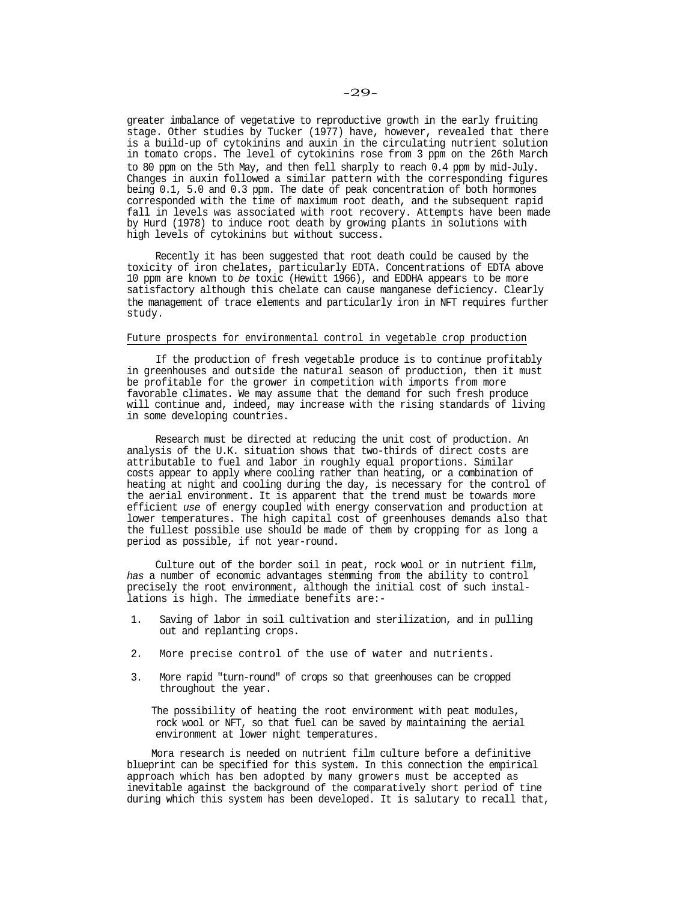greater imbalance of vegetative to reproductive growth in the early fruiting stage. Other studies by Tucker (1977) have, however, revealed that there is a build-up of cytokinins and auxin in the circulating nutrient solution in tomato crops. The level of cytokinins rose from 3 ppm on the 26th March to 80 ppm on the 5th May, and then fell sharply to reach 0.4 ppm by mid-July. Changes in auxin followed a similar pattern with the corresponding figures being 0.1, 5.0 and 0.3 ppm. The date of peak concentration of both hormones corresponded with the time of maximum root death, and the subsequent rapid fall in levels was associated with root recovery. Attempts have been made by Hurd (1978) to induce root death by growing plants in solutions with high levels of cytokinins but without success.

Recently it has been suggested that root death could be caused by the toxicity of iron chelates, particularly EDTA. Concentrations of EDTA above 10 ppm are known to *be* toxic (Hewitt 1966), and EDDHA appears to be more satisfactory although this chelate can cause manganese deficiency. Clearly the management of trace elements and particularly iron in NFT requires further study.

# Future prospects for environmental control in vegetable crop production

If the production of fresh vegetable produce is to continue profitably in greenhouses and outside the natural season of production, then it must be profitable for the grower in competition with imports from more favorable climates. We may assume that the demand for such fresh produce will continue and, indeed, may increase with the rising standards of living in some developing countries.

Research must be directed at reducing the unit cost of production. An analysis of the U.K. situation shows that two-thirds of direct costs are attributable to fuel and labor in roughly equal proportions. Similar costs appear to apply where cooling rather than heating, or a combination of heating at night and cooling during the day, is necessary for the control of the aerial environment. It is apparent that the trend must be towards more efficient *use* of energy coupled with energy conservation and production at lower temperatures. The high capital cost of greenhouses demands also that the fullest possible use should be made of them by cropping for as long a period as possible, if not year-round.

Culture out of the border soil in peat, rock wool or in nutrient film, *has* a number of economic advantages stemming from the ability to control precisely the root environment, although the initial cost of such installations is high. The immediate benefits are:-

- 1. Saving of labor in soil cultivation and sterilization, and in pulling out and replanting crops.
- 2. More precise control of the use of water and nutrients.
- 3. More rapid "turn-round" of crops so that greenhouses can be cropped throughout the year.

The possibility of heating the root environment with peat modules, rock wool or NFT, so that fuel can be saved by maintaining the aerial environment at lower night temperatures.

Mora research is needed on nutrient film culture before a definitive blueprint can be specified for this system. In this connection the empirical approach which has ben adopted by many growers must be accepted as inevitable against the background of the comparatively short period of tine during which this system has been developed. It is salutary to recall that,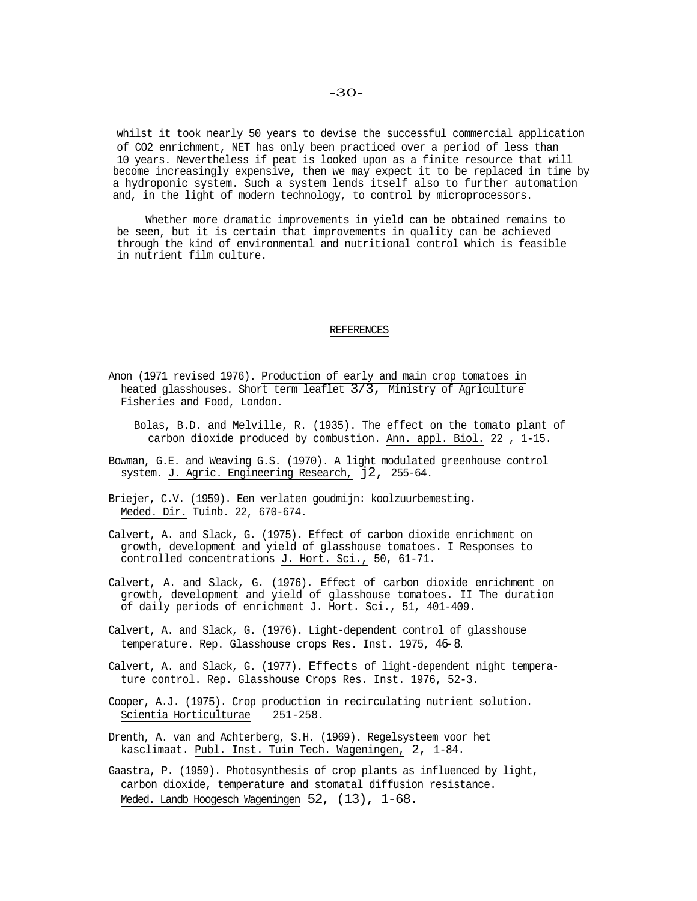whilst it took nearly 50 years to devise the successful commercial application of CO2 enrichment, NET has only been practiced over a period of less than 10 years. Nevertheless if peat is looked upon as a finite resource that will become increasingly expensive, then we may expect it to be replaced in time by a hydroponic system. Such a system lends itself also to further automation and, in the light of modern technology, to control by microprocessors.

Whether more dramatic improvements in yield can be obtained remains to be seen, but it is certain that improvements in quality can be achieved through the kind of environmental and nutritional control which is feasible in nutrient film culture.

#### REFERENCES

- Anon (1971 revised 1976). Production of early and main crop tomatoes in heated glasshouses. Short term leaflet 3/3, Ministry of Agriculture Fisheries and Food, London.
	- Bolas, B.D. and Melville, R. (1935). The effect on the tomato plant of carbon dioxide produced by combustion. Ann. appl. Biol. 22 , 1-15.
- Bowman, G.E. and Weaving G.S. (1970). A light modulated greenhouse control system. J. Agric. Engineering Research, j2, 255-64.
- Briejer, C.V. (1959). Een verlaten goudmijn: koolzuurbemesting. Meded. Dir. Tuinb. 22, 670-674.
- Calvert, A. and Slack, G. (1975). Effect of carbon dioxide enrichment on growth, development and yield of glasshouse tomatoes. I Responses to controlled concentrations J. Hort. Sci., 50, 61-71.
- Calvert, A. and Slack, G. (1976). Effect of carbon dioxide enrichment on growth, development and yield of glasshouse tomatoes. II The duration of daily periods of enrichment J. Hort. Sci., 51, 401-409.
- Calvert, A. and Slack, G. (1976). Light-dependent control of glasshouse temperature. Rep. Glasshouse crops Res. Inst. 1975, 46-8.
- Calvert, A. and Slack, G. (1977). Effects of light-dependent night temperature control. Rep. Glasshouse Crops Res. Inst. 1976, 52-3.
- Cooper, A.J. (1975). Crop production in recirculating nutrient solution. Scientia Horticulturae 251-258.
- Drenth, A. van and Achterberg, S.H. (1969). Regelsysteem voor het kasclimaat. Publ. Inst. Tuin Tech. Wageningen, 2, 1-84.

Gaastra, P. (1959). Photosynthesis of crop plants as influenced by light, carbon dioxide, temperature and stomatal diffusion resistance. Meded. Landb Hoogesch Wageningen 52, (13), 1-68.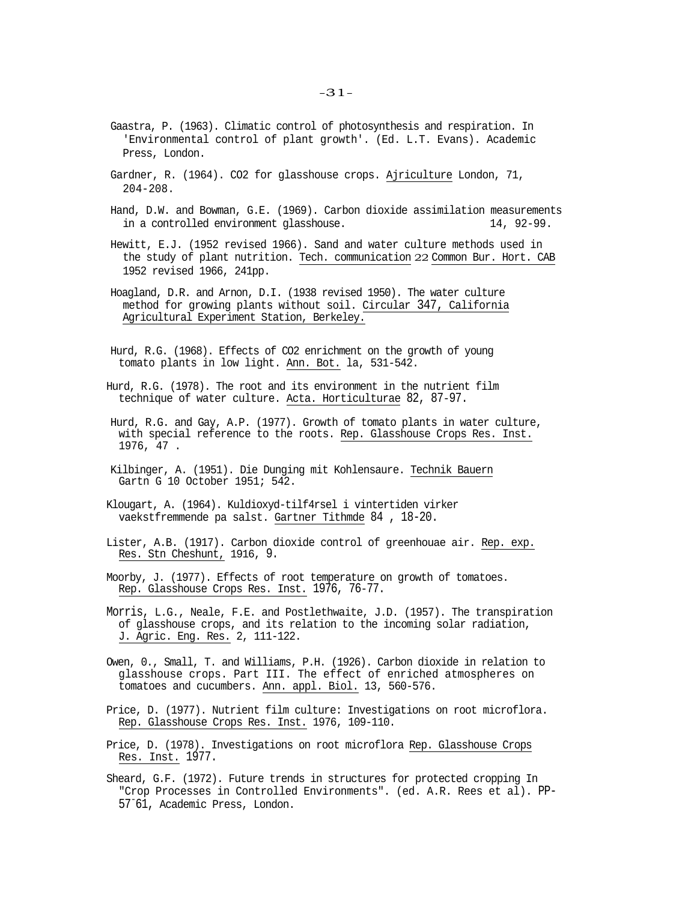- Gaastra, P. (1963). Climatic control of photosynthesis and respiration. In 'Environmental control of plant growth'. (Ed. L.T. Evans). Academic Press, London.
- Gardner, R. (1964). CO2 for glasshouse crops. Ajriculture London, 71, 204-208.
- Hand, D.W. and Bowman, G.E. (1969). Carbon dioxide assimilation measurements in a controlled environment glasshouse. 14, 92-99.
- Hewitt, E.J. (1952 revised 1966). Sand and water culture methods used in the study of plant nutrition. Tech. communication 22 Common Bur. Hort. CAB 1952 revised 1966, 241pp.
- Hoagland, D.R. and Arnon, D.I. (1938 revised 1950). The water culture method for growing plants without soil. Circular 347, California Agricultural Experiment Station, Berkeley.
- Hurd, R.G. (1968). Effects of CO2 enrichment on the growth of young tomato plants in low light. Ann. Bot. la, 531-542.
- Hurd, R.G. (1978). The root and its environment in the nutrient film technique of water culture. Acta. Horticulturae 82, 87-97.
- Hurd, R.G. and Gay, A.P. (1977). Growth of tomato plants in water culture, with special reference to the roots. Rep. Glasshouse Crops Res. Inst. 1976, 47 .
- Kilbinger, A. (1951). Die Dunging mit Kohlensaure. Technik Bauern Gartn G 10 October 1951; 542.
- Klougart, A. (1964). Kuldioxyd-tilf4rsel i vintertiden virker vaekstfremmende pa salst. Gartner Tithmde 84 , 18-20.
- Lister, A.B. (1917). Carbon dioxide control of greenhouae air. Rep. exp. Res. Stn Cheshunt, 1916, 9.
- Moorby, J. (1977). Effects of root temperature on growth of tomatoes. Rep. Glasshouse Crops Res. Inst. 1976, 76-77.
- Morris, L.G., Neale, F.E. and Postlethwaite, J.D. (1957). The transpiration of glasshouse crops, and its relation to the incoming solar radiation, J. Agric. Eng. Res. 2, 111-122.
- Owen, 0., Small, T. and Williams, P.H. (1926). Carbon dioxide in relation to glasshouse crops. Part III. The effect of enriched atmospheres on tomatoes and cucumbers. Ann. appl. Biol. 13, 560-576.
- Price, D. (1977). Nutrient film culture: Investigations on root microflora. Rep. Glasshouse Crops Res. Inst. 1976, 109-110.
- Price, D. (1978). Investigations on root microflora Rep. Glasshouse Crops Res. Inst. 1977.
- Sheard, G.F. (1972). Future trends in structures for protected cropping In "Crop Processes in Controlled Environments". (ed. A.R. Rees et al). PP-57- 61, Academic Press, London.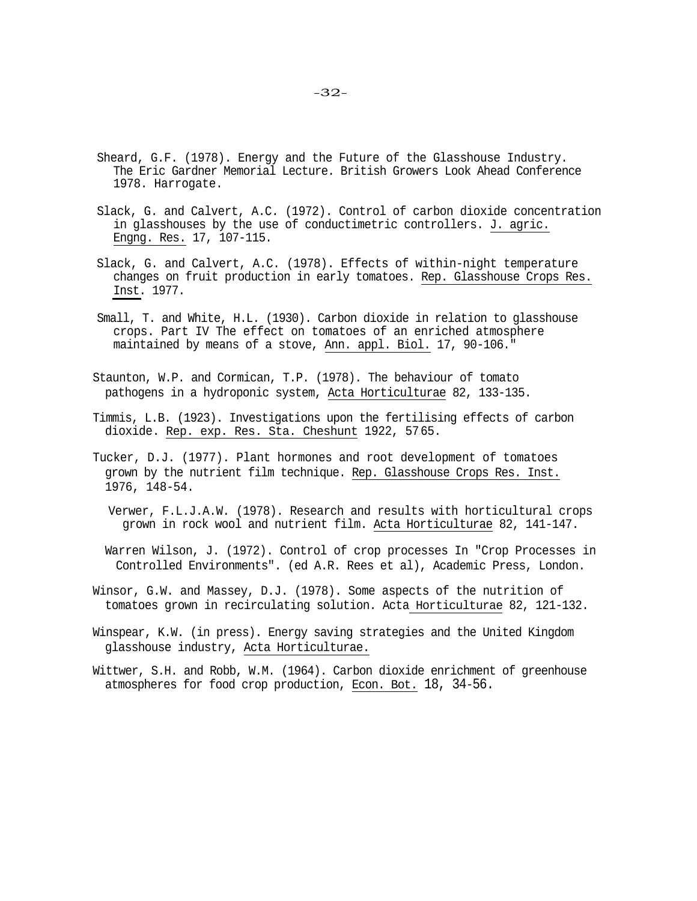- Sheard, G.F. (1978). Energy and the Future of the Glasshouse Industry. The Eric Gardner Memorial Lecture. British Growers Look Ahead Conference 1978. Harrogate.
- Slack, G. and Calvert, A.C. (1972). Control of carbon dioxide concentration in glasshouses by the use of conductimetric controllers. J. agric. Engng. Res. 17, 107-115.
- Slack, G. and Calvert, A.C. (1978). Effects of within-night temperature changes on fruit production in early tomatoes. Rep. Glasshouse Crops Res. Inst. 1977.
- Small, T. and White, H.L. (1930). Carbon dioxide in relation to glasshouse crops. Part IV The effect on tomatoes of an enriched atmosphere maintained by means of a stove, Ann. appl. Biol. 17, 90-106."
- Staunton, W.P. and Cormican, T.P. (1978). The behaviour of tomato pathogens in a hydroponic system, Acta Horticulturae 82, 133-135.
- Timmis, L.B. (1923). Investigations upon the fertilising effects of carbon dioxide. Rep. exp. Res. Sta. Cheshunt 1922, 5765.
- Tucker, D.J. (1977). Plant hormones and root development of tomatoes grown by the nutrient film technique. Rep. Glasshouse Crops Res. Inst. 1976, 148-54.
	- Verwer, F.L.J.A.W. (1978). Research and results with horticultural crops grown in rock wool and nutrient film. Acta Horticulturae 82, 141-147.
	- Warren Wilson, J. (1972). Control of crop processes In "Crop Processes in Controlled Environments". (ed A.R. Rees et al), Academic Press, London.
- Winsor, G.W. and Massey, D.J. (1978). Some aspects of the nutrition of tomatoes grown in recirculating solution. Acta Horticulturae 82, 121-132.
- Winspear, K.W. (in press). Energy saving strategies and the United Kingdom glasshouse industry, Acta Horticulturae.
- Wittwer, S.H. and Robb, W.M. (1964). Carbon dioxide enrichment of greenhouse atmospheres for food crop production, Econ. Bot. 18, 34-56.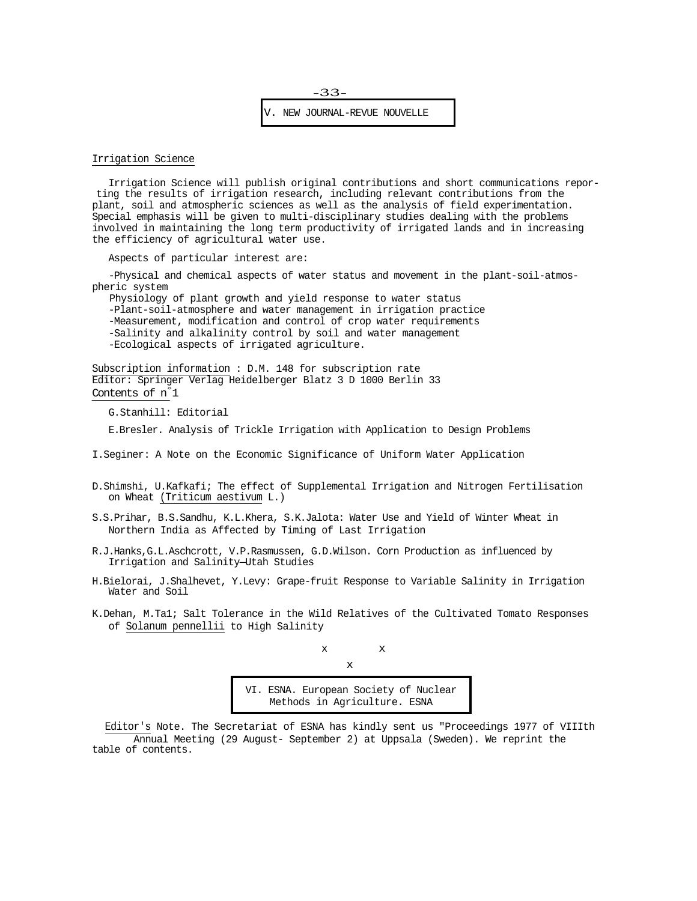

## Irrigation Science

Irrigation Science will publish original contributions and short communications reporting the results of irrigation research, including relevant contributions from the plant, soil and atmospheric sciences as well as the analysis of field experimentation. Special emphasis will be given to multi-disciplinary studies dealing with the problems involved in maintaining the long term productivity of irrigated lands and in increasing the efficiency of agricultural water use.

Aspects of particular interest are:

-Physical and chemical aspects of water status and movement in the plant-soil-atmospheric system

Physiology of plant growth and yield response to water status

-Plant-soil-atmosphere and water management in irrigation practice

-Measurement, modification and control of crop water requirements -Salinity and alkalinity control by soil and water management

-Ecological aspects of irrigated agriculture.

Subscription information : D.M. 148 for subscription rate Editor: Springer Verlag Heidelberger Blatz 3 D 1000 Berlin 33 Contents of n° 1

G.Stanhill: Editorial

E.Bresler. Analysis of Trickle Irrigation with Application to Design Problems

I.Seginer: A Note on the Economic Significance of Uniform Water Application

- D.Shimshi, U.Kafkafi; The effect of Supplemental Irrigation and Nitrogen Fertilisation on Wheat (Triticum aestivum L.)
- S.S.Prihar, B.S.Sandhu, K.L.Khera, S.K.Jalota: Water Use and Yield of Winter Wheat in Northern India as Affected by Timing of Last Irrigation
- R.J.Hanks,G.L.Aschcrott, V.P.Rasmussen, G.D.Wilson. Corn Production as influenced by Irrigation and Salinity—Utah Studies
- H.Bielorai, J.Shalhevet, Y.Levy: Grape-fruit Response to Variable Salinity in Irrigation Water and Soil
- K.Dehan, M.Ta1; Salt Tolerance in the Wild Relatives of the Cultivated Tomato Responses of Solanum pennellii to High Salinity

$$
\begin{array}{ccc}\n & x \\
& x \\
& x\n\end{array}
$$

VI. ESNA. European Society of Nuclear Methods in Agriculture. ESNA

Editor's Note. The Secretariat of ESNA has kindly sent us "Proceedings 1977 of VIIIth Annual Meeting (29 August- September 2) at Uppsala (Sweden). We reprint the table of contents.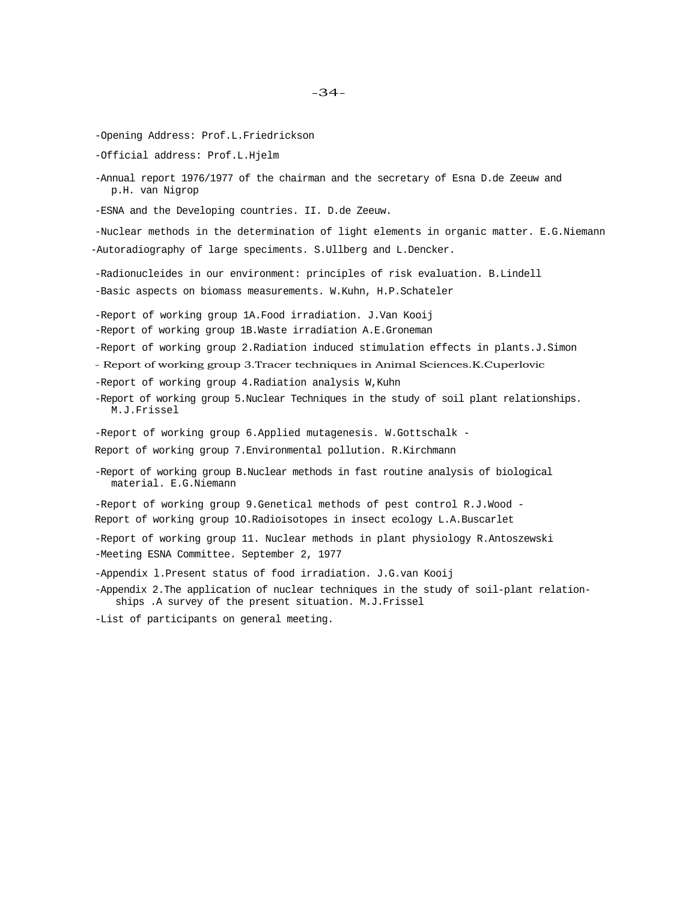-Opening Address: Prof.L.Friedrickson

-Official address: Prof.L.Hjelm

-Annual report 1976/1977 of the chairman and the secretary of Esna D.de Zeeuw and p.H. van Nigrop

-ESNA and the Developing countries. II. D.de Zeeuw.

-Nuclear methods in the determination of light elements in organic matter. E.G.Niemann -Autoradiography of large speciments. S.Ullberg and L.Dencker.

-Radionucleides in our environment: principles of risk evaluation. B.Lindell

-Basic aspects on biomass measurements. W.Kuhn, H.P.Schateler

-Report of working group 1A.Food irradiation. J.Van Kooij

-Report of working group 1B.Waste irradiation A.E.Groneman

-Report of working group 2.Radiation induced stimulation effects in plants.J.Simon

- Report of working group 3.Tracer techniques in Animal Sciences.K.Cuperlovic

-Report of working group 4.Radiation analysis W,Kuhn

-Report of working group 5.Nuclear Techniques in the study of soil plant relationships. M.J.Frissel

-Report of working group 6.Applied mutagenesis. W.Gottschalk -

Report of working group 7.Environmental pollution. R.Kirchmann

-Report of working group B.Nuclear methods in fast routine analysis of biological material. E.G.Niemann

-Report of working group 9.Genetical methods of pest control R.J.Wood - Report of working group 1O.Radioisotopes in insect ecology L.A.Buscarlet

-Report of working group 11. Nuclear methods in plant physiology R.Antoszewski -Meeting ESNA Committee. September 2, 1977

-Appendix l.Present status of food irradiation. J.G.van Kooij

-Appendix 2.The application of nuclear techniques in the study of soil-plant relationships .A survey of the present situation. M.J.Frissel

-List of participants on general meeting.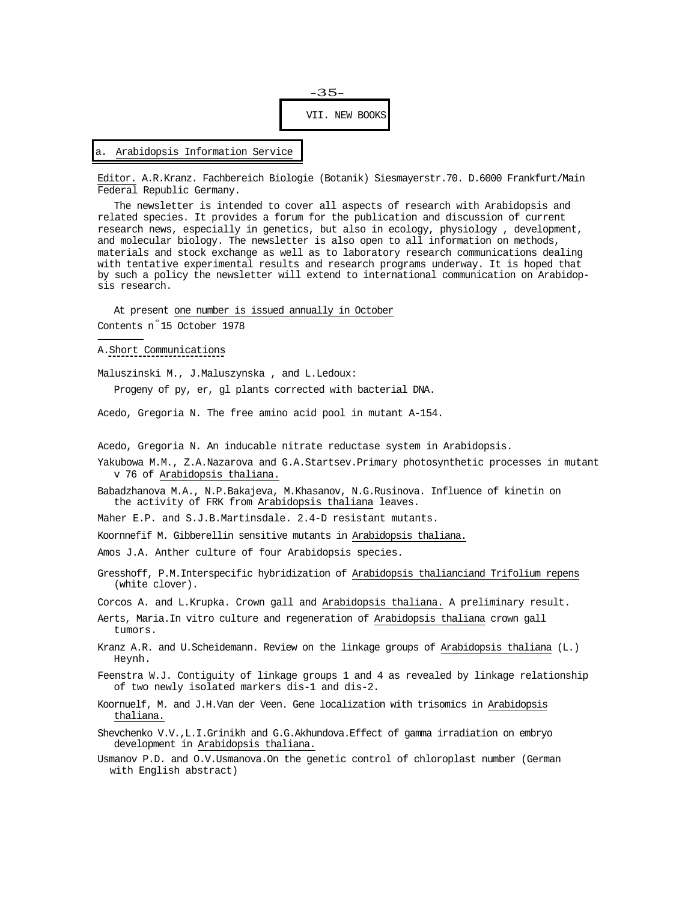

Editor. A.R.Kranz. Fachbereich Biologie (Botanik) Siesmayerstr.70. D.6000 Frankfurt/Main Federal Republic Germany.

The newsletter is intended to cover all aspects of research with Arabidopsis and related species. It provides a forum for the publication and discussion of current research news, especially in genetics, but also in ecology, physiology , development, and molecular biology. The newsletter is also open to all information on methods, materials and stock exchange as well as to laboratory research communications dealing with tentative experimental results and research programs underway. It is hoped that by such a policy the newsletter will extend to international communication on Arabidopsis research.

At present one number is issued annually in October Contents n° 15 October 1978

## A.Short Communications

Maluszinski M., J.Maluszynska , and L.Ledoux: Progeny of py, er, gl plants corrected with bacterial DNA.

Acedo, Gregoria N. The free amino acid pool in mutant A-154.

Acedo, Gregoria N. An inducable nitrate reductase system in Arabidopsis.

- Yakubowa M.M., Z.A.Nazarova and G.A.Startsev.Primary photosynthetic processes in mutant v 76 of Arabidopsis thaliana.
- Babadzhanova M.A., N.P.Bakajeva, M.Khasanov, N.G.Rusinova. Influence of kinetin on the activity of FRK from Arabidopsis thaliana leaves.

Maher E.P. and S.J.B.Martinsdale. 2.4-D resistant mutants.

Koornnefif M. Gibberellin sensitive mutants in Arabidopsis thaliana.

Amos J.A. Anther culture of four Arabidopsis species.

Gresshoff, P.M.Interspecific hybridization of Arabidopsis thalianciand Trifolium repens (white clover).

Corcos A. and L.Krupka. Crown gall and Arabidopsis thaliana. A preliminary result.

- Aerts, Maria.In vitro culture and regeneration of Arabidopsis thaliana crown gall tumors.
- Kranz A.R. and U.Scheidemann. Review on the linkage groups of Arabidopsis thaliana (L.) Heynh.
- Feenstra W.J. Contiguity of linkage groups 1 and 4 as revealed by linkage relationship of two newly isolated markers dis-1 and dis-2.
- Koornuelf, M. and J.H.Van der Veen. Gene localization with trisomics in Arabidopsis thaliana.
- Shevchenko V.V.,L.I.Grinikh and G.G.Akhundova.Effect of gamma irradiation on embryo development in Arabidopsis thaliana.
- Usmanov P.D. and O.V.Usmanova.On the genetic control of chloroplast number (German with English abstract)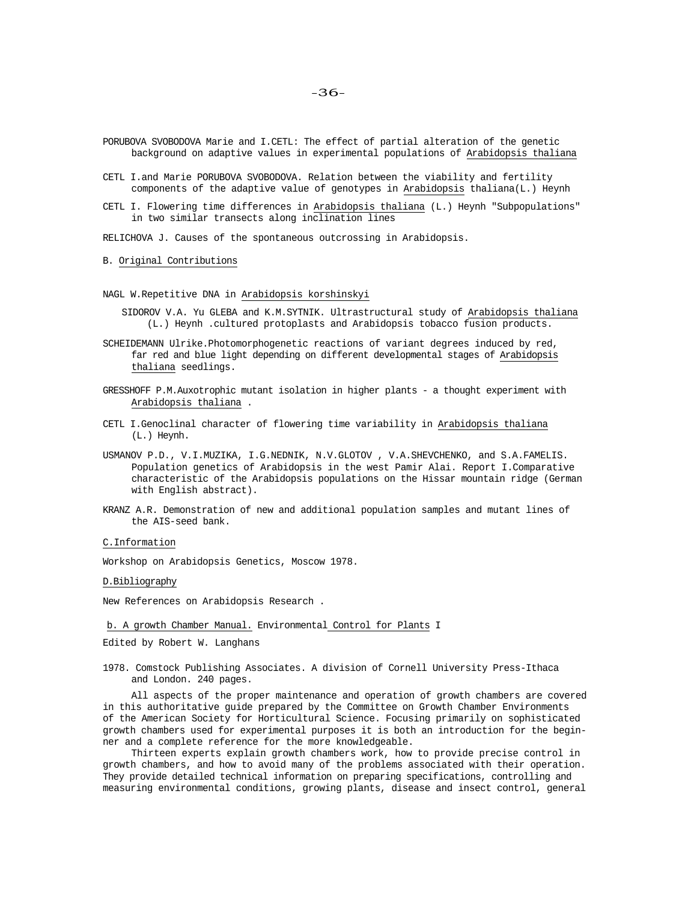PORUBOVA SVOBODOVA Marie and I.CETL: The effect of partial alteration of the genetic background on adaptive values in experimental populations of Arabidopsis thaliana

- CETL I.and Marie PORUBOVA SVOBODOVA. Relation between the viability and fertility components of the adaptive value of genotypes in Arabidopsis thaliana(L.) Heynh
- CETL I. Flowering time differences in Arabidopsis thaliana (L.) Heynh "Subpopulations" in two similar transects along inclination lines

RELICHOVA J. Causes of the spontaneous outcrossing in Arabidopsis.

## B. Original Contributions

NAGL W.Repetitive DNA in Arabidopsis korshinskyi

- SIDOROV V.A. Yu GLEBA and K.M.SYTNIK. Ultrastructural study of Arabidopsis thaliana (L.) Heynh .cultured protoplasts and Arabidopsis tobacco fusion products.
- SCHEIDEMANN Ulrike.Photomorphogenetic reactions of variant degrees induced by red, far red and blue light depending on different developmental stages of Arabidopsis thaliana seedlings.
- GRESSHOFF P.M.Auxotrophic mutant isolation in higher plants a thought experiment with Arabidopsis thaliana .
- CETL I.Genoclinal character of flowering time variability in Arabidopsis thaliana (L.) Heynh.
- USMANOV P.D., V.I.MUZIKA, I.G.NEDNIK, N.V.GLOTOV , V.A.SHEVCHENKO, and S.A.FAMELIS. Population genetics of Arabidopsis in the west Pamir Alai. Report I.Comparative characteristic of the Arabidopsis populations on the Hissar mountain ridge (German with English abstract).
- KRANZ A.R. Demonstration of new and additional population samples and mutant lines of the AIS-seed bank.

## C.Information

Workshop on Arabidopsis Genetics, Moscow 1978.

D.Bibliography

New References on Arabidopsis Research .

#### b. A growth Chamber Manual. Environmental Control for Plants I

Edited by Robert W. Langhans

1978. Comstock Publishing Associates. A division of Cornell University Press-Ithaca and London. 240 pages.

All aspects of the proper maintenance and operation of growth chambers are covered in this authoritative guide prepared by the Committee on Growth Chamber Environments of the American Society for Horticultural Science. Focusing primarily on sophisticated growth chambers used for experimental purposes it is both an introduction for the beginner and a complete reference for the more knowledgeable.

Thirteen experts explain growth chambers work, how to provide precise control in growth chambers, and how to avoid many of the problems associated with their operation. They provide detailed technical information on preparing specifications, controlling and measuring environmental conditions, growing plants, disease and insect control, general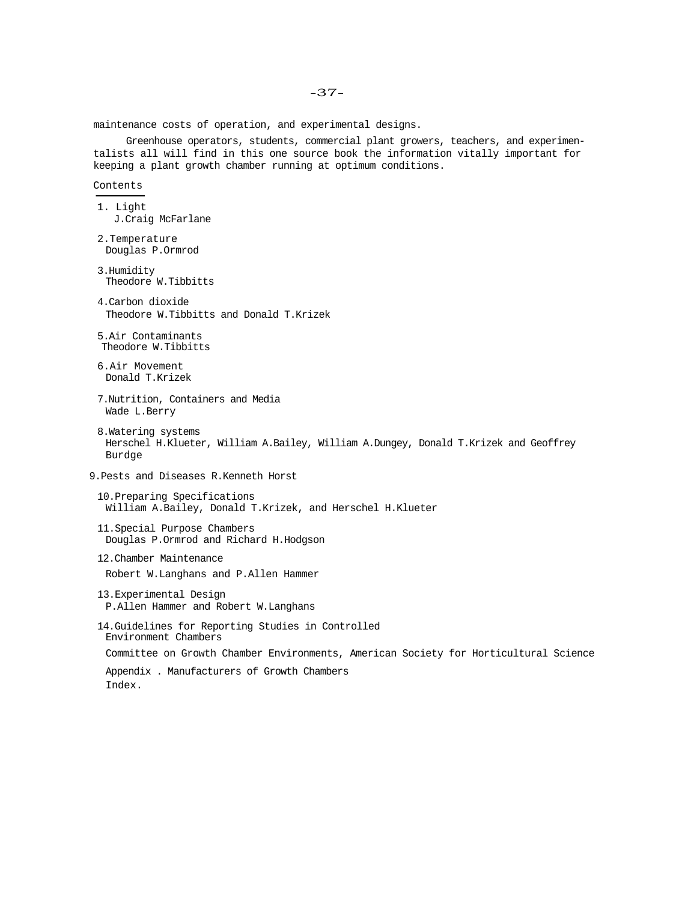maintenance costs of operation, and experimental designs.

Greenhouse operators, students, commercial plant growers, teachers, and experimentalists all will find in this one source book the information vitally important for keeping a plant growth chamber running at optimum conditions.

## Contents

- 1. Light J.Craig McFarlane
- 2.Temperature Douglas P.Ormrod
- 3.Humidity Theodore W.Tibbitts
- 4.Carbon dioxide Theodore W.Tibbitts and Donald T.Krizek
- 5.Air Contaminants Theodore W.Tibbitts
- 6.Air Movement Donald T.Krizek
- 7.Nutrition, Containers and Media Wade L.Berry
- 8.Watering systems Herschel H.Klueter, William A.Bailey, William A.Dungey, Donald T.Krizek and Geoffrey Burdge
- 9.Pests and Diseases R.Kenneth Horst
	- 10.Preparing Specifications William A.Bailey, Donald T.Krizek, and Herschel H.Klueter
	- 11.Special Purpose Chambers Douglas P.Ormrod and Richard H.Hodgson
	- 12.Chamber Maintenance Robert W.Langhans and P.Allen Hammer
	- 13.Experimental Design P.Allen Hammer and Robert W.Langhans
	- 14.Guidelines for Reporting Studies in Controlled Environment Chambers Committee on Growth Chamber Environments, American Society for Horticultural Science
		- Appendix . Manufacturers of Growth Chambers Index.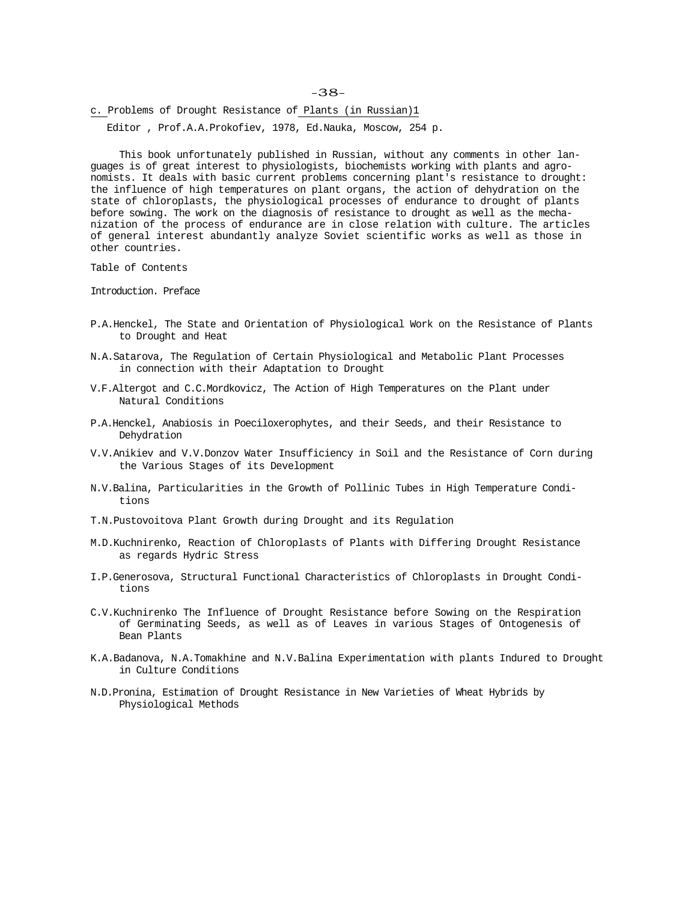-38-

c. Problems of Drought Resistance of Plants (in Russian)1

Editor , Prof.A.A.Prokofiev, 1978, Ed.Nauka, Moscow, 254 p.

This book unfortunately published in Russian, without any comments in other languages is of great interest to physiologists, biochemists working with plants and agronomists. It deals with basic current problems concerning plant's resistance to drought: the influence of high temperatures on plant organs, the action of dehydration on the state of chloroplasts, the physiological processes of endurance to drought of plants before sowing. The work on the diagnosis of resistance to drought as well as the mechanization of the process of endurance are in close relation with culture. The articles of general interest abundantly analyze Soviet scientific works as well as those in other countries.

Table of Contents

Introduction. Preface

- P.A.Henckel, The State and Orientation of Physiological Work on the Resistance of Plants to Drought and Heat
- N.A.Satarova, The Regulation of Certain Physiological and Metabolic Plant Processes in connection with their Adaptation to Drought
- V.F.Altergot and C.C.Mordkovicz, The Action of High Temperatures on the Plant under Natural Conditions
- P.A.Henckel, Anabiosis in Poeciloxerophytes, and their Seeds, and their Resistance to Dehydration
- V.V.Anikiev and V.V.Donzov Water Insufficiency in Soil and the Resistance of Corn during the Various Stages of its Development
- N.V.Balina, Particularities in the Growth of Pollinic Tubes in High Temperature Conditions
- T.N.Pustovoitova Plant Growth during Drought and its Regulation
- M.D.Kuchnirenko, Reaction of Chloroplasts of Plants with Differing Drought Resistance as regards Hydric Stress
- I.P.Generosova, Structural Functional Characteristics of Chloroplasts in Drought Conditions
- C.V.Kuchnirenko The Influence of Drought Resistance before Sowing on the Respiration of Germinating Seeds, as well as of Leaves in various Stages of Ontogenesis of Bean Plants
- K.A.Badanova, N.A.Tomakhine and N.V.Balina Experimentation with plants Indured to Drought in Culture Conditions
- N.D.Pronina, Estimation of Drought Resistance in New Varieties of Wheat Hybrids by Physiological Methods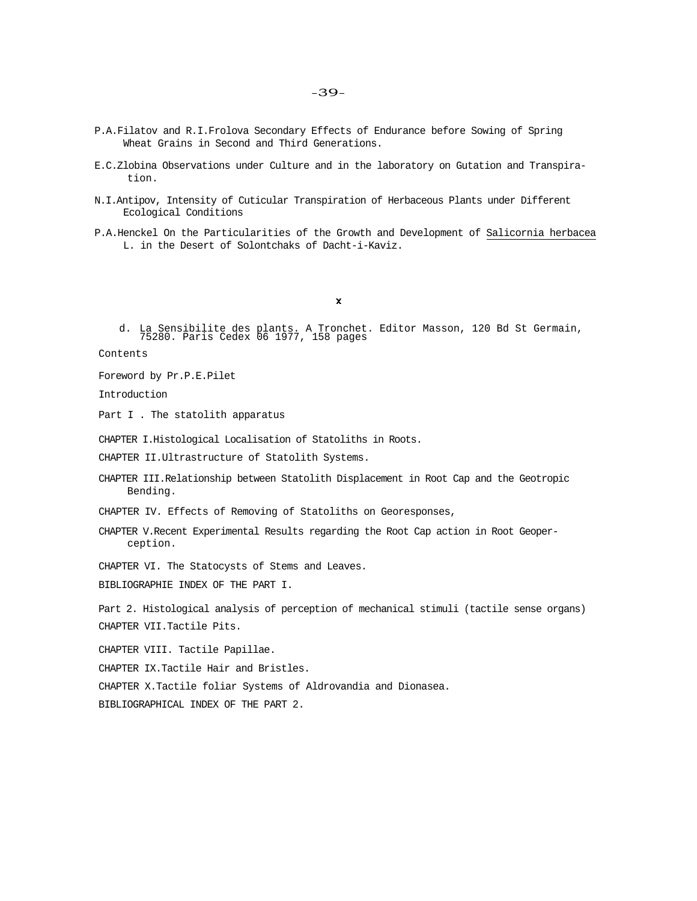- -39-
- P.A.Filatov and R.I.Frolova Secondary Effects of Endurance before Sowing of Spring Wheat Grains in Second and Third Generations.
- E.C.Zlobina Observations under Culture and in the laboratory on Gutation and Transpiration.
- N.I.Antipov, Intensity of Cuticular Transpiration of Herbaceous Plants under Different Ecological Conditions
- P.A.Henckel On the Particularities of the Growth and Development of Salicornia herbacea L. in the Desert of Solontchaks of Dacht-i-Kaviz.

 $\pmb{\chi}$ 

d. La Sensibilite des plants. A Tronchet. Editor Masson, 120 Bd St Germain, 75280. Paris Cedex 06 1977, 158 pages

Contents

Foreword by Pr.P.E.Pilet

Introduction

Part I . The statolith apparatus

CHAPTER I.Histological Localisation of Statoliths in Roots.

CHAPTER II.Ultrastructure of Statolith Systems.

CHAPTER III.Relationship between Statolith Displacement in Root Cap and the Geotropic Bending.

CHAPTER IV. Effects of Removing of Statoliths on Georesponses,

CHAPTER V.Recent Experimental Results regarding the Root Cap action in Root Geoperception.

CHAPTER VI. The Statocysts of Stems and Leaves.

BIBLIOGRAPHIE INDEX OF THE PART I.

Part 2. Histological analysis of perception of mechanical stimuli (tactile sense organs) CHAPTER VII.Tactile Pits.

CHAPTER VIII. Tactile Papillae.

CHAPTER IX.Tactile Hair and Bristles.

CHAPTER X.Tactile foliar Systems of Aldrovandia and Dionasea.

BIBLIOGRAPHICAL INDEX OF THE PART 2.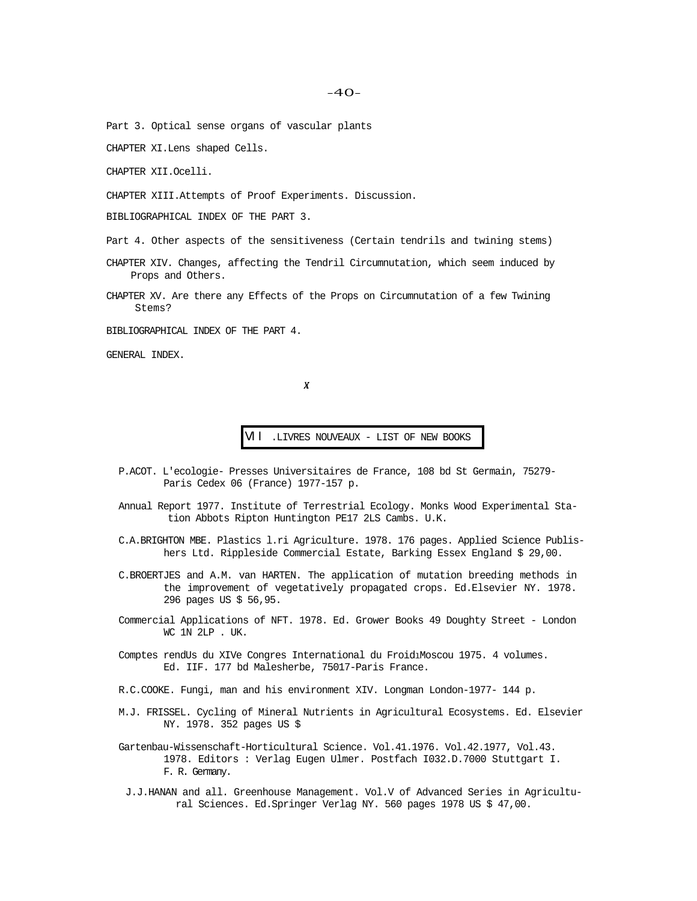Part 3. Optical sense organs of vascular plants

CHAPTER XI.Lens shaped Cells.

CHAPTER XII.Ocelli.

CHAPTER XIII.Attempts of Proof Experiments. Discussion.

BIBLIOGRAPHICAL INDEX OF THE PART 3.

Part 4. Other aspects of the sensitiveness (Certain tendrils and twining stems)

CHAPTER XIV. Changes, affecting the Tendril Circumnutation, which seem induced by Props and Others.

CHAPTER XV. Are there any Effects of the Props on Circumnutation of a few Twining Stems?

BIBLIOGRAPHICAL INDEX OF THE PART 4.

GENERAL INDEX.

 $\boldsymbol{X}$ 

VII .LIVRES NOUVEAUX - LIST OF NEW BOOKS

- P.ACOT. L'ecologie- Presses Universitaires de France, 108 bd St Germain, 75279- Paris Cedex 06 (France) 1977-157 p.
- Annual Report 1977. Institute of Terrestrial Ecology. Monks Wood Experimental Station Abbots Ripton Huntington PE17 2LS Cambs. U.K.
- C.A.BRIGHTON MBE. Plastics l.ri Agriculture. 1978. 176 pages. Applied Science Publishers Ltd. Rippleside Commercial Estate, Barking Essex England \$ 29,00.
- C.BROERTJES and A.M. van HARTEN. The application of mutation breeding methods in the improvement of vegetatively propagated crops. Ed.Elsevier NY. 1978. 296 pages US \$ 56,95.
- Commercial Applications of NFT. 1978. Ed. Grower Books 49 Doughty Street London WC 1N 2LP . UK.
- Comptes rendUs du XIVe Congres International du FroidlMoscou 1975. 4 volumes. Ed. IIF. 177 bd Malesherbe, 75017-Paris France.
- R.C.COOKE. Fungi, man and his environment XIV. Longman London-1977- 144 p.
- M.J. FRISSEL. Cycling of Mineral Nutrients in Agricultural Ecosystems. Ed. Elsevier NY. 1978. 352 pages US \$
- Gartenbau-Wissenschaft-Horticultural Science. Vol.41.1976. Vol.42.1977, Vol.43. 1978. Editors : Verlag Eugen Ulmer. Postfach I032.D.7000 Stuttgart I. F. R. Germany.
- J.J.HANAN and all. Greenhouse Management. Vol.V of Advanced Series in Agricultural Sciences. Ed.Springer Verlag NY. 560 pages 1978 US \$ 47,00.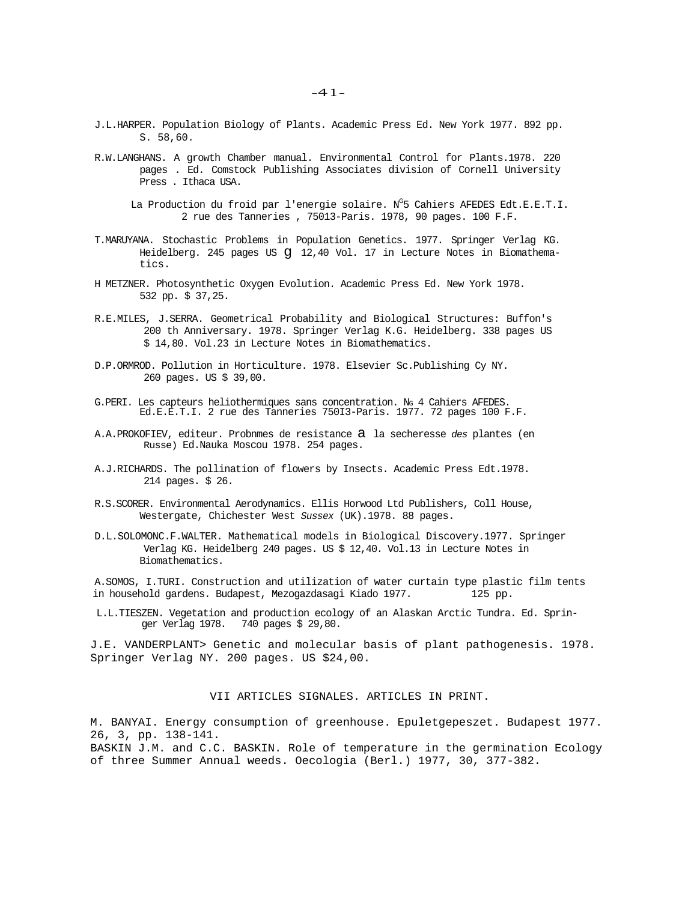- J.L.HARPER. Population Biology of Plants. Academic Press Ed. New York 1977. 892 pp. S. 58,60.
- R.W.LANGHANS. A growth Chamber manual. Environmental Control for Plants.1978. 220 pages . Ed. Comstock Publishing Associates division of Cornell University Press . Ithaca USA.
	- La Production du froid par l'energie solaire. N<sup>G</sup>5 Cahiers AFEDES Edt.E.E.T.I. 2 rue des Tanneries , 75013-Paris. 1978, 90 pages. 100 F.F.
- T.MARUYANA. Stochastic Problems in Population Genetics. 1977. Springer Verlag KG. Heidelberg. 245 pages US g 12,40 Vol. 17 in Lecture Notes in Biomathematics.
- H METZNER. Photosynthetic Oxygen Evolution. Academic Press Ed. New York 1978. 532 pp. \$ 37,25.
- R.E.MILES, J.SERRA. Geometrical Probability and Biological Structures: Buffon's 200 th Anniversary. 1978. Springer Verlag K.G. Heidelberg. 338 pages US \$ 14,80. Vol.23 in Lecture Notes in Biomathematics.
- D.P.ORMROD. Pollution in Horticulture. 1978. Elsevier Sc.Publishing Cy NY. 260 pages. US \$ 39,00.
- G.PERI. Les capteurs heliothermiques sans concentration. NG 4 Cahiers AFEDES. Ed.E.E.T.I. 2 rue des Tanneries 750I3-Paris. 1977. 72 pages 100 F.F.
- A.A.PROKOFIEV, editeur. Probnmes de resistance a la secheresse *des* plantes (en Russe) Ed.Nauka Moscou 1978. 254 pages.
- A.J.RICHARDS. The pollination of flowers by Insects. Academic Press Edt.1978. 214 pages. \$ 26.
- R.S.SCORER. Environmental Aerodynamics. Ellis Horwood Ltd Publishers, Coll House, Westergate, Chichester West *Sussex* (UK).1978. 88 pages.
- D.L.SOLOMONC.F.WALTER. Mathematical models in Biological Discovery.1977. Springer Verlag KG. Heidelberg 240 pages. US \$ 12,40. Vol.13 in Lecture Notes in Biomathematics.

A.SOMOS, I.TURI. Construction and utilization of water curtain type plastic film tents in household gardens. Budapest, Mezogazdasagi Kiado 1977. 125 pp.

L.L.TIESZEN. Vegetation and production ecology of an Alaskan Arctic Tundra. Ed. Springer Verlag 1978. 740 pages \$ 29,80.

J.E. VANDERPLANT> Genetic and molecular basis of plant pathogenesis. 1978. Springer Verlag NY. 200 pages. US \$24,00.

VII ARTICLES SIGNALES. ARTICLES IN PRINT.

M. BANYAI. Energy consumption of greenhouse. Epuletgepeszet. Budapest 1977. 26, 3, pp. 138-141.

BASKIN J.M. and C.C. BASKIN. Role of temperature in the germination Ecology of three Summer Annual weeds. Oecologia (Berl.) 1977, 30, 377-382.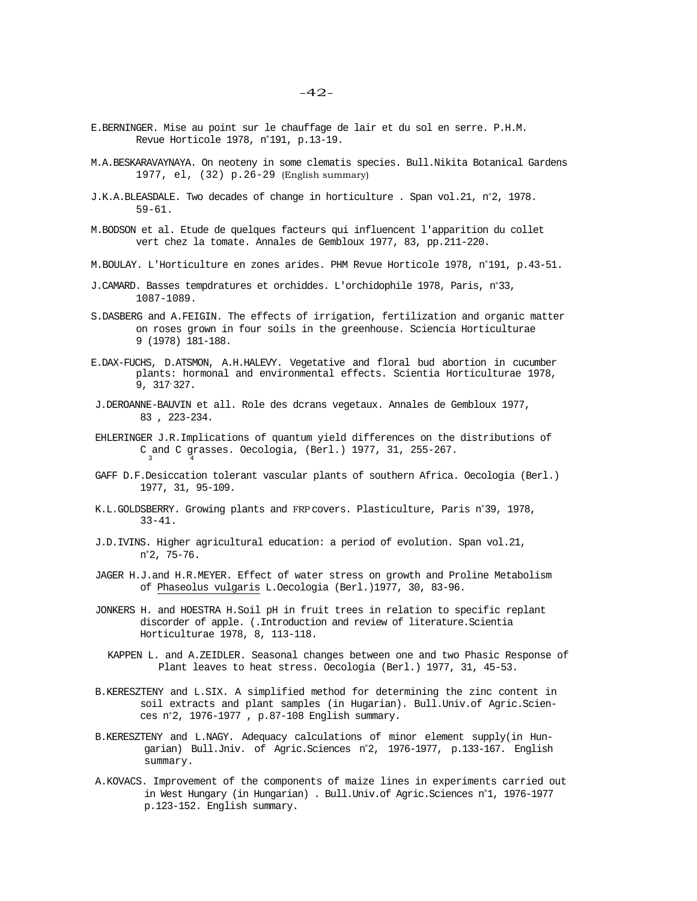- E.BERNINGER. Mise au point sur le chauffage de lair et du sol en serre. P.H.M. Revue Horticole 1978, n°191, p.13-19.
- M.A.BESKARAVAYNAYA. On neoteny in some clematis species. Bull.Nikita Botanical Gardens 1977, el, (32) p.26-29 (English summary)
- J.K.A.BLEASDALE. Two decades of change in horticulture . Span vol.21, n°2, 1978. 59-61.
- M.BODSON et al. Etude de quelques facteurs qui influencent l'apparition du collet vert chez la tomate. Annales de Gembloux 1977, 83, pp.211-220.
- M.BOULAY. L'Horticulture en zones arides. PHM Revue Horticole 1978, n°191, p.43-51.
- J.CAMARD. Basses tempdratures et orchiddes. L'orchidophile 1978, Paris, n°33, 1087-1089.
- S.DASBERG and A.FEIGIN. The effects of irrigation, fertilization and organic matter on roses grown in four soils in the greenhouse. Sciencia Horticulturae 9 (1978) 181-188.
- E.DAX-FUCHS, D.ATSMON, A.H.HALEVY. Vegetative and floral bud abortion in cucumber plants: hormonal and environmental effects. Scientia Horticulturae 1978, 9, 317-327.
- J.DEROANNE-BAUVIN et all. Role des dcrans vegetaux. Annales de Gembloux 1977, 83 , 223-234.
- EHLERINGER J.R.Implications of quantum yield differences on the distributions of C and C grasses. Oecologia, (Berl.) 1977, 31, 255-267.
- GAFF D.F.Desiccation tolerant vascular plants of southern Africa. Oecologia (Berl.) 1977, 31, 95-109.
- K.L.GOLDSBERRY. Growing plants and FRP covers. Plasticulture, Paris n°39, 1978, 33-41.
- J.D.IVINS. Higher agricultural education: a period of evolution. Span vol.21, n°2, 75-76.
- JAGER H.J.and H.R.MEYER. Effect of water stress on growth and Proline Metabolism of Phaseolus vulgaris L.Oecologia (Berl.)1977, 30, 83-96.
- JONKERS H. and HOESTRA H.Soil pH in fruit trees in relation to specific replant discorder of apple. (.Introduction and review of literature.Scientia Horticulturae 1978, 8, 113-118.
	- KAPPEN L. and A.ZEIDLER. Seasonal changes between one and two Phasic Response of Plant leaves to heat stress. Oecologia (Berl.) 1977, 31, 45-53.
- B.KERESZTENY and L.SIX. A simplified method for determining the zinc content in soil extracts and plant samples (in Hugarian). Bull.Univ.of Agric.Sciences n°2, 1976-1977 , p.87-108 English summary.
- B.KERESZTENY and L.NAGY. Adequacy calculations of minor element supply(in Hungarian) Bull.Jniv. of Agric.Sciences n°2, 1976-1977, p.133-167. English summary.
- A.KOVACS. Improvement of the components of maize lines in experiments carried out in West Hungary (in Hungarian) . Bull.Univ.of Agric.Sciences n°1, 1976-1977 p.123-152. English summary.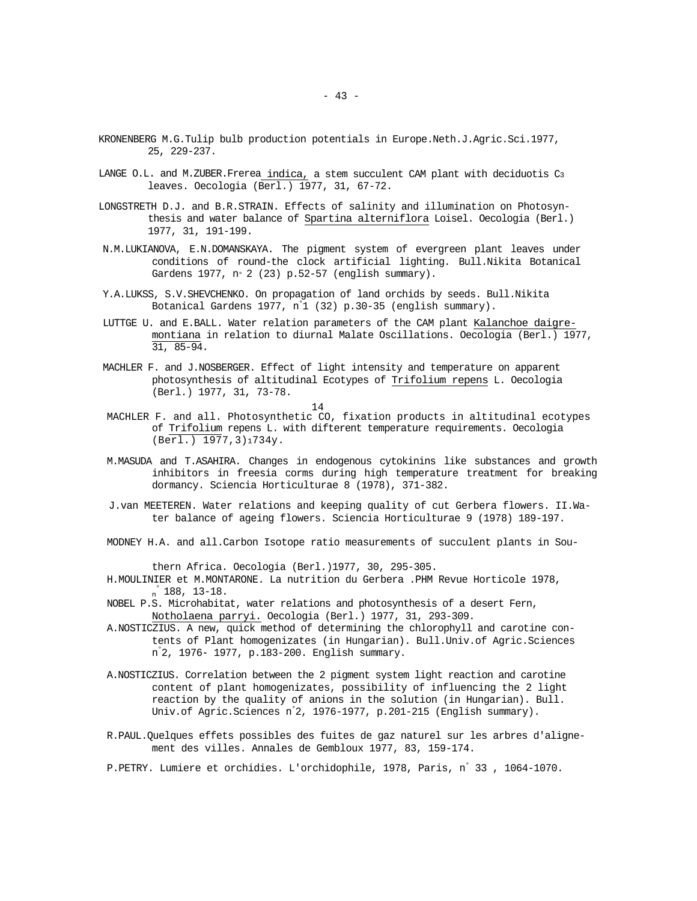- KRONENBERG M.G.Tulip bulb production potentials in Europe.Neth.J.Agric.Sci.1977, 25, 229-237.
- LANGE O.L. and M.ZUBER. Frerea indica, a stem succulent CAM plant with deciduotis C3 leaves. Oecologia (Berl.) 1977, 31, 67-72.
- LONGSTRETH D.J. and B.R.STRAIN. Effects of salinity and illumination on Photosynthesis and water balance of Spartina alterniflora Loisel. Oecologia (Berl.) 1977, 31, 191-199.
- N.M.LUKIANOVA, E.N.DOMANSKAYA. The pigment system of evergreen plant leaves under conditions of round-the clock artificial lighting. Bull.Nikita Botanical Gardens 1977, n° 2 (23) p.52-57 (english summary).
- Y.A.LUKSS, S.V.SHEVCHENKO. On propagation of land orchids by seeds. Bull.Nikita Botanical Gardens 1977, n° 1 (32) p.30-35 (english summary).
- LUTTGE U. and E.BALL. Water relation parameters of the CAM plant Kalanchoe daigremontiana in relation to diurnal Malate Oscillations. Oecologia (Berl.) 1977, 31, 85-94.
- MACHLER F. and J.NOSBERGER. Effect of light intensity and temperature on apparent photosynthesis of altitudinal Ecotypes of Trifolium repens L. Oecologia (Berl.) 1977, 31, 73-78.

14

- MACHLER F. and all. Photosynthetic CO, fixation products in altitudinal ecotypes of Trifolium repens L. with difterent temperature requirements. Oecologia (Berl.) 1977,3)1734y.
- M.MASUDA and T.ASAHIRA. Changes in endogenous cytokinins like substances and growth inhibitors in freesia corms during high temperature treatment for breaking dormancy. Sciencia Horticulturae 8 (1978), 371-382.
- J.van MEETEREN. Water relations and keeping quality of cut Gerbera flowers. II.Water balance of ageing flowers. Sciencia Horticulturae 9 (1978) 189-197.
- MODNEY H.A. and all.Carbon Isotope ratio measurements of succulent plants in Sou-

thern Africa. Oecologia (Berl.)1977, 30, 295-305.

- H.MOULINIER et M.MONTARONE. La nutrition du Gerbera .PHM Revue Horticole 1978,  $\int_{n}^{\circ} 188, 13-18.$
- NOBEL P.S. Microhabitat, water relations and photosynthesis of a desert Fern, Notholaena parryi. Oecologia (Berl.) 1977, 31, 293-309.
- A.NOSTICZIUS. A new, quick method of determining the chlorophyll and carotine contents of Plant homogenizates (in Hungarian). Bull.Univ.of Agric.Sciences n° 2, 1976- 1977, p.183-200. English summary.
- A.NOSTICZIUS. Correlation between the 2 pigment system light reaction and carotine content of plant homogenizates, possibility of influencing the 2 light reaction by the quality of anions in the solution (in Hungarian). Bull. Univ.of Agric.Sciences n° 2, 1976-1977, p.201-215 (English summary).
- R.PAUL.Quelques effets possibles des fuites de gaz naturel sur les arbres d'alignement des villes. Annales de Gembloux 1977, 83, 159-174.

P.PETRY. Lumiere et orchidies. L'orchidophile, 1978, Paris, n° 33 , 1064-1070.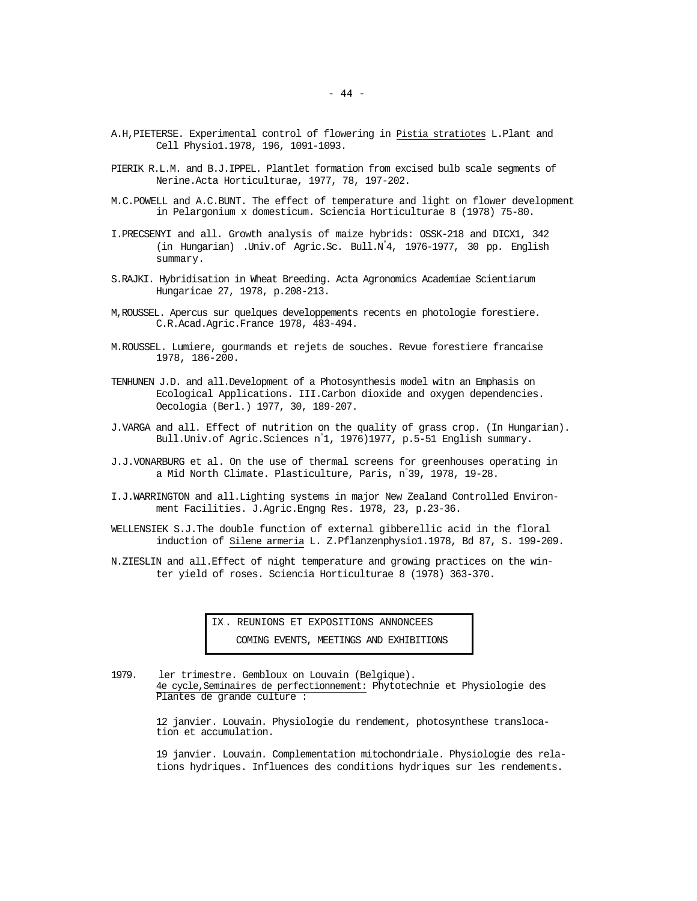- A.H,PIETERSE. Experimental control of flowering in Pistia stratiotes L.Plant and Cell Physio1.1978, 196, 1091-1093.
- PIERIK R.L.M. and B.J.IPPEL. Plantlet formation from excised bulb scale segments of Nerine.Acta Horticulturae, 1977, 78, 197-202.
- M.C.POWELL and A.C.BUNT. The effect of temperature and light on flower development in Pelargonium x domesticum. Sciencia Horticulturae 8 (1978) 75-80.
- I.PRECSENYI and all. Growth analysis of maize hybrids: OSSK-218 and DICX1, 342 (in Hungarian) .Univ.of Agric.Sc. Bull.N° 4, 1976-1977, 30 pp. English summary.
- S.RAJKI. Hybridisation in Wheat Breeding. Acta Agronomics Academiae Scientiarum Hungaricae 27, 1978, p.208-213.
- M,ROUSSEL. Apercus sur quelques developpements recents en photologie forestiere. C.R.Acad.Agric.France 1978, 483-494.
- M.ROUSSEL. Lumiere, gourmands et rejets de souches. Revue forestiere francaise 1978, 186-200.
- TENHUNEN J.D. and all.Development of a Photosynthesis model witn an Emphasis on Ecological Applications. III.Carbon dioxide and oxygen dependencies. Oecologia (Berl.) 1977, 30, 189-207.
- J.VARGA and all. Effect of nutrition on the quality of grass crop. (In Hungarian). Bull.Univ.of Agric.Sciences n° 1, 1976)1977, p.5-51 English summary.
- J.J.VONARBURG et al. On the use of thermal screens for greenhouses operating in a Mid North Climate. Plasticulture, Paris, n° 39, 1978, 19-28.
- I.J.WARRINGTON and all.Lighting systems in major New Zealand Controlled Environment Facilities. J.Agric.Engng Res. 1978, 23, p.23-36.
- WELLENSIEK S.J.The double function of external gibberellic acid in the floral induction of Silene armeria L. Z.Pflanzenphysio1.1978, Bd 87, S. 199-209.
- N.ZIESLIN and all.Effect of night temperature and growing practices on the winter yield of roses. Sciencia Horticulturae 8 (1978) 363-370.

IX.. REUNIONS ET EXPOSITIONS ANNONCEES COMING EVENTS, MEETINGS AND EXHIBITIONS

1979. ler trimestre. Gembloux on Louvain (Belgique). 4e cycle,Seminaires de perfectionnement: Phytotechnie et Physiologie des Plantes de grande culture :

> 12 janvier. Louvain. Physiologie du rendement, photosynthese translocation et accumulation.

19 janvier. Louvain. Complementation mitochondriale. Physiologie des relations hydriques. Influences des conditions hydriques sur les rendements.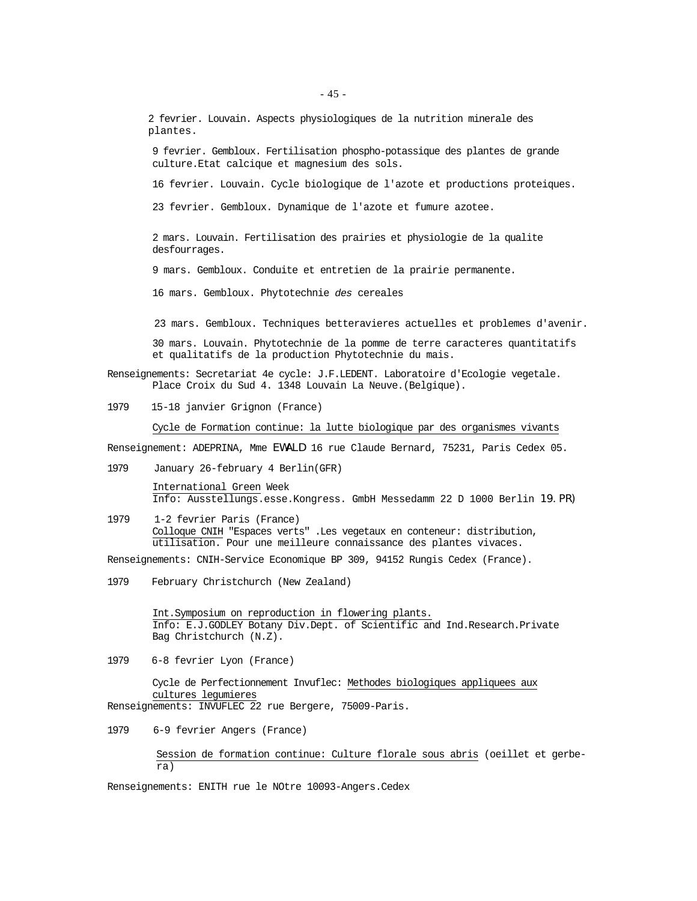2 fevrier. Louvain. Aspects physiologiques de la nutrition minerale des plantes.

9 fevrier. Gembloux. Fertilisation phospho-potassique des plantes de grande culture.Etat calcique et magnesium des sols.

16 fevrier. Louvain. Cycle biologique de l'azote et productions proteiques.

23 fevrier. Gembloux. Dynamique de l'azote et fumure azotee.

2 mars. Louvain. Fertilisation des prairies et physiologie de la qualite desfourrages.

9 mars. Gembloux. Conduite et entretien de la prairie permanente.

16 mars. Gembloux. Phytotechnie *des* cereales

23 mars. Gembloux. Techniques betteravieres actuelles et problemes d'avenir.

30 mars. Louvain. Phytotechnie de la pomme de terre caracteres quantitatifs et qualitatifs de la production Phytotechnie du mais.

Renseignements: Secretariat 4e cycle: J.F.LEDENT. Laboratoire d'Ecologie vegetale. Place Croix du Sud 4. 1348 Louvain La Neuve.(Belgique).

1979 15-18 janvier Grignon (France)

Cycle de Formation continue: la lutte biologique par des organismes vivants

Renseignement: ADEPRINA, Mme EWALD 16 rue Claude Bernard, 75231, Paris Cedex 05.

1979 January 26-february 4 Berlin(GFR)

International Green Week Info: Ausstellungs.esse.Kongress. GmbH Messedamm 22 D 1000 Berlin 19.PR)

1979 1-2 fevrier Paris (France) Colloque CNIH "Espaces verts" .Les vegetaux en conteneur: distribution, utilisation. Pour une meilleure connaissance des plantes vivaces.

Renseignements: CNIH-Service Economique BP 309, 94152 Rungis Cedex (France).

1979 February Christchurch (New Zealand)

Int.Symposium on reproduction in flowering plants. Info: E.J.GODLEY Botany Div.Dept. of Scientific and Ind.Research.Private Bag Christchurch (N.Z).

1979 6-8 fevrier Lyon (France)

Cycle de Perfectionnement Invuflec: Methodes biologiques appliquees aux cultures legumieres Renseignements: INVUFLEC 22 rue Bergere, 75009-Paris.

1979 6-9 fevrier Angers (France)

Session de formation continue: Culture florale sous abris (oeillet et gerbera)

Renseignements: ENITH rue le NOtre 10093-Angers.Cedex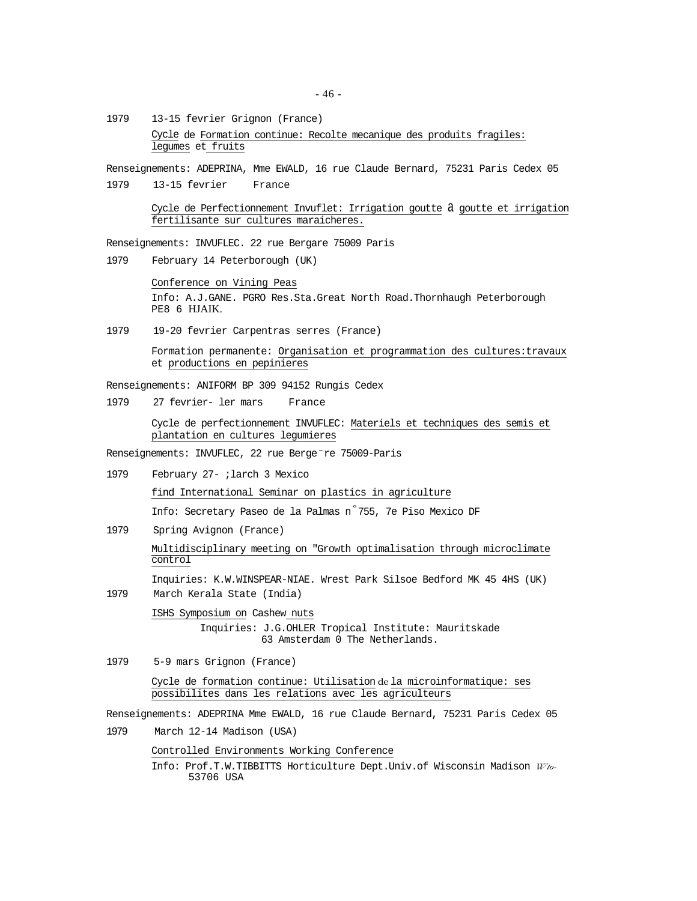1979 13-15 fevrier Grignon (France) Cycle de Formation continue: Recolte mecanique des produits fragiles: legumes et fruits

Renseignements: ADEPRINA, Mme EWALD, 16 rue Claude Bernard, 75231 Paris Cedex 05

1979 13-15 fevrier France

Cycle de Perfectionnement Invuflet: Irrigation goutte a goutte et irrigation fertilisante sur cultures maraicheres.

Renseignements: INVUFLEC. 22 rue Bergare 75009 Paris

1979 February 14 Peterborough (UK)

Conference on Vining Peas Info: A.J.GANE. PGRO Res.Sta.Great North Road.Thornhaugh Peterborough PE8 6 HJAIK.

1979 19-20 fevrier Carpentras serres (France)

Formation permanente: Organisation et programmation des cultures:travaux et productions en pepinieres

Renseignements: ANIFORM BP 309 94152 Rungis Cedex

1979 27 fevrier- ler mars France

Cycle de perfectionnement INVUFLEC: Materiels et techniques des semis et plantation en cultures legumieres

Renseignements: INVUFLEC, 22 rue Berge-re 75009-Paris

- 1979 February 27- ;larch 3 Mexico find International Seminar on plastics in agriculture Info: Secretary Paseo de la Palmas n° 755, 7e Piso Mexico DF
- 1979 Spring Avignon (France) Multidisciplinary meeting on "Growth optimalisation through microclimate control

Inquiries: K.W.WINSPEAR-NIAE. Wrest Park Silsoe Bedford MK 45 4HS (UK)

1979 March Kerala State (India)

ISHS Symposium on Cashew nuts

Inquiries: J.G.OHLER Tropical Institute: Mauritskade 63 Amsterdam 0 The Netherlands.

1979 5-9 mars Grignon (France)

Cycle de formation continue: Utilisation de la microinformatique: ses possibilites dans les relations avec les agriculteurs

Renseignements: ADEPRINA Mme EWALD, 16 rue Claude Bernard, 75231 Paris Cedex 05

1979 March 12-14 Madison (USA)

Controlled Environments Working Conference

Info: Prof.T.W.TIBBITTS Horticulture Dept.Univ.of Wisconsin Madison *Wto-*53706 USA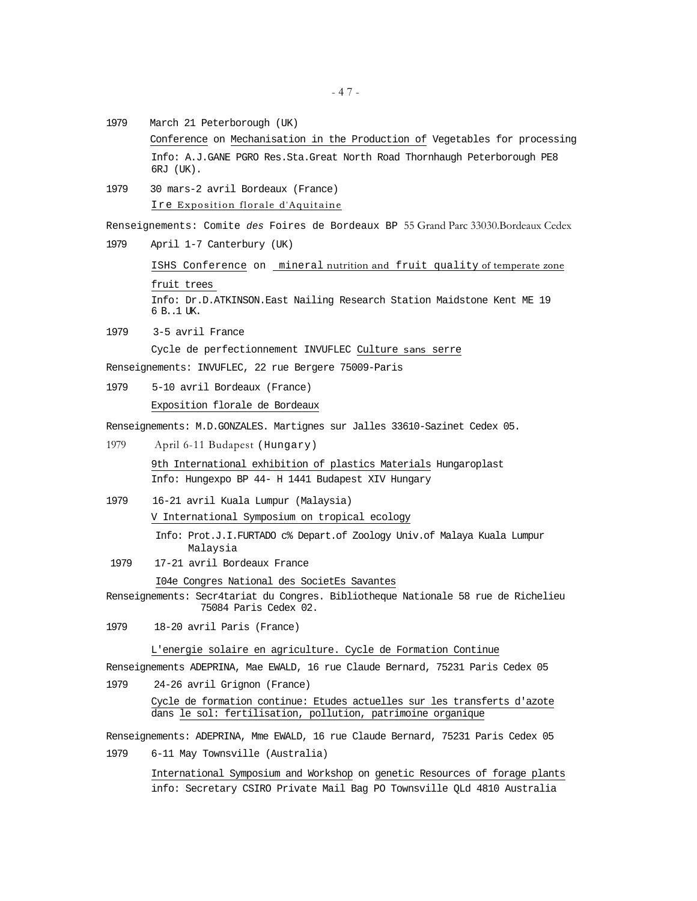- 1979 March 21 Peterborough (UK) Conference on Mechanisation in the Production of Vegetables for processing Info: A.J.GANE PGRO Res.Sta.Great North Road Thornhaugh Peterborough PE8 6RJ (UK).
- 1979 30 mars-2 avril Bordeaux (France) Ire Exposition florale d'Aquitaine

Renseignements: Comite *des* Foires de Bordeaux BP 55 Grand Parc 33030.Bordeaux Cedex 1979 April 1-7 Canterbury (UK)

ISHS Conference on mineral nutrition and fruit quality of temperate zone fruit trees Info: Dr.D.ATKINSON.East Nailing Research Station Maidstone Kent ME 19 6 B..1 UK.

1979 3-5 avril France Cycle de perfectionnement INVUFLEC Culture sans serre

Renseignements: INVUFLEC, 22 rue Bergere 75009-Paris

1979 5-10 avril Bordeaux (France)

Exposition florale de Bordeaux

Renseignements: M.D.GONZALES. Martignes sur Jalles 33610-Sazinet Cedex 05.

1979 April 6-11 Budapest (Hungary)

9th International exhibition of plastics Materials Hungaroplast Info: Hungexpo BP 44- H 1441 Budapest XIV Hungary

1979 16-21 avril Kuala Lumpur (Malaysia) V International Symposium on tropical ecology

> Info: Prot.J.I.FURTADO c% Depart.of Zoology Univ.of Malaya Kuala Lumpur Malaysia

1979 17-21 avril Bordeaux France

I04e Congres National des SocietEs Savantes

- Renseignements: Secr4tariat du Congres. Bibliotheque Nationale 58 rue de Richelieu 75084 Paris Cedex 02.
- 1979 18-20 avril Paris (France)

## L'energie solaire en agriculture. Cycle de Formation Continue

Renseignements ADEPRINA, Mae EWALD, 16 rue Claude Bernard, 75231 Paris Cedex 05 1979 24-26 avril Grignon (France)

Cycle de formation continue: Etudes actuelles sur les transferts d'azote dans le sol: fertilisation, pollution, patrimoine organique

Renseignements: ADEPRINA, Mme EWALD, 16 rue Claude Bernard, 75231 Paris Cedex 05

1979 6-11 May Townsville (Australia)

International Symposium and Workshop on genetic Resources of forage plants info: Secretary CSIRO Private Mail Bag PO Townsville QLd 4810 Australia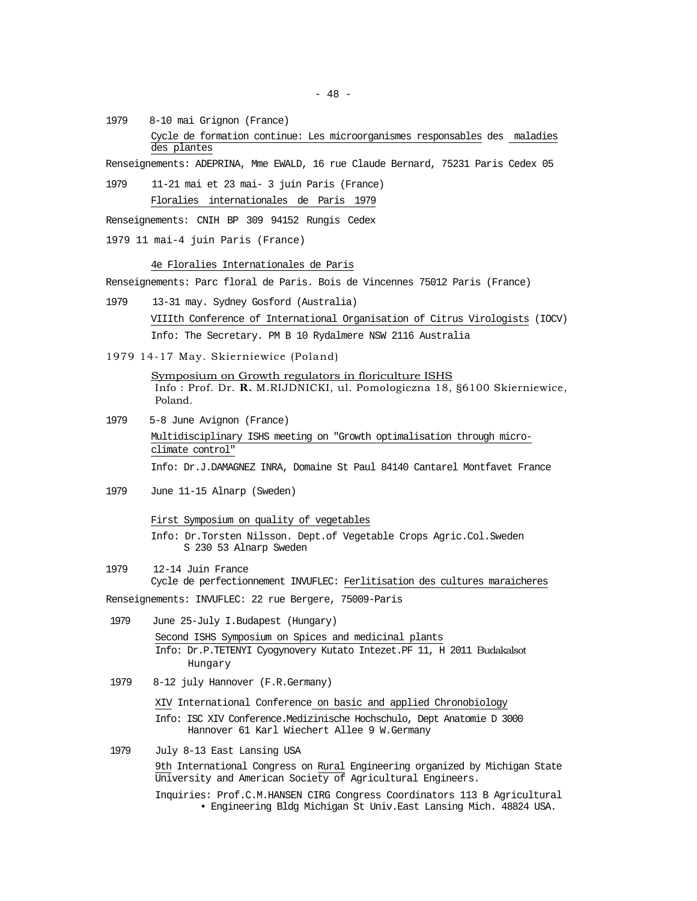1979 8-10 mai Grignon (France) Cycle de formation continue: Les microorganismes responsables des maladies des plantes

Renseignements: ADEPRINA, Mme EWALD, 16 rue Claude Bernard, 75231 Paris Cedex 05

1979 11-21 mai et 23 mai- 3 juin Paris (France) Floralies internationales de Paris 1979

Renseignements: CNIH BP 309 94152 Rungis Cedex

1979 11 mai-4 juin Paris (France)

4e Floralies Internationales de Paris

Renseignements: Parc floral de Paris. Bois de Vincennes 75012 Paris (France)

- 1979 13-31 may. Sydney Gosford (Australia) VIIIth Conference of International Organisation of Citrus Virologists (IOCV) Info: The Secretary. PM B 10 Rydalmere NSW 2116 Australia
- 1979 14-17 May. Skierniewice (Poland)

Symposium on Growth regulators in floriculture ISHS Info : Prof. Dr. **R.** M.RIJDNICKI, ul. Pomologiczna 18, §6100 Skierniewice, Poland.

- 1979 5-8 June Avignon (France) Multidisciplinary ISHS meeting on "Growth optimalisation through microclimate control" Info: Dr.J.DAMAGNEZ INRA, Domaine St Paul 84140 Cantarel Montfavet France
- 1979 June 11-15 Alnarp (Sweden)

First Symposium on quality of vegetables Info: Dr.Torsten Nilsson. Dept.of Vegetable Crops Agric.Col.Sweden S 230 53 Alnarp Sweden

- 1979 12-14 Juin France Cycle de perfectionnement INVUFLEC: Ferlitisation des cultures maraicheres Renseignements: INVUFLEC: 22 rue Bergere, 75009-Paris
- 1979 June 25-July I.Budapest (Hungary) Second ISHS Symposium on Spices and medicinal plants Info: Dr.P.TETENYI Cyogynovery Kutato Intezet.PF 11, H 2011 Budakalsot Hungary
- 1979 8-12 july Hannover (F.R.Germany)

XIV International Conference on basic and applied Chronobiology Info: ISC XIV Conference.Medizinische Hochschulo, Dept Anatomie D 3000 Hannover 61 Karl Wiechert Allee 9 W.Germany

1979 July 8-13 East Lansing USA

9th International Congress on Rural Engineering organized by Michigan State University and American Society of Agricultural Engineers.

Inquiries: Prof.C.M.HANSEN CIRG Congress Coordinators 113 B Agricultural • Engineering Bldg Michigan St Univ.East Lansing Mich. 48824 USA.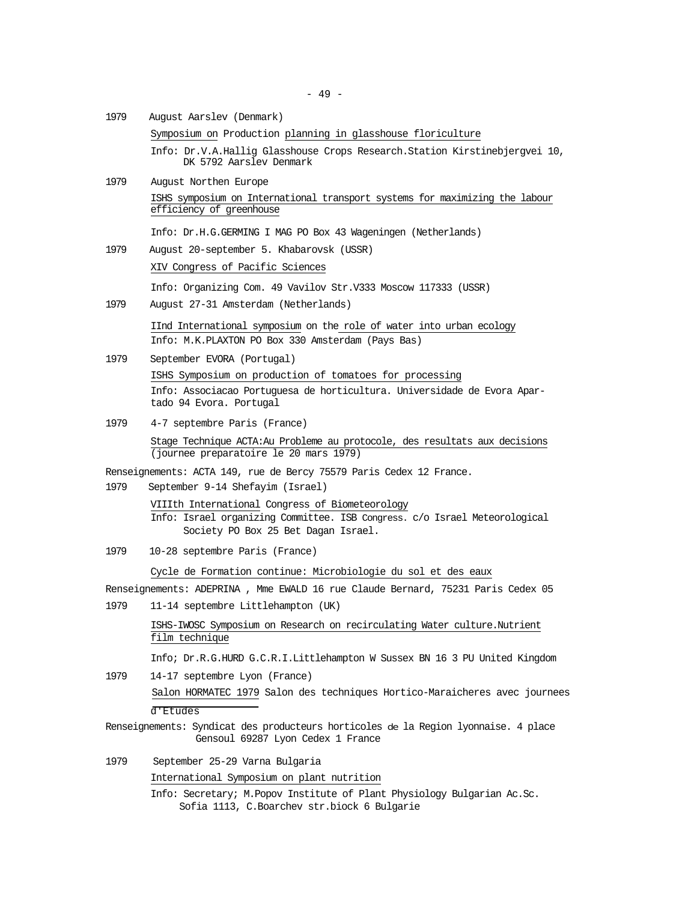1979 August Aarslev (Denmark)

Symposium on Production planning in glasshouse floriculture

Info: Dr.V.A.Hallig Glasshouse Crops Research.Station Kirstinebjergvei 10, DK 5792 Aarslev Denmark

1979 August Northen Europe ISHS symposium on International transport systems for maximizing the labour efficiency of greenhouse

Info: Dr.H.G.GERMING I MAG PO Box 43 Wageningen (Netherlands)

1979 August 20-september 5. Khabarovsk (USSR)

XIV Congress of Pacific Sciences

Info: Organizing Com. 49 Vavilov Str.V333 Moscow 117333 (USSR)

1979 August 27-31 Amsterdam (Netherlands)

IInd International symposium on the role of water into urban ecology Info: M.K.PLAXTON PO Box 330 Amsterdam (Pays Bas)

- 1979 September EVORA (Portugal) ISHS Symposium on production of tomatoes for processing Info: Associacao Portuguesa de horticultura. Universidade de Evora Apartado 94 Evora. Portugal
- 1979 4-7 septembre Paris (France)

Stage Technique ACTA:Au Probleme au protocole, des resultats aux decisions (journee preparatoire le 20 mars 1979)

Renseignements: ACTA 149, rue de Bercy 75579 Paris Cedex 12 France.

1979 September 9-14 Shefayim (Israel)

VIIIth International Congress of Biometeorology Info: Israel organizing Committee. ISB Congress. c/o Israel Meteorological Society PO Box 25 Bet Dagan Israel.

1979 10-28 septembre Paris (France)

Cycle de Formation continue: Microbiologie du sol et des eaux

Renseignements: ADEPRINA , Mme EWALD 16 rue Claude Bernard, 75231 Paris Cedex 05

1979 11-14 septembre Littlehampton (UK)

ISHS-IWOSC Symposium on Research on recirculating Water culture.Nutrient film technique

Info; Dr.R.G.HURD G.C.R.I.Littlehampton W Sussex BN 16 3 PU United Kingdom

1979 14-17 septembre Lyon (France)

Salon HORMATEC 1979 Salon des techniques Hortico-Maraicheres avec journees d'Etudes

- Renseignements: Syndicat des producteurs horticoles de la Region lyonnaise. 4 place Gensoul 69287 Lyon Cedex 1 France
- 1979 September 25-29 Varna Bulgaria

International Symposium on plant nutrition

Info: Secretary; M.Popov Institute of Plant Physiology Bulgarian Ac.Sc. Sofia 1113, C.Boarchev str.biock 6 Bulgarie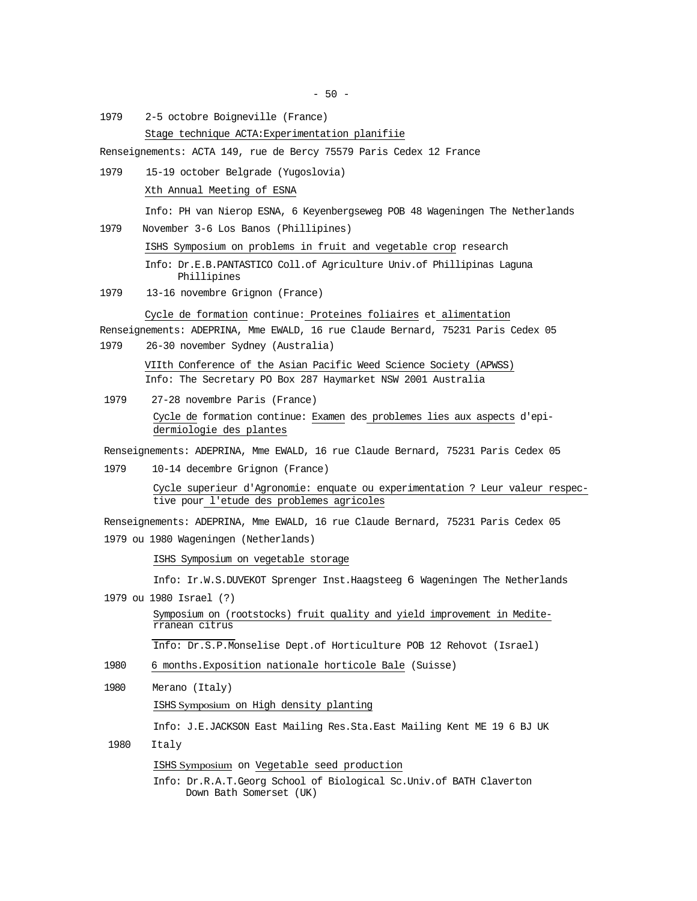$-50 -$ 

1979 2-5 octobre Boigneville (France)

Stage technique ACTA:Experimentation planifiie

Renseignements: ACTA 149, rue de Bercy 75579 Paris Cedex 12 France

1979 15-19 october Belgrade (Yugoslovia) Xth Annual Meeting of ESNA

Info: PH van Nierop ESNA, 6 Keyenbergseweg POB 48 Wageningen The Netherlands

1979 November 3-6 Los Banos (Phillipines)

ISHS Symposium on problems in fruit and vegetable crop research

Info: Dr.E.B.PANTASTICO Coll.of Agriculture Univ.of Phillipinas Laguna Phillipines

1979 13-16 novembre Grignon (France)

Cycle de formation continue: Proteines foliaires et alimentation

Renseignements: ADEPRINA, Mme EWALD, 16 rue Claude Bernard, 75231 Paris Cedex 05

1979 26-30 november Sydney (Australia)

VIIth Conference of the Asian Pacific Weed Science Society (APWSS) Info: The Secretary PO Box 287 Haymarket NSW 2001 Australia

1979 27-28 novembre Paris (France) Cycle de formation continue: Examen des problemes lies aux aspects d'epidermiologie des plantes

Renseignements: ADEPRINA, Mme EWALD, 16 rue Claude Bernard, 75231 Paris Cedex 05

1979 10-14 decembre Grignon (France)

Cycle superieur d'Agronomie: enquate ou experimentation ? Leur valeur respective pour l'etude des problemes agricoles

Renseignements: ADEPRINA, Mme EWALD, 16 rue Claude Bernard, 75231 Paris Cedex 05 1979 ou 1980 Wageningen (Netherlands)

ISHS Symposium on vegetable storage

Info: Ir.W.S.DUVEKOT Sprenger Inst.Haagsteeg 6 Wageningen The Netherlands

1979 ou 1980 Israel (?)

Symposium on (rootstocks) fruit quality and yield improvement in Mediterranean citrus

Info: Dr.S.P.Monselise Dept.of Horticulture POB 12 Rehovot (Israel)

- 1980 6 months.Exposition nationale horticole Bale (Suisse)
- 1980 Merano (Italy)

ISHS Symposium on High density planting

Info: J.E.JACKSON East Mailing Res.Sta.East Mailing Kent ME 19 6 BJ UK

1980 Italy

ISHS Symposium on Vegetable seed production

Info: Dr.R.A.T.Georg School of Biological Sc.Univ.of BATH Claverton Down Bath Somerset (UK)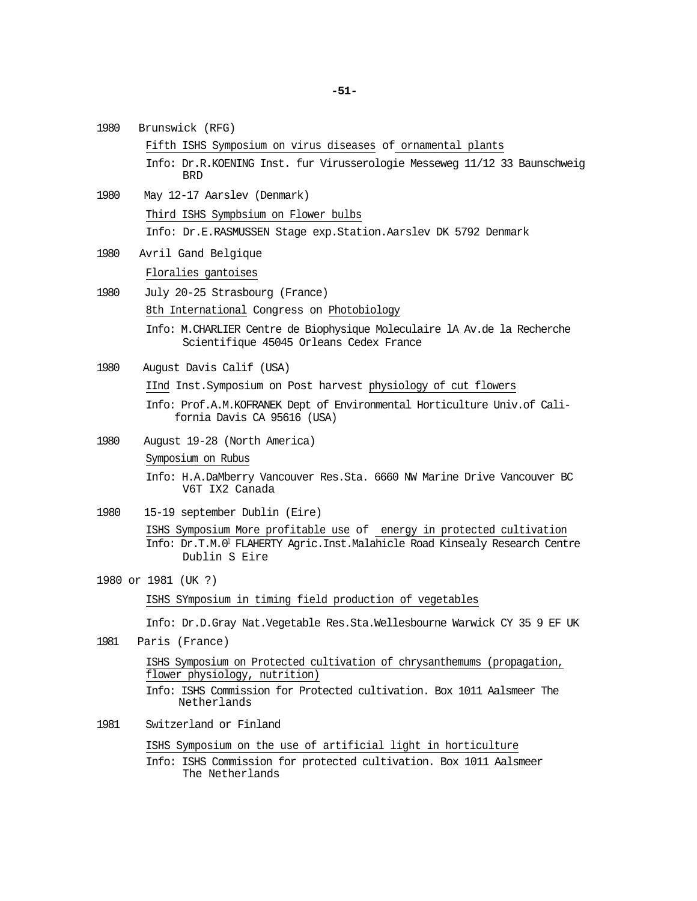- 1980 Brunswick (RFG) Fifth ISHS Symposium on virus diseases of ornamental plants Info: Dr.R.KOENING Inst. fur Virusserologie Messeweg 11/12 33 Baunschweig BRD 1980 May 12-17 Aarslev (Denmark) Third ISHS Sympbsium on Flower bulbs Info: Dr.E.RASMUSSEN Stage exp.Station.Aarslev DK 5792 Denmark 1980 Avril Gand Belgique Floralies gantoises 1980 July 20-25 Strasbourg (France) 8th International Congress on Photobiology Info: M.CHARLIER Centre de Biophysique Moleculaire lA Av.de la Recherche Scientifique 45045 Orleans Cedex France 1980 August Davis Calif (USA) IInd Inst.Symposium on Post harvest physiology of cut flowers Info: Prof.A.M.KOFRANEK Dept of Environmental Horticulture Univ.of California Davis CA 95616 (USA) 1980 August 19-28 (North America) Symposium on Rubus Info: H.A.DaMberry Vancouver Res.Sta. 6660 NW Marine Drive Vancouver BC V6T IX2 Canada 1980 15-19 september Dublin (Eire) ISHS Symposium More profitable use of energy in protected cultivation Info: Dr.T.M.01 FLAHERTY Agric.Inst.Malahicle Road Kinsealy Research Centre Dublin S Eire 1980 or 1981 (UK ?) ISHS SYmposium in timing field production of vegetables Info: Dr.D.Gray Nat.Vegetable Res.Sta.Wellesbourne Warwick CY 35 9 EF UK 1981 Paris (France) ISHS Symposium on Protected cultivation of chrysanthemums (propagation, flower physiology, nutrition) Info: ISHS Commission for Protected cultivation. Box 1011 Aalsmeer The Netherlands 1981 Switzerland or Finland ISHS Symposium on the use of artificial light in horticulture Info: ISHS Commission for protected cultivation. Box 1011 Aalsmeer
	- The Netherlands